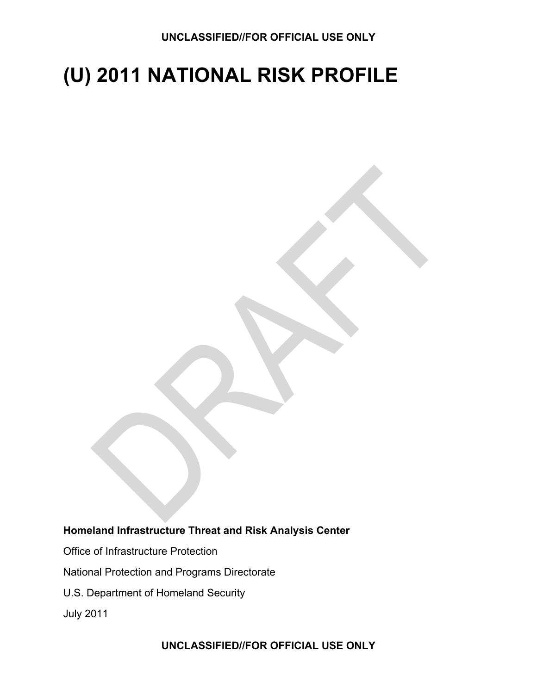# **(U) 2011 NATIONAL RISK PROFILE**

#### **Homeland Infrastructure Threat and Risk Analysis Center**

- Office of Infrastructure Protection
- National Protection and Programs Directorate
- U.S. Department of Homeland Security

July 2011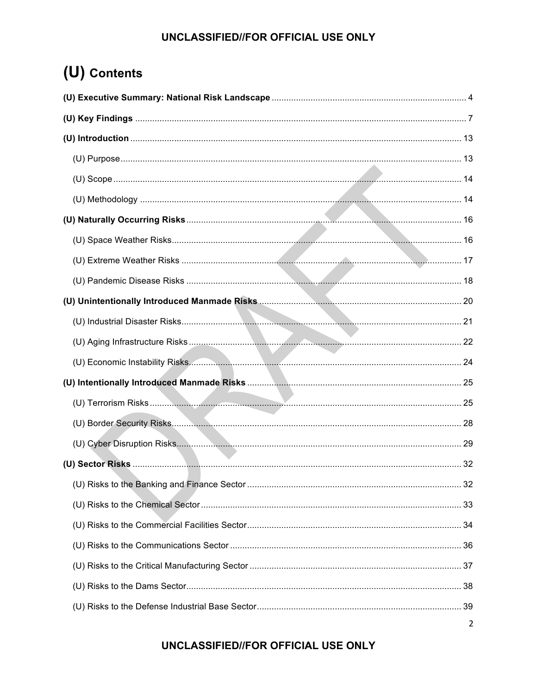## (U) Contents

| (U) Economic Instability Risks. 24 |  |
|------------------------------------|--|
|                                    |  |
|                                    |  |
|                                    |  |
|                                    |  |
|                                    |  |
|                                    |  |
|                                    |  |
|                                    |  |
|                                    |  |
|                                    |  |
|                                    |  |
|                                    |  |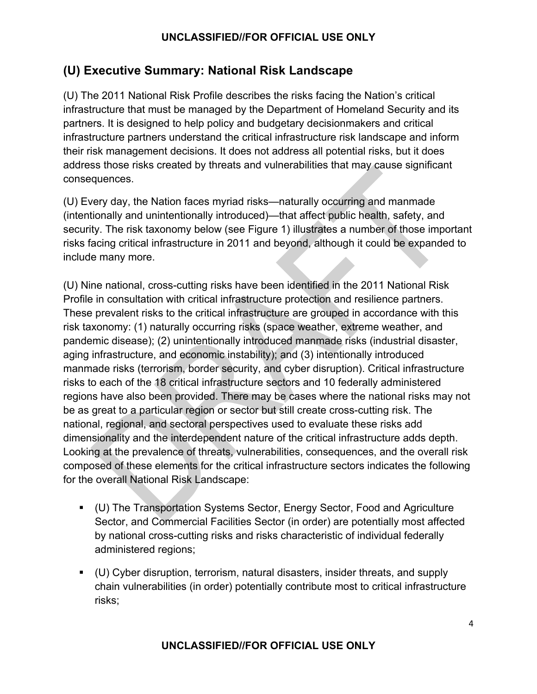## **(U) Executive Summary: National Risk Landscape**

(U) The 2011 National Risk Profile describes the risks facing the Nation's critical infrastructure that must be managed by the Department of Homeland Security and its partners. It is designed to help policy and budgetary decisionmakers and critical infrastructure partners understand the critical infrastructure risk landscape and inform their risk management decisions. It does not address all potential risks, but it does address those risks created by threats and vulnerabilities that may cause significant consequences.

(U) Every day, the Nation faces myriad risks—naturally occurring and manmade (intentionally and unintentionally introduced)—that affect public health, safety, and security. The risk taxonomy below (see Figure 1) illustrates a number of those important risks facing critical infrastructure in 2011 and beyond, although it could be expanded to include many more.

(U) Nine national, cross-cutting risks have been identified in the 2011 National Risk Profile in consultation with critical infrastructure protection and resilience partners. These prevalent risks to the critical infrastructure are grouped in accordance with this risk taxonomy: (1) naturally occurring risks (space weather, extreme weather, and pandemic disease); (2) unintentionally introduced manmade risks (industrial disaster, aging infrastructure, and economic instability); and (3) intentionally introduced manmade risks (terrorism, border security, and cyber disruption). Critical infrastructure risks to each of the 18 critical infrastructure sectors and 10 federally administered regions have also been provided. There may be cases where the national risks may not be as great to a particular region or sector but still create cross-cutting risk. The national, regional, and sectoral perspectives used to evaluate these risks add dimensionality and the interdependent nature of the critical infrastructure adds depth. Looking at the prevalence of threats, vulnerabilities, consequences, and the overall risk composed of these elements for the critical infrastructure sectors indicates the following for the overall National Risk Landscape:

- (U) The Transportation Systems Sector, Energy Sector, Food and Agriculture Sector, and Commercial Facilities Sector (in order) are potentially most affected by national cross-cutting risks and risks characteristic of individual federally administered regions;
- (U) Cyber disruption, terrorism, natural disasters, insider threats, and supply chain vulnerabilities (in order) potentially contribute most to critical infrastructure risks;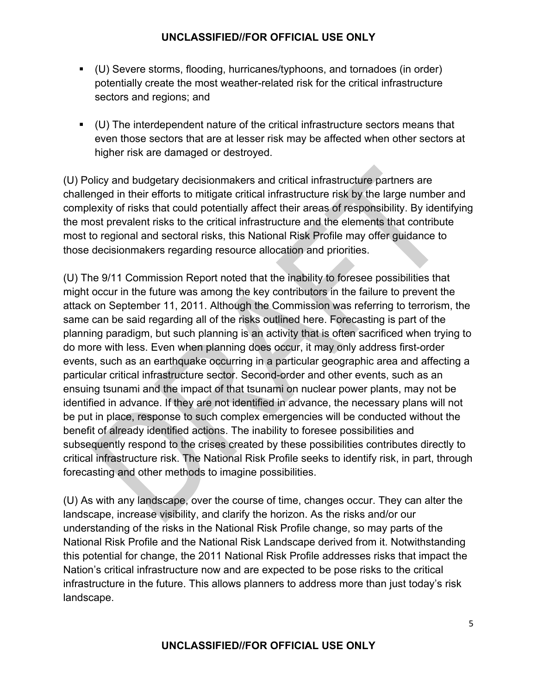- (U) Severe storms, flooding, hurricanes/typhoons, and tornadoes (in order) potentially create the most weather-related risk for the critical infrastructure sectors and regions; and
- (U) The interdependent nature of the critical infrastructure sectors means that even those sectors that are at lesser risk may be affected when other sectors at higher risk are damaged or destroyed.

(U) Policy and budgetary decisionmakers and critical infrastructure partners are challenged in their efforts to mitigate critical infrastructure risk by the large number and complexity of risks that could potentially affect their areas of responsibility. By identifying the most prevalent risks to the critical infrastructure and the elements that contribute most to regional and sectoral risks, this National Risk Profile may offer guidance to those decisionmakers regarding resource allocation and priorities.

(U) The 9/11 Commission Report noted that the inability to foresee possibilities that might occur in the future was among the key contributors in the failure to prevent the attack on September 11, 2011. Although the Commission was referring to terrorism, the same can be said regarding all of the risks outlined here. Forecasting is part of the planning paradigm, but such planning is an activity that is often sacrificed when trying to do more with less. Even when planning does occur, it may only address first-order events, such as an earthquake occurring in a particular geographic area and affecting a particular critical infrastructure sector. Second-order and other events, such as an ensuing tsunami and the impact of that tsunami on nuclear power plants, may not be identified in advance. If they are not identified in advance, the necessary plans will not be put in place, response to such complex emergencies will be conducted without the benefit of already identified actions. The inability to foresee possibilities and subsequently respond to the crises created by these possibilities contributes directly to critical infrastructure risk. The National Risk Profile seeks to identify risk, in part, through forecasting and other methods to imagine possibilities.

(U) As with any landscape, over the course of time, changes occur. They can alter the landscape, increase visibility, and clarify the horizon. As the risks and/or our understanding of the risks in the National Risk Profile change, so may parts of the National Risk Profile and the National Risk Landscape derived from it. Notwithstanding this potential for change, the 2011 National Risk Profile addresses risks that impact the Nation's critical infrastructure now and are expected to be pose risks to the critical infrastructure in the future. This allows planners to address more than just today's risk landscape.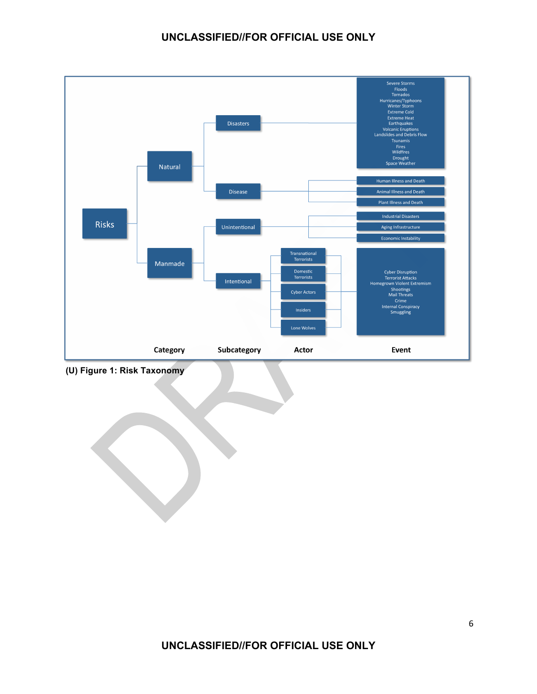

 **(U) Figure 1: Risk Taxonomy**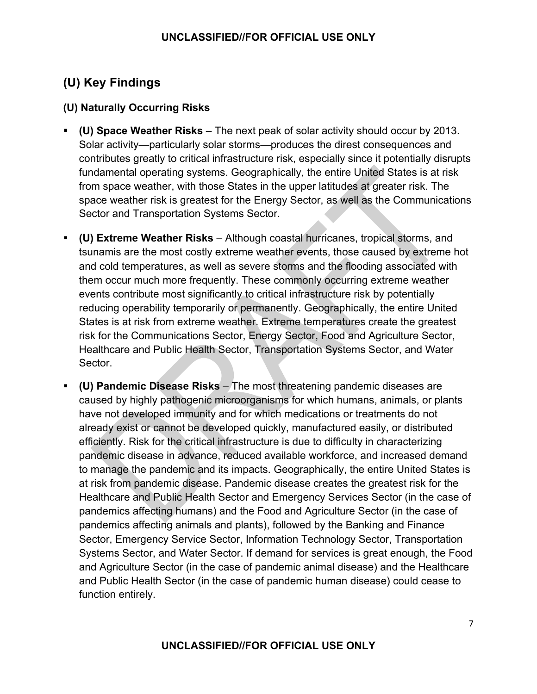## **(U) Key Findings**

#### **(U) Naturally Occurring Risks**

- **(U) Space Weather Risks** The next peak of solar activity should occur by 2013. Solar activity—particularly solar storms—produces the direst consequences and contributes greatly to critical infrastructure risk, especially since it potentially disrupts fundamental operating systems. Geographically, the entire United States is at risk from space weather, with those States in the upper latitudes at greater risk. The space weather risk is greatest for the Energy Sector, as well as the Communications Sector and Transportation Systems Sector.
- **(U) Extreme Weather Risks**  Although coastal hurricanes, tropical storms, and tsunamis are the most costly extreme weather events, those caused by extreme hot and cold temperatures, as well as severe storms and the flooding associated with them occur much more frequently. These commonly occurring extreme weather events contribute most significantly to critical infrastructure risk by potentially reducing operability temporarily or permanently. Geographically, the entire United States is at risk from extreme weather. Extreme temperatures create the greatest risk for the Communications Sector, Energy Sector, Food and Agriculture Sector, Healthcare and Public Health Sector, Transportation Systems Sector, and Water Sector.
- **(U) Pandemic Disease Risks** The most threatening pandemic diseases are caused by highly pathogenic microorganisms for which humans, animals, or plants have not developed immunity and for which medications or treatments do not already exist or cannot be developed quickly, manufactured easily, or distributed efficiently. Risk for the critical infrastructure is due to difficulty in characterizing pandemic disease in advance, reduced available workforce, and increased demand to manage the pandemic and its impacts. Geographically, the entire United States is at risk from pandemic disease. Pandemic disease creates the greatest risk for the Healthcare and Public Health Sector and Emergency Services Sector (in the case of pandemics affecting humans) and the Food and Agriculture Sector (in the case of pandemics affecting animals and plants), followed by the Banking and Finance Sector, Emergency Service Sector, Information Technology Sector, Transportation Systems Sector, and Water Sector. If demand for services is great enough, the Food and Agriculture Sector (in the case of pandemic animal disease) and the Healthcare and Public Health Sector (in the case of pandemic human disease) could cease to function entirely.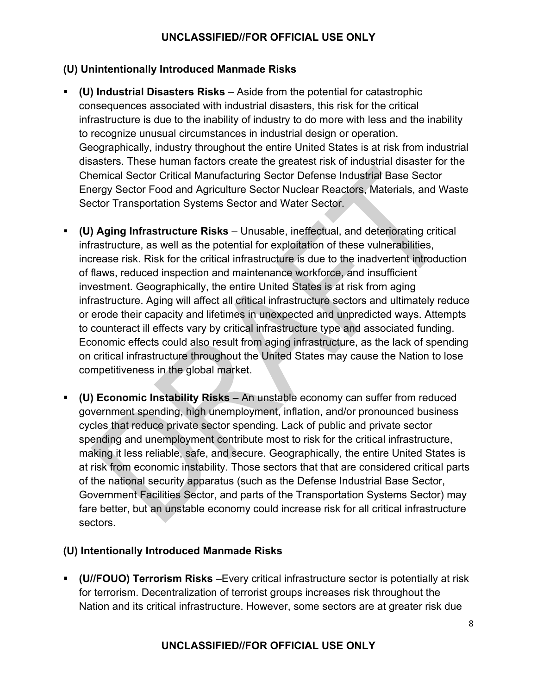#### **(U) Unintentionally Introduced Manmade Risks**

- **(U) Industrial Disasters Risks** Aside from the potential for catastrophic consequences associated with industrial disasters, this risk for the critical infrastructure is due to the inability of industry to do more with less and the inability to recognize unusual circumstances in industrial design or operation. Geographically, industry throughout the entire United States is at risk from industrial disasters. These human factors create the greatest risk of industrial disaster for the Chemical Sector Critical Manufacturing Sector Defense Industrial Base Sector Energy Sector Food and Agriculture Sector Nuclear Reactors, Materials, and Waste Sector Transportation Systems Sector and Water Sector.
- **(U) Aging Infrastructure Risks** Unusable, ineffectual, and deteriorating critical infrastructure, as well as the potential for exploitation of these vulnerabilities, increase risk. Risk for the critical infrastructure is due to the inadvertent introduction of flaws, reduced inspection and maintenance workforce, and insufficient investment. Geographically, the entire United States is at risk from aging infrastructure. Aging will affect all critical infrastructure sectors and ultimately reduce or erode their capacity and lifetimes in unexpected and unpredicted ways. Attempts to counteract ill effects vary by critical infrastructure type and associated funding. Economic effects could also result from aging infrastructure, as the lack of spending on critical infrastructure throughout the United States may cause the Nation to lose competitiveness in the global market.
- **(U) Economic Instability Risks** An unstable economy can suffer from reduced government spending, high unemployment, inflation, and/or pronounced business cycles that reduce private sector spending. Lack of public and private sector spending and unemployment contribute most to risk for the critical infrastructure, making it less reliable, safe, and secure. Geographically, the entire United States is at risk from economic instability. Those sectors that that are considered critical parts of the national security apparatus (such as the Defense Industrial Base Sector, Government Facilities Sector, and parts of the Transportation Systems Sector) may fare better, but an unstable economy could increase risk for all critical infrastructure sectors.

#### **(U) Intentionally Introduced Manmade Risks**

 **(U//FOUO) Terrorism Risks** –Every critical infrastructure sector is potentially at risk for terrorism. Decentralization of terrorist groups increases risk throughout the Nation and its critical infrastructure. However, some sectors are at greater risk due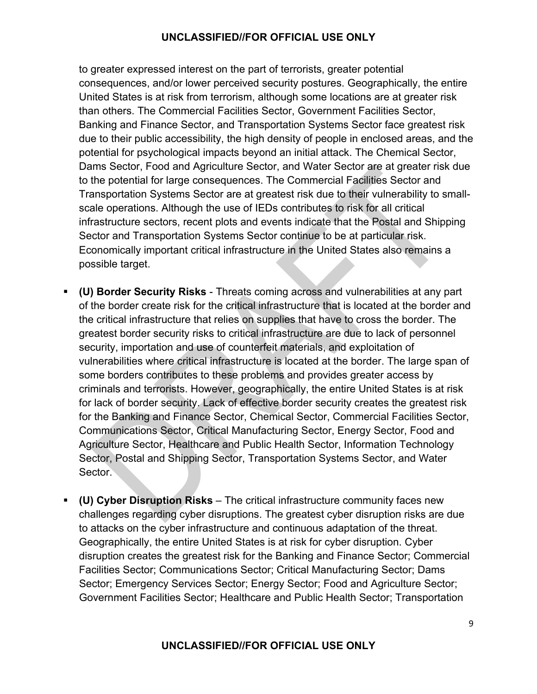to greater expressed interest on the part of terrorists, greater potential consequences, and/or lower perceived security postures. Geographically, the entire United States is at risk from terrorism, although some locations are at greater risk than others. The Commercial Facilities Sector, Government Facilities Sector, Banking and Finance Sector, and Transportation Systems Sector face greatest risk due to their public accessibility, the high density of people in enclosed areas, and the potential for psychological impacts beyond an initial attack. The Chemical Sector, Dams Sector, Food and Agriculture Sector, and Water Sector are at greater risk due to the potential for large consequences. The Commercial Facilities Sector and Transportation Systems Sector are at greatest risk due to their vulnerability to smallscale operations. Although the use of IEDs contributes to risk for all critical infrastructure sectors, recent plots and events indicate that the Postal and Shipping Sector and Transportation Systems Sector continue to be at particular risk. Economically important critical infrastructure in the United States also remains a possible target.

- **(U) Border Security Risks** Threats coming across and vulnerabilities at any part of the border create risk for the critical infrastructure that is located at the border and the critical infrastructure that relies on supplies that have to cross the border. The greatest border security risks to critical infrastructure are due to lack of personnel security, importation and use of counterfeit materials, and exploitation of vulnerabilities where critical infrastructure is located at the border. The large span of some borders contributes to these problems and provides greater access by criminals and terrorists. However, geographically, the entire United States is at risk for lack of border security. Lack of effective border security creates the greatest risk for the Banking and Finance Sector, Chemical Sector, Commercial Facilities Sector, Communications Sector, Critical Manufacturing Sector, Energy Sector, Food and Agriculture Sector, Healthcare and Public Health Sector, Information Technology Sector, Postal and Shipping Sector, Transportation Systems Sector, and Water Sector.
- **(U) Cyber Disruption Risks**  The critical infrastructure community faces new challenges regarding cyber disruptions. The greatest cyber disruption risks are due to attacks on the cyber infrastructure and continuous adaptation of the threat. Geographically, the entire United States is at risk for cyber disruption. Cyber disruption creates the greatest risk for the Banking and Finance Sector; Commercial Facilities Sector; Communications Sector; Critical Manufacturing Sector; Dams Sector; Emergency Services Sector; Energy Sector; Food and Agriculture Sector; Government Facilities Sector; Healthcare and Public Health Sector; Transportation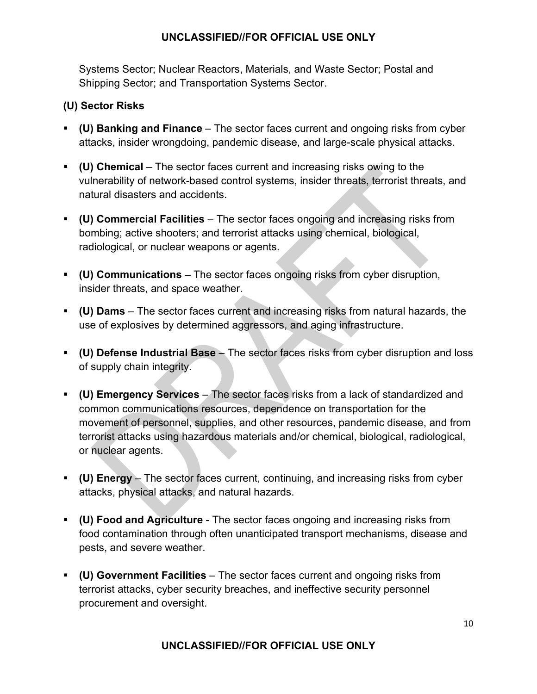Systems Sector; Nuclear Reactors, Materials, and Waste Sector; Postal and Shipping Sector; and Transportation Systems Sector.

#### **(U) Sector Risks**

- **(U) Banking and Finance** The sector faces current and ongoing risks from cyber attacks, insider wrongdoing, pandemic disease, and large-scale physical attacks.
- **(U) Chemical** The sector faces current and increasing risks owing to the vulnerability of network-based control systems, insider threats, terrorist threats, and natural disasters and accidents.
- **(U) Commercial Facilities** The sector faces ongoing and increasing risks from bombing; active shooters; and terrorist attacks using chemical, biological, radiological, or nuclear weapons or agents.
- **(U) Communications** The sector faces ongoing risks from cyber disruption, insider threats, and space weather.
- **(U) Dams** The sector faces current and increasing risks from natural hazards, the use of explosives by determined aggressors, and aging infrastructure.
- **(U) Defense Industrial Base** The sector faces risks from cyber disruption and loss of supply chain integrity.
- **(U) Emergency Services** The sector faces risks from a lack of standardized and common communications resources, dependence on transportation for the movement of personnel, supplies, and other resources, pandemic disease, and from terrorist attacks using hazardous materials and/or chemical, biological, radiological, or nuclear agents.
- **(U) Energy** The sector faces current, continuing, and increasing risks from cyber attacks, physical attacks, and natural hazards.
- **(U) Food and Agriculture**  The sector faces ongoing and increasing risks from food contamination through often unanticipated transport mechanisms, disease and pests, and severe weather.
- **(U) Government Facilities** The sector faces current and ongoing risks from terrorist attacks, cyber security breaches, and ineffective security personnel procurement and oversight.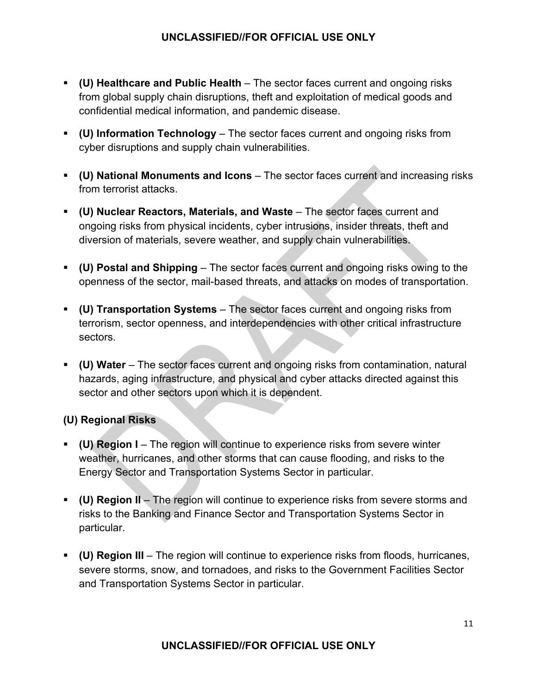- **(U) Healthcare and Public Health** The sector faces current and ongoing risks from global supply chain disruptions, theft and exploitation of medical goods and confidential medical information, and pandemic disease.
- **(U) Information Technology** The sector faces current and ongoing risks from cyber disruptions and supply chain vulnerabilities.
- **(U) National Monuments and Icons** The sector faces current and increasing risks from terrorist attacks.
- **(U) Nuclear Reactors, Materials, and Waste** The sector faces current and ongoing risks from physical incidents, cyber intrusions, insider threats, theft and diversion of materials, severe weather, and supply chain vulnerabilities.
- **(U) Postal and Shipping** The sector faces current and ongoing risks owing to the openness of the sector, mail-based threats, and attacks on modes of transportation.
- **(U) Transportation Systems** The sector faces current and ongoing risks from terrorism, sector openness, and interdependencies with other critical infrastructure sectors.
- **(U) Water** The sector faces current and ongoing risks from contamination, natural hazards, aging infrastructure, and physical and cyber attacks directed against this sector and other sectors upon which it is dependent.

#### **(U) Regional Risks**

- **(U) Region I** The region will continue to experience risks from severe winter weather, hurricanes, and other storms that can cause flooding, and risks to the Energy Sector and Transportation Systems Sector in particular.
- **(U) Region II** The region will continue to experience risks from severe storms and risks to the Banking and Finance Sector and Transportation Systems Sector in particular.
- **(U) Region III** The region will continue to experience risks from floods, hurricanes, severe storms, snow, and tornadoes, and risks to the Government Facilities Sector and Transportation Systems Sector in particular.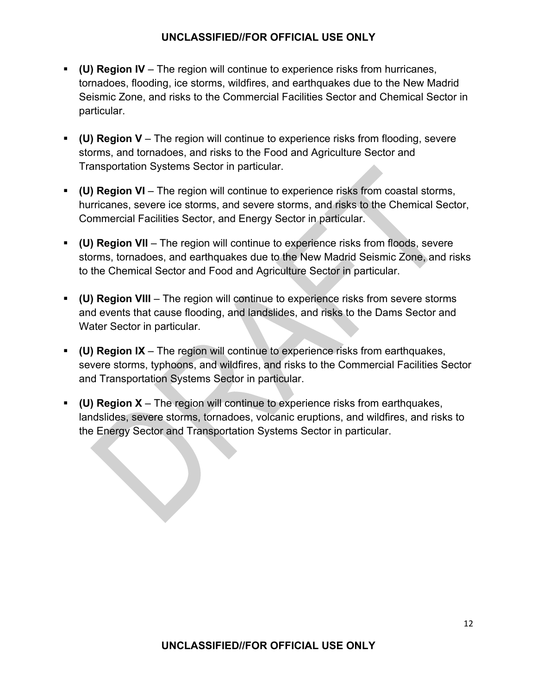- **(U) Region IV** The region will continue to experience risks from hurricanes, tornadoes, flooding, ice storms, wildfires, and earthquakes due to the New Madrid Seismic Zone, and risks to the Commercial Facilities Sector and Chemical Sector in particular.
- **(U) Region V** The region will continue to experience risks from flooding, severe storms, and tornadoes, and risks to the Food and Agriculture Sector and Transportation Systems Sector in particular.
- **(U) Region VI** The region will continue to experience risks from coastal storms, hurricanes, severe ice storms, and severe storms, and risks to the Chemical Sector, Commercial Facilities Sector, and Energy Sector in particular.
- **(U) Region VII** The region will continue to experience risks from floods, severe storms, tornadoes, and earthquakes due to the New Madrid Seismic Zone, and risks to the Chemical Sector and Food and Agriculture Sector in particular.
- **(U) Region VIII** The region will continue to experience risks from severe storms and events that cause flooding, and landslides, and risks to the Dams Sector and Water Sector in particular.
- **(U) Region IX** The region will continue to experience risks from earthquakes, severe storms, typhoons, and wildfires, and risks to the Commercial Facilities Sector and Transportation Systems Sector in particular.
- **(U) Region X** The region will continue to experience risks from earthquakes, landslides, severe storms, tornadoes, volcanic eruptions, and wildfires, and risks to the Energy Sector and Transportation Systems Sector in particular.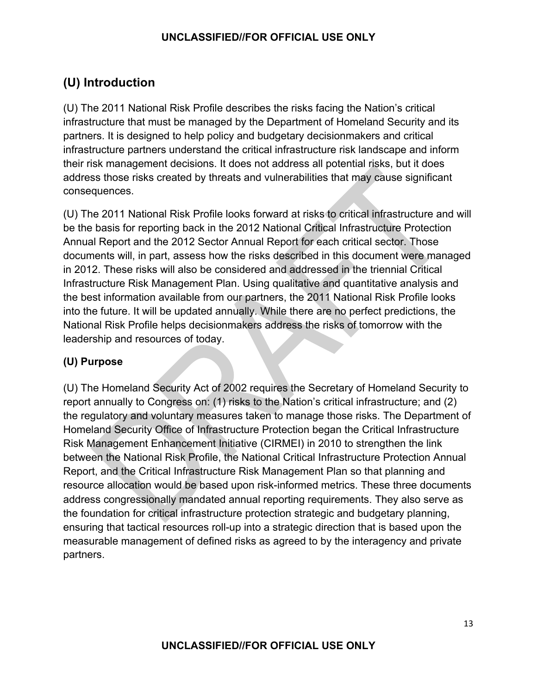## **(U) Introduction**

(U) The 2011 National Risk Profile describes the risks facing the Nation's critical infrastructure that must be managed by the Department of Homeland Security and its partners. It is designed to help policy and budgetary decisionmakers and critical infrastructure partners understand the critical infrastructure risk landscape and inform their risk management decisions. It does not address all potential risks, but it does address those risks created by threats and vulnerabilities that may cause significant consequences.

(U) The 2011 National Risk Profile looks forward at risks to critical infrastructure and will be the basis for reporting back in the 2012 National Critical Infrastructure Protection Annual Report and the 2012 Sector Annual Report for each critical sector. Those documents will, in part, assess how the risks described in this document were managed in 2012. These risks will also be considered and addressed in the triennial Critical Infrastructure Risk Management Plan. Using qualitative and quantitative analysis and the best information available from our partners, the 2011 National Risk Profile looks into the future. It will be updated annually. While there are no perfect predictions, the National Risk Profile helps decisionmakers address the risks of tomorrow with the leadership and resources of today.

#### **(U) Purpose**

(U) The Homeland Security Act of 2002 requires the Secretary of Homeland Security to report annually to Congress on: (1) risks to the Nation's critical infrastructure; and (2) the regulatory and voluntary measures taken to manage those risks. The Department of Homeland Security Office of Infrastructure Protection began the Critical Infrastructure Risk Management Enhancement Initiative (CIRMEI) in 2010 to strengthen the link between the National Risk Profile, the National Critical Infrastructure Protection Annual Report, and the Critical Infrastructure Risk Management Plan so that planning and resource allocation would be based upon risk-informed metrics. These three documents address congressionally mandated annual reporting requirements. They also serve as the foundation for critical infrastructure protection strategic and budgetary planning, ensuring that tactical resources roll-up into a strategic direction that is based upon the measurable management of defined risks as agreed to by the interagency and private partners.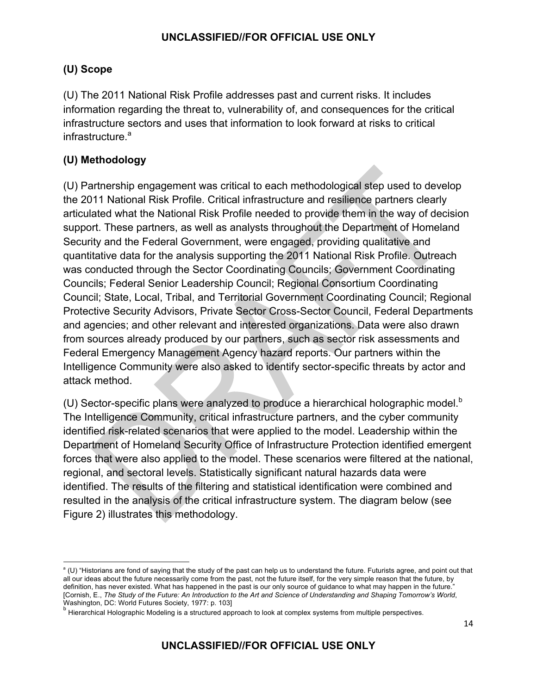#### **(U) Scope**

(U) The 2011 National Risk Profile addresses past and current risks. It includes information regarding the threat to, vulnerability of, and consequences for the critical infrastructure sectors and uses that information to look forward at risks to critical infrastructure.<sup>a</sup>

#### **(U) Methodology**

(U) Partnership engagement was critical to each methodological step used to develop the 2011 National Risk Profile. Critical infrastructure and resilience partners clearly articulated what the National Risk Profile needed to provide them in the way of decision support. These partners, as well as analysts throughout the Department of Homeland Security and the Federal Government, were engaged, providing qualitative and quantitative data for the analysis supporting the 2011 National Risk Profile. Outreach was conducted through the Sector Coordinating Councils; Government Coordinating Councils; Federal Senior Leadership Council; Regional Consortium Coordinating Council; State, Local, Tribal, and Territorial Government Coordinating Council; Regional Protective Security Advisors, Private Sector Cross-Sector Council, Federal Departments and agencies; and other relevant and interested organizations. Data were also drawn from sources already produced by our partners, such as sector risk assessments and Federal Emergency Management Agency hazard reports. Our partners within the Intelligence Community were also asked to identify sector-specific threats by actor and attack method.

(U) Sector-specific plans were analyzed to produce a hierarchical holographic model. $b$ The Intelligence Community, critical infrastructure partners, and the cyber community identified risk-related scenarios that were applied to the model. Leadership within the Department of Homeland Security Office of Infrastructure Protection identified emergent forces that were also applied to the model. These scenarios were filtered at the national, regional, and sectoral levels. Statistically significant natural hazards data were identified. The results of the filtering and statistical identification were combined and resulted in the analysis of the critical infrastructure system. The diagram below (see Figure 2) illustrates this methodology.

<sup>&</sup>lt;u> 1989 - Jan Samuel Barbara, político establecido de la provincia de la provincia de la provincia de la provinci</u> <sup>a</sup> (U) "Historians are fond of saying that the study of the past can help us to understand the future. Futurists agree, and point out that all our ideas about the future necessarily come from the past, not the future itself, for the very simple reason that the future, by definition, has never existed. What has happened in the past is our only source of guidance to what may happen in the future. [Cornish, E., *The Study of the Future: An Introduction to the Art and Science of Understanding and Shaping Tomorrow's World*, Washington, DC: World Futures Society, 1977: p. 103]

b Hierarchical Holographic Modeling is a structured approach to look at complex systems from multiple perspectives.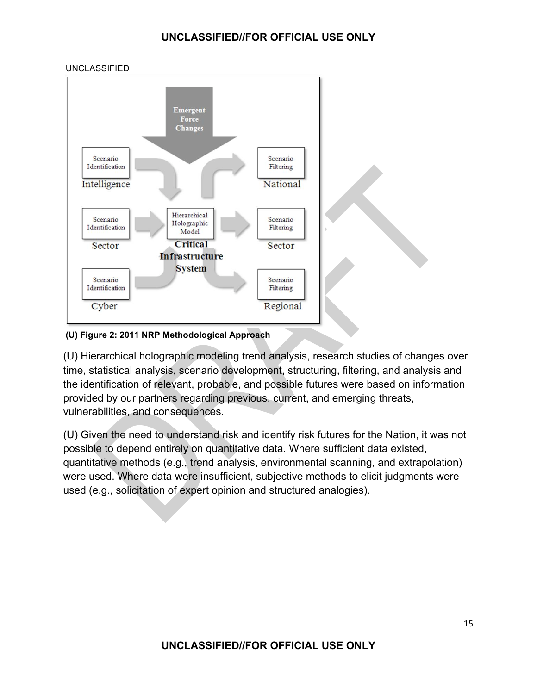

#### **(U) Figure 2: 2011 NRP Methodological Approach**

(U) Hierarchical holographic modeling trend analysis, research studies of changes over time, statistical analysis, scenario development, structuring, filtering, and analysis and the identification of relevant, probable, and possible futures were based on information provided by our partners regarding previous, current, and emerging threats, vulnerabilities, and consequences.

(U) Given the need to understand risk and identify risk futures for the Nation, it was not possible to depend entirely on quantitative data. Where sufficient data existed, quantitative methods (e.g., trend analysis, environmental scanning, and extrapolation) were used. Where data were insufficient, subjective methods to elicit judgments were used (e.g., solicitation of expert opinion and structured analogies).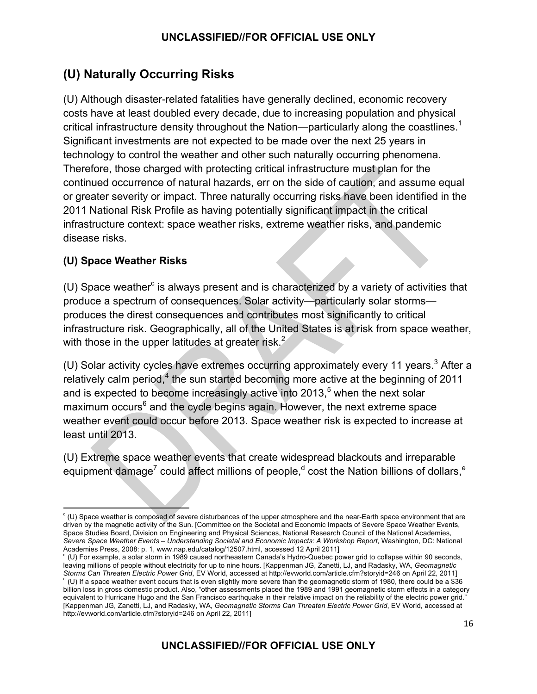## **(U) Naturally Occurring Risks**

(U) Although disaster-related fatalities have generally declined, economic recovery costs have at least doubled every decade, due to increasing population and physical critical infrastructure density throughout the Nation—particularly along the coastlines.<sup>1</sup> Significant investments are not expected to be made over the next 25 years in technology to control the weather and other such naturally occurring phenomena. Therefore, those charged with protecting critical infrastructure must plan for the continued occurrence of natural hazards, err on the side of caution, and assume equal or greater severity or impact. Three naturally occurring risks have been identified in the 2011 National Risk Profile as having potentially significant impact in the critical infrastructure context: space weather risks, extreme weather risks, and pandemic disease risks.

#### **(U) Space Weather Risks**

 $(U)$  Space weather $c$  is always present and is characterized by a variety of activities that produce a spectrum of consequences. Solar activity—particularly solar storms produces the direst consequences and contributes most significantly to critical infrastructure risk. Geographically, all of the United States is at risk from space weather, with those in the upper latitudes at greater risk. $<sup>2</sup>$ </sup>

(U) Solar activity cycles have extremes occurring approximately every 11 years. $3$  After a relatively calm period,<sup>4</sup> the sun started becoming more active at the beginning of 2011 and is expected to become increasingly active into 2013, $5$  when the next solar maximum occurs<sup>6</sup> and the cycle begins again. However, the next extreme space weather event could occur before 2013. Space weather risk is expected to increase at least until 2013.

(U) Extreme space weather events that create widespread blackouts and irreparable equipment damage<sup>7</sup> could affect millions of people,<sup>d</sup> cost the Nation billions of dollars,<sup>e</sup>

CU) Space weather is composed of severe disturbances of the upper atmosphere and the near-Earth space environment that are driven by the magnetic activity of the Sun. [Committee on the Societal and Economic Impacts of Severe Space Weather Events, Space Studies Board, Division on Engineering and Physical Sciences, National Research Council of the National Academies, *Severe Space Weather Events – Understanding Societal and Economic Impacts: A Workshop Report*, Washington, DC: National Academies Press, 2008: p. 1, www.nap.edu/catalog/12507.html, accessed 12 April 2011]

<sup>&</sup>lt;sup>d</sup> (U) For example, a solar storm in 1989 caused northeastern Canada's Hydro-Quebec power grid to collapse within 90 seconds, leaving millions of people without electricity for up to nine hours. [Kappenman JG, Zanetti, LJ, and Radasky, WA, *Geomagnetic Storms Can Threaten Electric Power Grid*, EV World, accessed at http://evworld.com/article.cfm?storyid=246 on April 22, 2011] e (U) If a space weather event occurs that is even slightly more severe than the geomagnetic storm of 1980, there could be a \$36 billion loss in gross domestic product. Also, "other assessments placed the 1989 and 1991 geomagnetic storm effects in a category equivalent to Hurricane Hugo and the San Francisco earthquake in their relative impact on the reliability of the electric power grid. [Kappenman JG, Zanetti, LJ, and Radasky, WA, *Geomagnetic Storms Can Threaten Electric Power Grid*, EV World, accessed at http://evworld.com/article.cfm?storyid=246 on April 22, 2011]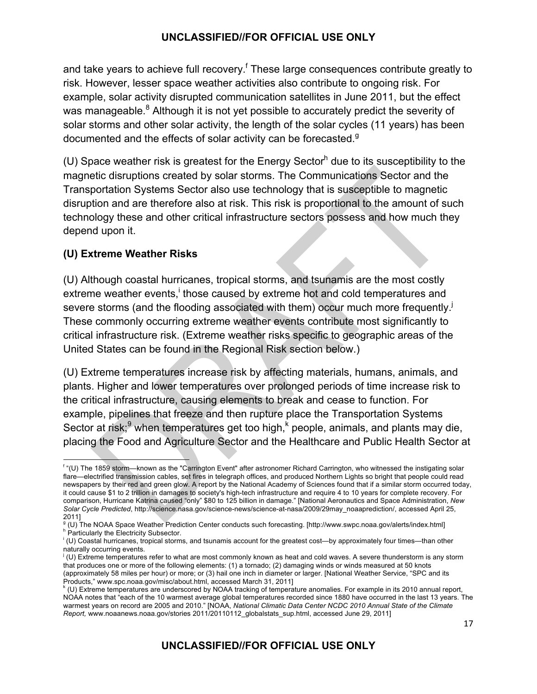and take years to achieve full recovery.<sup>f</sup> These large consequences contribute greatly to risk. However, lesser space weather activities also contribute to ongoing risk. For example, solar activity disrupted communication satellites in June 2011, but the effect was manageable.<sup>8</sup> Although it is not yet possible to accurately predict the severity of solar storms and other solar activity, the length of the solar cycles (11 years) has been documented and the effects of solar activity can be forecasted.<sup>9</sup>

(U) Space weather risk is greatest for the Energy Sector<sup>h</sup> due to its susceptibility to the magnetic disruptions created by solar storms. The Communications Sector and the Transportation Systems Sector also use technology that is susceptible to magnetic disruption and are therefore also at risk. This risk is proportional to the amount of such technology these and other critical infrastructure sectors possess and how much they depend upon it.

#### **(U) Extreme Weather Risks**

(U) Although coastal hurricanes, tropical storms, and tsunamis are the most costly extreme weather events, those caused by extreme hot and cold temperatures and severe storms (and the flooding associated with them) occur much more frequently.<sup>j</sup> These commonly occurring extreme weather events contribute most significantly to critical infrastructure risk. (Extreme weather risks specific to geographic areas of the United States can be found in the Regional Risk section below.)

(U) Extreme temperatures increase risk by affecting materials, humans, animals, and plants. Higher and lower temperatures over prolonged periods of time increase risk to the critical infrastructure, causing elements to break and cease to function. For example, pipelines that freeze and then rupture place the Transportation Systems Sector at risk;<sup>9</sup> when temperatures get too high,<sup>k</sup> people, animals, and plants may die, placing the Food and Agriculture Sector and the Healthcare and Public Health Sector at

 $\overline{\phantom{a}}$  and  $\overline{\phantom{a}}$  and  $\overline{\phantom{a}}$  and  $\overline{\phantom{a}}$ f "(U) The 1859 storm—known as the "Carrington Event" after astronomer Richard Carrington, who witnessed the instigating solar flare—electrified transmission cables, set fires in telegraph offices, and produced Northern Lights so bright that people could read newspapers by their red and green glow. A report by the National Academy of Sciences found that if a similar storm occurred today, it could cause \$1 to 2 trillion in damages to society's high-tech infrastructure and require 4 to 10 years for complete recovery. For comparison, Hurricane Katrina caused "only" \$80 to 125 billion in damage." [National Aeronautics and Space Administration, *New Solar Cycle Predicted*, http://science.nasa.gov/science-news/science-at-nasa/2009/29may\_noaaprediction/, accessed April 25, 2011]

<sup>&</sup>lt;sup>g</sup> (U) The NOAA Space Weather Prediction Center conducts such forecasting. [http://www.swpc.noaa.gov/alerts/index.html] <sup>h</sup> Particularly the Electricity Subsector.

i (U) Coastal hurricanes, tropical storms, and tsunamis account for the greatest cost—by approximately four times—than other naturally occurring events.

j (U) Extreme temperatures refer to what are most commonly known as heat and cold waves. A severe thunderstorm is any storm that produces one or more of the following elements: (1) a tornado; (2) damaging winds or winds measured at 50 knots (approximately 58 miles per hour) or more; or (3) hail one inch in diameter or larger. [National Weather Service, "SPC and its Products," www.spc.noaa.gov/misc/about.html, accessed March 31, 2011]

k (U) Extreme temperatures are underscored by NOAA tracking of temperature anomalies. For example in its 2010 annual report, NOAA notes that "each of the 10 warmest average global temperatures recorded since 1880 have occurred in the last 13 years. The warmest years on record are 2005 and 2010." [NOAA, *National Climatic Data Center NCDC 2010 Annual State of the Climate Report,* www.noaanews.noaa.gov/stories 2011/20110112\_globalstats\_sup.html, accessed June 29, 2011]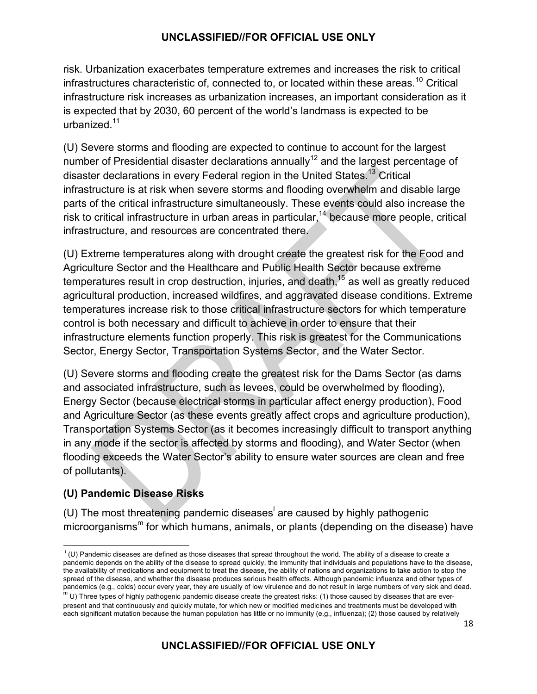risk. Urbanization exacerbates temperature extremes and increases the risk to critical infrastructures characteristic of, connected to, or located within these areas.<sup>10</sup> Critical infrastructure risk increases as urbanization increases, an important consideration as it is expected that by 2030, 60 percent of the world's landmass is expected to be urbanized.<sup>11</sup>

(U) Severe storms and flooding are expected to continue to account for the largest number of Presidential disaster declarations annually<sup>12</sup> and the largest percentage of disaster declarations in every Federal region in the United States.<sup>13</sup> Critical infrastructure is at risk when severe storms and flooding overwhelm and disable large parts of the critical infrastructure simultaneously. These events could also increase the risk to critical infrastructure in urban areas in particular,<sup>14</sup> because more people, critical infrastructure, and resources are concentrated there.

(U) Extreme temperatures along with drought create the greatest risk for the Food and Agriculture Sector and the Healthcare and Public Health Sector because extreme temperatures result in crop destruction, injuries, and death, $15$  as well as greatly reduced agricultural production, increased wildfires, and aggravated disease conditions. Extreme temperatures increase risk to those critical infrastructure sectors for which temperature control is both necessary and difficult to achieve in order to ensure that their infrastructure elements function properly. This risk is greatest for the Communications Sector, Energy Sector, Transportation Systems Sector, and the Water Sector.

(U) Severe storms and flooding create the greatest risk for the Dams Sector (as dams and associated infrastructure, such as levees, could be overwhelmed by flooding), Energy Sector (because electrical storms in particular affect energy production), Food and Agriculture Sector (as these events greatly affect crops and agriculture production), Transportation Systems Sector (as it becomes increasingly difficult to transport anything in any mode if the sector is affected by storms and flooding), and Water Sector (when flooding exceeds the Water Sector's ability to ensure water sources are clean and free of pollutants).

#### **(U) Pandemic Disease Risks**

(U) The most threatening pandemic diseases are caused by highly pathogenic microorganisms<sup>m</sup> for which humans, animals, or plants (depending on the disease) have

 l (U) Pandemic diseases are defined as those diseases that spread throughout the world. The ability of a disease to create a pandemic depends on the ability of the disease to spread quickly, the immunity that individuals and populations have to the disease, the availability of medications and equipment to treat the disease, the ability of nations and organizations to take action to stop the spread of the disease, and whether the disease produces serious health effects. Although pandemic influenza and other types of pandemics (e.g., colds) occur every year, they are usually of low virulence and do not result in large numbers of very sick and dead.

 $^{\rm m}$  U) Three types of highly pathogenic pandemic disease create the greatest risks: (1) those caused by diseases that are everpresent and that continuously and quickly mutate, for which new or modified medicines and treatments must be developed with each significant mutation because the human population has little or no immunity (e.g., influenza); (2) those caused by relatively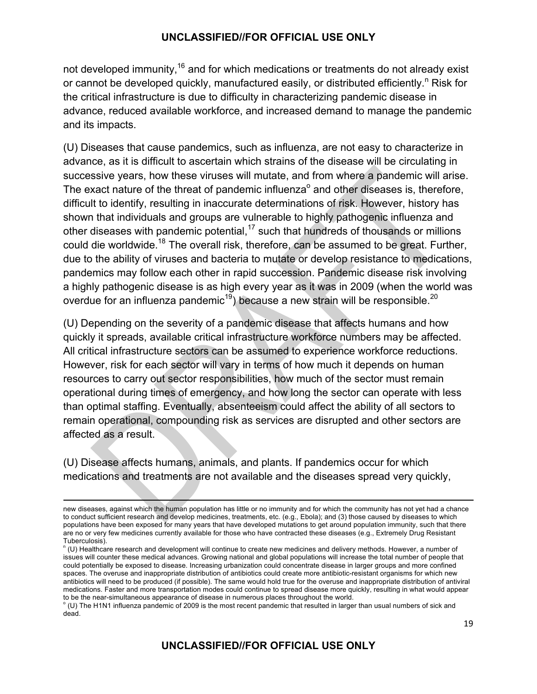not developed immunity, $16$  and for which medications or treatments do not already exist or cannot be developed quickly, manufactured easily, or distributed efficiently.<sup>n</sup> Risk for the critical infrastructure is due to difficulty in characterizing pandemic disease in advance, reduced available workforce, and increased demand to manage the pandemic and its impacts.

(U) Diseases that cause pandemics, such as influenza, are not easy to characterize in advance, as it is difficult to ascertain which strains of the disease will be circulating in successive years, how these viruses will mutate, and from where a pandemic will arise. The exact nature of the threat of pandemic influenza $^{\circ}$  and other diseases is, therefore, difficult to identify, resulting in inaccurate determinations of risk. However, history has shown that individuals and groups are vulnerable to highly pathogenic influenza and other diseases with pandemic potential, $17$  such that hundreds of thousands or millions could die worldwide.<sup>18</sup> The overall risk, therefore, can be assumed to be great. Further, due to the ability of viruses and bacteria to mutate or develop resistance to medications, pandemics may follow each other in rapid succession. Pandemic disease risk involving a highly pathogenic disease is as high every year as it was in 2009 (when the world was overdue for an influenza pandemic<sup>19</sup>) because a new strain will be responsible.<sup>20</sup>

(U) Depending on the severity of a pandemic disease that affects humans and how quickly it spreads, available critical infrastructure workforce numbers may be affected. All critical infrastructure sectors can be assumed to experience workforce reductions. However, risk for each sector will vary in terms of how much it depends on human resources to carry out sector responsibilities, how much of the sector must remain operational during times of emergency, and how long the sector can operate with less than optimal staffing. Eventually, absenteeism could affect the ability of all sectors to remain operational, compounding risk as services are disrupted and other sectors are affected as a result.

(U) Disease affects humans, animals, and plants. If pandemics occur for which medications and treatments are not available and the diseases spread very quickly,

new diseases, against which the human population has little or no immunity and for which the community has not yet had a chance to conduct sufficient research and develop medicines, treatments, etc. (e.g., Ebola); and (3) those caused by diseases to which populations have been exposed for many years that have developed mutations to get around population immunity, such that there are no or very few medicines currently available for those who have contracted these diseases (e.g., Extremely Drug Resistant Tuberculosis).

<sup>&</sup>quot; (U) Healthcare research and development will continue to create new medicines and delivery methods. However, a number of issues will counter these medical advances. Growing national and global populations will increase the total number of people that could potentially be exposed to disease. Increasing urbanization could concentrate disease in larger groups and more confined spaces. The overuse and inappropriate distribution of antibiotics could create more antibiotic-resistant organisms for which new antibiotics will need to be produced (if possible). The same would hold true for the overuse and inappropriate distribution of antiviral medications. Faster and more transportation modes could continue to spread disease more quickly, resulting in what would appear to be the near-simultaneous appearance of disease in numerous places throughout the world.

 $\degree$  (U) The H1N1 influenza pandemic of 2009 is the most recent pandemic that resulted in larger than usual numbers of sick and dead.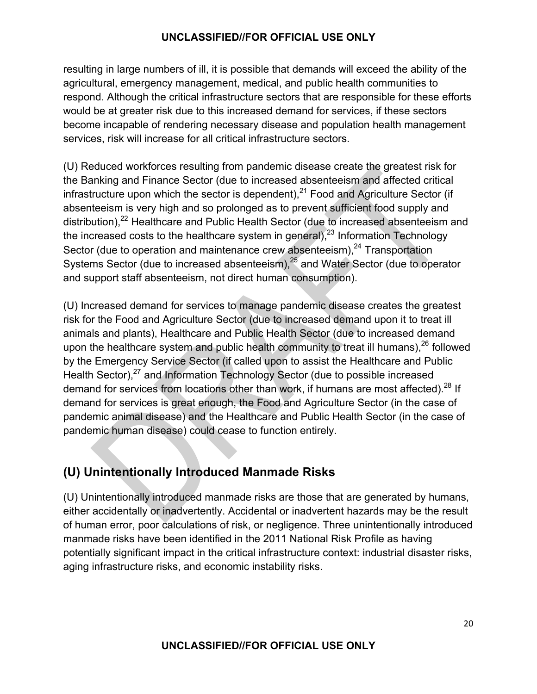resulting in large numbers of ill, it is possible that demands will exceed the ability of the agricultural, emergency management, medical, and public health communities to respond. Although the critical infrastructure sectors that are responsible for these efforts would be at greater risk due to this increased demand for services, if these sectors become incapable of rendering necessary disease and population health management services, risk will increase for all critical infrastructure sectors.

(U) Reduced workforces resulting from pandemic disease create the greatest risk for the Banking and Finance Sector (due to increased absenteeism and affected critical infrastructure upon which the sector is dependent), $^{21}$  Food and Agriculture Sector (if absenteeism is very high and so prolonged as to prevent sufficient food supply and distribution),<sup>22</sup> Healthcare and Public Health Sector (due to increased absenteeism and the increased costs to the healthcare system in general), $^{23}$  Information Technology Sector (due to operation and maintenance crew absenteeism), $^{24}$  Transportation Systems Sector (due to increased absenteeism), $25$  and Water Sector (due to operator and support staff absenteeism, not direct human consumption).

(U) Increased demand for services to manage pandemic disease creates the greatest risk for the Food and Agriculture Sector (due to increased demand upon it to treat ill animals and plants), Healthcare and Public Health Sector (due to increased demand upon the healthcare system and public health community to treat ill humans), $^{26}$  followed by the Emergency Service Sector (if called upon to assist the Healthcare and Public Health Sector),<sup>27</sup> and Information Technology Sector (due to possible increased demand for services from locations other than work, if humans are most affected).<sup>28</sup> If demand for services is great enough, the Food and Agriculture Sector (in the case of pandemic animal disease) and the Healthcare and Public Health Sector (in the case of pandemic human disease) could cease to function entirely.

## **(U) Unintentionally Introduced Manmade Risks**

(U) Unintentionally introduced manmade risks are those that are generated by humans, either accidentally or inadvertently. Accidental or inadvertent hazards may be the result of human error, poor calculations of risk, or negligence. Three unintentionally introduced manmade risks have been identified in the 2011 National Risk Profile as having potentially significant impact in the critical infrastructure context: industrial disaster risks, aging infrastructure risks, and economic instability risks.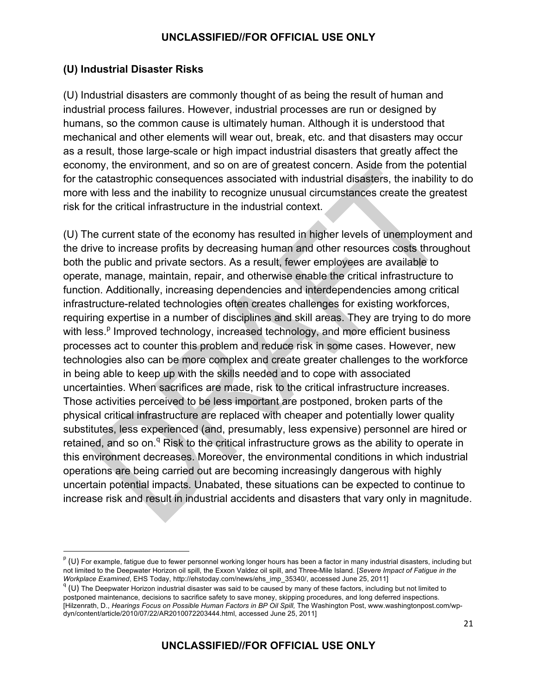#### **(U) Industrial Disaster Risks**

(U) Industrial disasters are commonly thought of as being the result of human and industrial process failures. However, industrial processes are run or designed by humans, so the common cause is ultimately human. Although it is understood that mechanical and other elements will wear out, break, etc. and that disasters may occur as a result, those large-scale or high impact industrial disasters that greatly affect the economy, the environment, and so on are of greatest concern. Aside from the potential for the catastrophic consequences associated with industrial disasters, the inability to do more with less and the inability to recognize unusual circumstances create the greatest risk for the critical infrastructure in the industrial context.

(U) The current state of the economy has resulted in higher levels of unemployment and the drive to increase profits by decreasing human and other resources costs throughout both the public and private sectors. As a result, fewer employees are available to operate, manage, maintain, repair, and otherwise enable the critical infrastructure to function. Additionally, increasing dependencies and interdependencies among critical infrastructure-related technologies often creates challenges for existing workforces, requiring expertise in a number of disciplines and skill areas. They are trying to do more with less.<sup>p</sup> Improved technology, increased technology, and more efficient business processes act to counter this problem and reduce risk in some cases. However, new technologies also can be more complex and create greater challenges to the workforce in being able to keep up with the skills needed and to cope with associated uncertainties. When sacrifices are made, risk to the critical infrastructure increases. Those activities perceived to be less important are postponed, broken parts of the physical critical infrastructure are replaced with cheaper and potentially lower quality substitutes, less experienced (and, presumably, less expensive) personnel are hired or retained, and so on.<sup>q</sup> Risk to the critical infrastructure grows as the ability to operate in this environment decreases. Moreover, the environmental conditions in which industrial operations are being carried out are becoming increasingly dangerous with highly uncertain potential impacts. Unabated, these situations can be expected to continue to increase risk and result in industrial accidents and disasters that vary only in magnitude.

 $P$  (U) For example, fatigue due to fewer personnel working longer hours has been a factor in many industrial disasters, including but not limited to the Deepwater Horizon oil spill, the Exxon Valdez oil spill, and Three-Mile Island. [*Severe Impact of Fatigue in the Workplace Examined*, EHS Today, http://ehstoday.com/news/ehs\_imp\_35340/, accessed June 25, 2011] <sup>q</sup>

 $q$  (U) The Deepwater Horizon industrial disaster was said to be caused by many of these factors, including but not limited to postponed maintenance, decisions to sacrifice safety to save money, skipping procedures, and long deferred inspections. [Hilzenrath, D., *Hearings Focus on Possible Human Factors in BP Oil Spill,* The Washington Post, www.washingtonpost.com/wpdyn/content/article/2010/07/22/AR2010072203444.html, accessed June 25, 2011]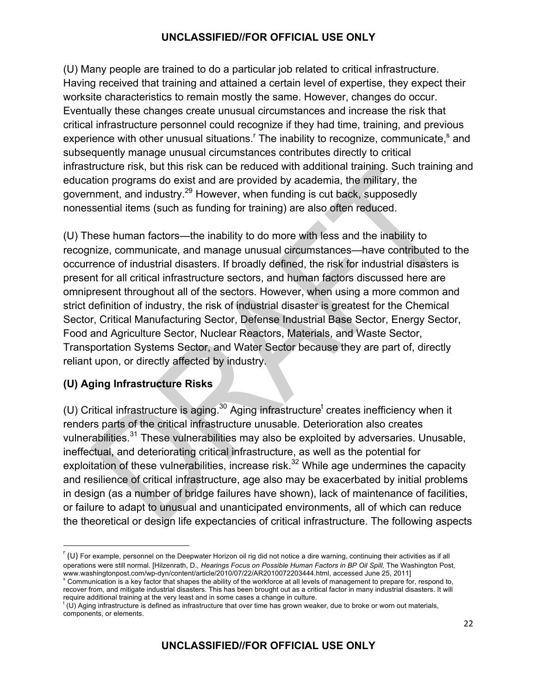(U) Many people are trained to do a particular job related to critical infrastructure. Having received that training and attained a certain level of expertise, they expect their worksite characteristics to remain mostly the same. However, changes do occur. Eventually these changes create unusual circumstances and increase the risk that critical infrastructure personnel could recognize if they had time, training, and previous experience with other unusual situations. The inability to recognize, communicate,<sup>s</sup> and subsequently manage unusual circumstances contributes directly to critical infrastructure risk, but this risk can be reduced with additional training. Such training and education programs do exist and are provided by academia, the military, the government, and industry.<sup>29</sup> However, when funding is cut back, supposedly nonessential items (such as funding for training) are also often reduced.

(U) These human factors—the inability to do more with less and the inability to recognize, communicate, and manage unusual circumstances—have contributed to the occurrence of industrial disasters. If broadly defined, the risk for industrial disasters is present for all critical infrastructure sectors, and human factors discussed here are omnipresent throughout all of the sectors. However, when using a more common and strict definition of industry, the risk of industrial disaster is greatest for the Chemical Sector, Critical Manufacturing Sector, Defense Industrial Base Sector, Energy Sector, Food and Agriculture Sector, Nuclear Reactors, Materials, and Waste Sector, Transportation Systems Sector, and Water Sector because they are part of, directly reliant upon, or directly affected by industry.

#### **(U) Aging Infrastructure Risks**

<u> 1989 - Jan Samuel Barbara, político establecido de la provincia de la provincia de la provincia de la provinci</u>

(U) Critical infrastructure is aging.<sup>30</sup> Aging infrastructure<sup>t</sup> creates inefficiency when it renders parts of the critical infrastructure unusable. Deterioration also creates vulnerabilities.<sup>31</sup> These vulnerabilities may also be exploited by adversaries. Unusable, ineffectual, and deteriorating critical infrastructure, as well as the potential for exploitation of these vulnerabilities, increase risk. $32$  While age undermines the capacity and resilience of critical infrastructure, age also may be exacerbated by initial problems in design (as a number of bridge failures have shown), lack of maintenance of facilities, or failure to adapt to unusual and unanticipated environments, all of which can reduce the theoretical or design life expectancies of critical infrastructure. The following aspects

 $\lceil$  (U) For example, personnel on the Deepwater Horizon oil rig did not notice a dire warning, continuing their activities as if all operations were still normal. [Hilzenrath, D., *Hearings Focus on Possible Human Factors in BP Oil Spill*, The Washington Post, www.washingtonpost.com/wp-dyn/content/article/2010/07/22/AR2010072203444.html, accessed June 25, 2011]

<sup>&</sup>lt;sup>s</sup> Communication is a key factor that shapes the ability of the workforce at all levels of management to prepare for, respond to, recover from, and mitigate industrial disasters. This has been brought out as a critical factor in many industrial disasters. It will require additional training at the very least and in some cases a change in culture.

t (U) Aging infrastructure is defined as infrastructure that over time has grown weaker, due to broke or worn out materials, components, or elements.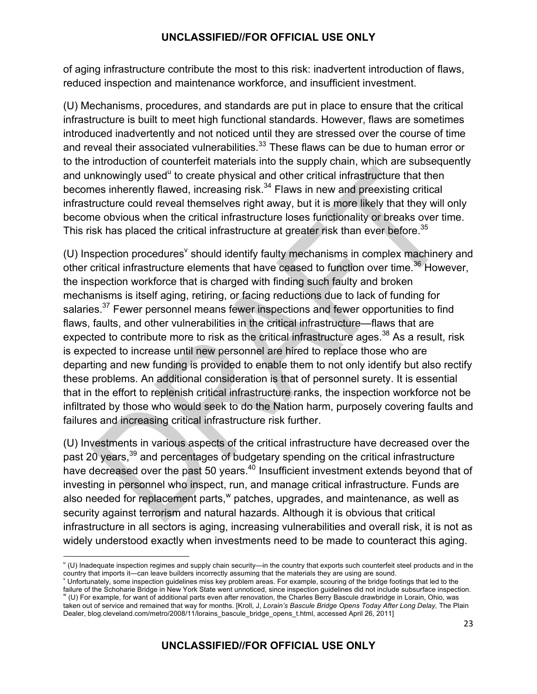of aging infrastructure contribute the most to this risk: inadvertent introduction of flaws, reduced inspection and maintenance workforce, and insufficient investment.

(U) Mechanisms, procedures, and standards are put in place to ensure that the critical infrastructure is built to meet high functional standards. However, flaws are sometimes introduced inadvertently and not noticed until they are stressed over the course of time and reveal their associated vulnerabilities.<sup>33</sup> These flaws can be due to human error or to the introduction of counterfeit materials into the supply chain, which are subsequently and unknowingly used<sup>u</sup> to create physical and other critical infrastructure that then becomes inherently flawed, increasing risk. $34$  Flaws in new and preexisting critical infrastructure could reveal themselves right away, but it is more likely that they will only become obvious when the critical infrastructure loses functionality or breaks over time. This risk has placed the critical infrastructure at greater risk than ever before.<sup>35</sup>

(U) Inspection procedures<sup>v</sup> should identify faulty mechanisms in complex machinery and other critical infrastructure elements that have ceased to function over time.<sup>36</sup> However, the inspection workforce that is charged with finding such faulty and broken mechanisms is itself aging, retiring, or facing reductions due to lack of funding for salaries.<sup>37</sup> Fewer personnel means fewer inspections and fewer opportunities to find flaws, faults, and other vulnerabilities in the critical infrastructure—flaws that are expected to contribute more to risk as the critical infrastructure ages.<sup>38</sup> As a result, risk is expected to increase until new personnel are hired to replace those who are departing and new funding is provided to enable them to not only identify but also rectify these problems. An additional consideration is that of personnel surety. It is essential that in the effort to replenish critical infrastructure ranks, the inspection workforce not be infiltrated by those who would seek to do the Nation harm, purposely covering faults and failures and increasing critical infrastructure risk further.

(U) Investments in various aspects of the critical infrastructure have decreased over the past 20 years,<sup>39</sup> and percentages of budgetary spending on the critical infrastructure have decreased over the past 50 years.<sup>40</sup> Insufficient investment extends beyond that of investing in personnel who inspect, run, and manage critical infrastructure. Funds are also needed for replacement parts,  $w$  patches, upgrades, and maintenance, as well as security against terrorism and natural hazards. Although it is obvious that critical infrastructure in all sectors is aging, increasing vulnerabilities and overall risk, it is not as widely understood exactly when investments need to be made to counteract this aging.

 u (U) Inadequate inspection regimes and supply chain security—in the country that exports such counterfeit steel products and in the country that imports it—can leave builders incorrectly assuming that the materials they are using are sound.<br><sup>v</sup> Unfortunately, some inspection guidelines miss key problem areas. For example, scouring of the bridge footing

failure of the Schoharie Bridge in New York State went unnoticed, since inspection guidelines did not include subsurface inspection. w (U) For example, for want of additional parts even after renovation, the Charles Berry Bascule drawbridge in Lorain, Ohio, was taken out of service and remained that way for months. [Kroll, J, *Lorain's Bascule Bridge Opens Today After Long Delay,* The Plain

Dealer, blog.cleveland.com/metro/2008/11/lorains\_bascule\_bridge\_opens\_t.html, accessed April 26, 2011]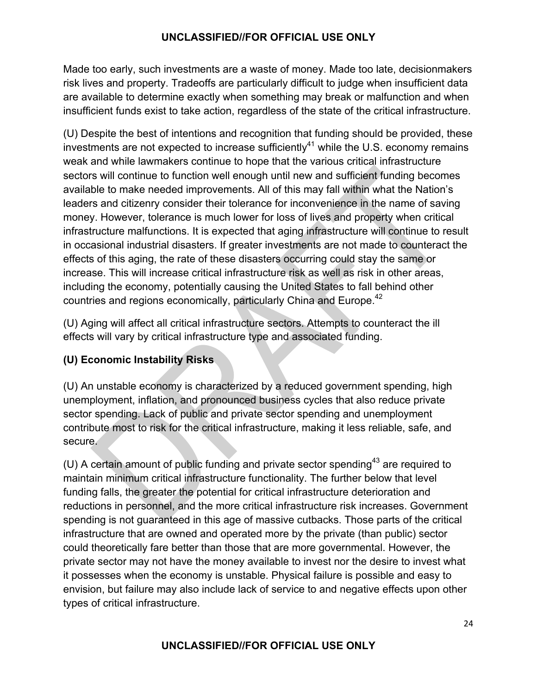Made too early, such investments are a waste of money. Made too late, decisionmakers risk lives and property. Tradeoffs are particularly difficult to judge when insufficient data are available to determine exactly when something may break or malfunction and when insufficient funds exist to take action, regardless of the state of the critical infrastructure.

(U) Despite the best of intentions and recognition that funding should be provided, these investments are not expected to increase sufficiently<sup>41</sup> while the U.S. economy remains weak and while lawmakers continue to hope that the various critical infrastructure sectors will continue to function well enough until new and sufficient funding becomes available to make needed improvements. All of this may fall within what the Nation's leaders and citizenry consider their tolerance for inconvenience in the name of saving money. However, tolerance is much lower for loss of lives and property when critical infrastructure malfunctions. It is expected that aging infrastructure will continue to result in occasional industrial disasters. If greater investments are not made to counteract the effects of this aging, the rate of these disasters occurring could stay the same or increase. This will increase critical infrastructure risk as well as risk in other areas, including the economy, potentially causing the United States to fall behind other countries and regions economically, particularly China and Europe.<sup>42</sup>

(U) Aging will affect all critical infrastructure sectors. Attempts to counteract the ill effects will vary by critical infrastructure type and associated funding.

## **(U) Economic Instability Risks**

(U) An unstable economy is characterized by a reduced government spending, high unemployment, inflation, and pronounced business cycles that also reduce private sector spending. Lack of public and private sector spending and unemployment contribute most to risk for the critical infrastructure, making it less reliable, safe, and secure.

(U) A certain amount of public funding and private sector spending<sup>43</sup> are required to maintain minimum critical infrastructure functionality. The further below that level funding falls, the greater the potential for critical infrastructure deterioration and reductions in personnel, and the more critical infrastructure risk increases. Government spending is not guaranteed in this age of massive cutbacks. Those parts of the critical infrastructure that are owned and operated more by the private (than public) sector could theoretically fare better than those that are more governmental. However, the private sector may not have the money available to invest nor the desire to invest what it possesses when the economy is unstable. Physical failure is possible and easy to envision, but failure may also include lack of service to and negative effects upon other types of critical infrastructure.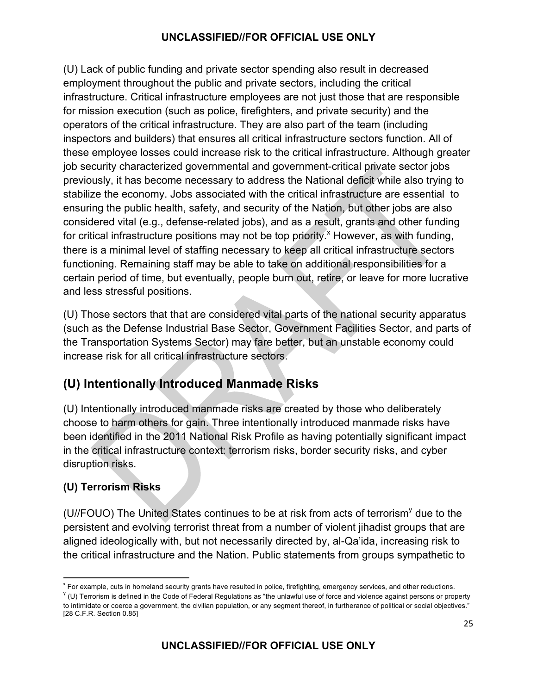(U) Lack of public funding and private sector spending also result in decreased employment throughout the public and private sectors, including the critical infrastructure. Critical infrastructure employees are not just those that are responsible for mission execution (such as police, firefighters, and private security) and the operators of the critical infrastructure. They are also part of the team (including inspectors and builders) that ensures all critical infrastructure sectors function. All of these employee losses could increase risk to the critical infrastructure. Although greater job security characterized governmental and government-critical private sector jobs previously, it has become necessary to address the National deficit while also trying to stabilize the economy. Jobs associated with the critical infrastructure are essential to ensuring the public health, safety, and security of the Nation, but other jobs are also considered vital (e.g., defense-related jobs), and as a result, grants and other funding for critical infrastructure positions may not be top priority.<sup>x</sup> However, as with funding, there is a minimal level of staffing necessary to keep all critical infrastructure sectors functioning. Remaining staff may be able to take on additional responsibilities for a certain period of time, but eventually, people burn out, retire, or leave for more lucrative and less stressful positions.

(U) Those sectors that that are considered vital parts of the national security apparatus (such as the Defense Industrial Base Sector, Government Facilities Sector, and parts of the Transportation Systems Sector) may fare better, but an unstable economy could increase risk for all critical infrastructure sectors.

## **(U) Intentionally Introduced Manmade Risks**

(U) Intentionally introduced manmade risks are created by those who deliberately choose to harm others for gain. Three intentionally introduced manmade risks have been identified in the 2011 National Risk Profile as having potentially significant impact in the critical infrastructure context: terrorism risks, border security risks, and cyber disruption risks.

## **(U) Terrorism Risks**

(U//FOUO) The United States continues to be at risk from acts of terrorism<sup>y</sup> due to the persistent and evolving terrorist threat from a number of violent jihadist groups that are aligned ideologically with, but not necessarily directed by, al-Qa'ida, increasing risk to the critical infrastructure and the Nation. Public statements from groups sympathetic to

<sup>&</sup>lt;u> 1989 - Jan Samuel Barbara, político establecido de la provincia de la provincia de la provincia de la provinci</u> x For example, cuts in homeland security grants have resulted in police, firefighting, emergency services, and other reductions.

 $y$  (U) Terrorism is defined in the Code of Federal Regulations as "the unlawful use of force and violence against persons or property to intimidate or coerce a government, the civilian population, or any segment thereof, in furtherance of political or social objectives." [28 C.F.R. Section 0.85]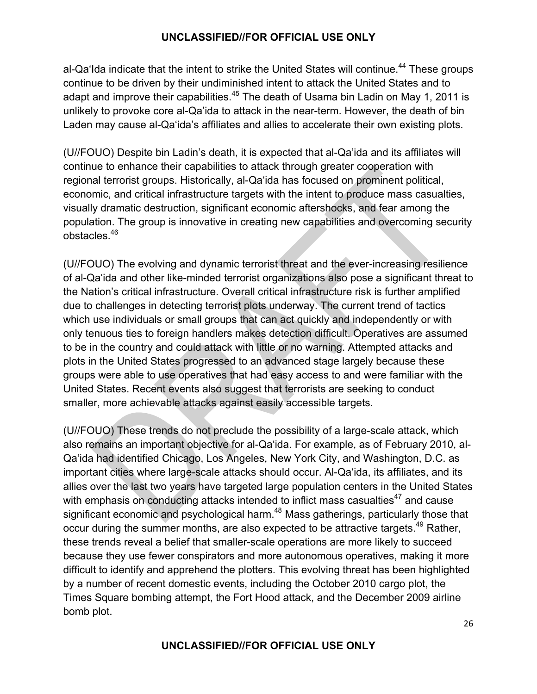al-Qa'Ida indicate that the intent to strike the United States will continue.<sup>44</sup> These groups continue to be driven by their undiminished intent to attack the United States and to adapt and improve their capabilities. $45$  The death of Usama bin Ladin on May 1, 2011 is unlikely to provoke core al-Qa'ida to attack in the near-term. However, the death of bin Laden may cause al-Qa'ida's affiliates and allies to accelerate their own existing plots.

(U//FOUO) Despite bin Ladin's death, it is expected that al-Qa'ida and its affiliates will continue to enhance their capabilities to attack through greater cooperation with regional terrorist groups. Historically, al-Qa'ida has focused on prominent political, economic, and critical infrastructure targets with the intent to produce mass casualties, visually dramatic destruction, significant economic aftershocks, and fear among the population. The group is innovative in creating new capabilities and overcoming security obstacles.46

(U//FOUO) The evolving and dynamic terrorist threat and the ever-increasing resilience of al-Qa'ida and other like-minded terrorist organizations also pose a significant threat to the Nation's critical infrastructure. Overall critical infrastructure risk is further amplified due to challenges in detecting terrorist plots underway. The current trend of tactics which use individuals or small groups that can act quickly and independently or with only tenuous ties to foreign handlers makes detection difficult. Operatives are assumed to be in the country and could attack with little or no warning. Attempted attacks and plots in the United States progressed to an advanced stage largely because these groups were able to use operatives that had easy access to and were familiar with the United States. Recent events also suggest that terrorists are seeking to conduct smaller, more achievable attacks against easily accessible targets.

(U//FOUO) These trends do not preclude the possibility of a large-scale attack, which also remains an important objective for al-Qa'ida. For example, as of February 2010, al-Qa'ida had identified Chicago, Los Angeles, New York City, and Washington, D.C. as important cities where large-scale attacks should occur. Al-Qa'ida, its affiliates, and its allies over the last two years have targeted large population centers in the United States with emphasis on conducting attacks intended to inflict mass casualties $47$  and cause significant economic and psychological harm.<sup>48</sup> Mass gatherings, particularly those that occur during the summer months, are also expected to be attractive targets.<sup>49</sup> Rather, these trends reveal a belief that smaller-scale operations are more likely to succeed because they use fewer conspirators and more autonomous operatives, making it more difficult to identify and apprehend the plotters. This evolving threat has been highlighted by a number of recent domestic events, including the October 2010 cargo plot, the Times Square bombing attempt, the Fort Hood attack, and the December 2009 airline bomb plot.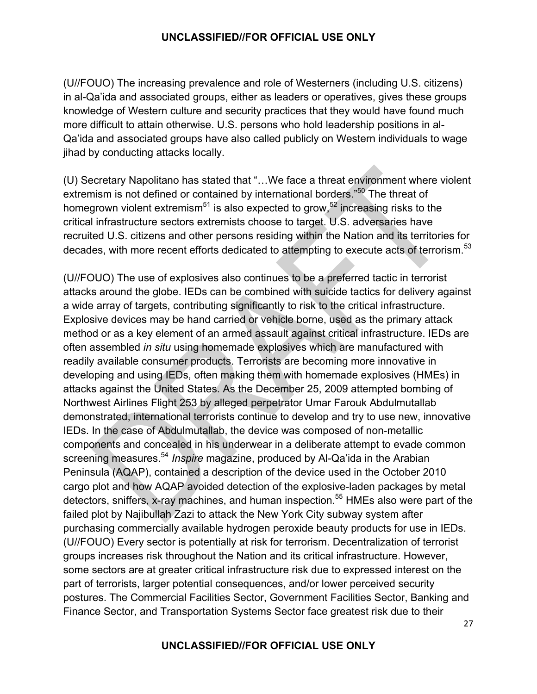(U//FOUO) The increasing prevalence and role of Westerners (including U.S. citizens) in al-Qa'ida and associated groups, either as leaders or operatives, gives these groups knowledge of Western culture and security practices that they would have found much more difficult to attain otherwise. U.S. persons who hold leadership positions in al-Qa'ida and associated groups have also called publicly on Western individuals to wage jihad by conducting attacks locally.

(U) Secretary Napolitano has stated that "…We face a threat environment where violent extremism is not defined or contained by international borders.<sup>"50</sup> The threat of homegrown violent extremism<sup>51</sup> is also expected to grow,<sup>52</sup> increasing risks to the critical infrastructure sectors extremists choose to target. U.S. adversaries have recruited U.S. citizens and other persons residing within the Nation and its territories for decades, with more recent efforts dedicated to attempting to execute acts of terrorism.<sup>53</sup>

(U//FOUO) The use of explosives also continues to be a preferred tactic in terrorist attacks around the globe. IEDs can be combined with suicide tactics for delivery against a wide array of targets, contributing significantly to risk to the critical infrastructure. Explosive devices may be hand carried or vehicle borne, used as the primary attack method or as a key element of an armed assault against critical infrastructure. IEDs are often assembled *in situ* using homemade explosives which are manufactured with readily available consumer products. Terrorists are becoming more innovative in developing and using IEDs, often making them with homemade explosives (HMEs) in attacks against the United States. As the December 25, 2009 attempted bombing of Northwest Airlines Flight 253 by alleged perpetrator Umar Farouk Abdulmutallab demonstrated, international terrorists continue to develop and try to use new, innovative IEDs. In the case of Abdulmutallab, the device was composed of non-metallic components and concealed in his underwear in a deliberate attempt to evade common screening measures.<sup>54</sup> *Inspire* magazine, produced by Al-Qa'ida in the Arabian Peninsula (AQAP), contained a description of the device used in the October 2010 cargo plot and how AQAP avoided detection of the explosive-laden packages by metal detectors, sniffers, x-ray machines, and human inspection.<sup>55</sup> HMEs also were part of the failed plot by Najibullah Zazi to attack the New York City subway system after purchasing commercially available hydrogen peroxide beauty products for use in IEDs. (U//FOUO) Every sector is potentially at risk for terrorism. Decentralization of terrorist groups increases risk throughout the Nation and its critical infrastructure. However, some sectors are at greater critical infrastructure risk due to expressed interest on the part of terrorists, larger potential consequences, and/or lower perceived security postures. The Commercial Facilities Sector, Government Facilities Sector, Banking and Finance Sector, and Transportation Systems Sector face greatest risk due to their

27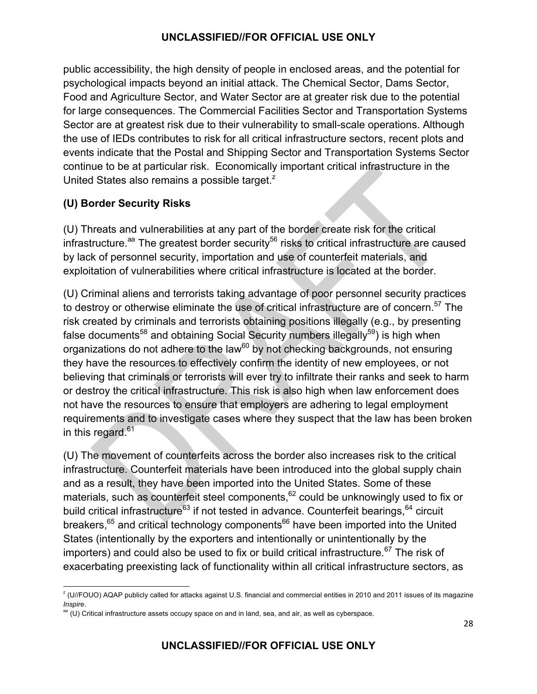public accessibility, the high density of people in enclosed areas, and the potential for psychological impacts beyond an initial attack. The Chemical Sector, Dams Sector, Food and Agriculture Sector, and Water Sector are at greater risk due to the potential for large consequences. The Commercial Facilities Sector and Transportation Systems Sector are at greatest risk due to their vulnerability to small-scale operations. Although the use of IEDs contributes to risk for all critical infrastructure sectors, recent plots and events indicate that the Postal and Shipping Sector and Transportation Systems Sector continue to be at particular risk. Economically important critical infrastructure in the United States also remains a possible target.<sup>2</sup>

#### **(U) Border Security Risks**

<u> 1989 - Jan Samuel Barbara, político establecido de la provincia de la provincia de la provincia de la provinci</u>

(U) Threats and vulnerabilities at any part of the border create risk for the critical infrastructure.<sup>aa</sup> The greatest border security<sup>56</sup> risks to critical infrastructure are caused by lack of personnel security, importation and use of counterfeit materials, and exploitation of vulnerabilities where critical infrastructure is located at the border.

(U) Criminal aliens and terrorists taking advantage of poor personnel security practices to destroy or otherwise eliminate the use of critical infrastructure are of concern.<sup>57</sup> The risk created by criminals and terrorists obtaining positions illegally (e.g., by presenting false documents<sup>58</sup> and obtaining Social Security numbers illegally<sup>59</sup>) is high when organizations do not adhere to the law $^{60}$  by not checking backgrounds, not ensuring they have the resources to effectively confirm the identity of new employees, or not believing that criminals or terrorists will ever try to infiltrate their ranks and seek to harm or destroy the critical infrastructure. This risk is also high when law enforcement does not have the resources to ensure that employers are adhering to legal employment requirements and to investigate cases where they suspect that the law has been broken in this regard.<sup>61</sup>

(U) The movement of counterfeits across the border also increases risk to the critical infrastructure. Counterfeit materials have been introduced into the global supply chain and as a result, they have been imported into the United States. Some of these materials, such as counterfeit steel components,  $62$  could be unknowingly used to fix or build critical infrastructure<sup>63</sup> if not tested in advance. Counterfeit bearings, <sup>64</sup> circuit breakers,<sup>65</sup> and critical technology components<sup>66</sup> have been imported into the United States (intentionally by the exporters and intentionally or unintentionally by the importers) and could also be used to fix or build critical infrastructure.<sup>67</sup> The risk of exacerbating preexisting lack of functionality within all critical infrastructure sectors, as

<sup>&</sup>lt;sup>z</sup> (U//FOUO) AQAP publicly called for attacks against U.S. financial and commercial entities in 2010 and 2011 issues of its magazine *Inspire.*<br><sup>aa</sup> (U) Critical infrastructure assets occupy space on and in land, sea, and air, as well as cyberspace.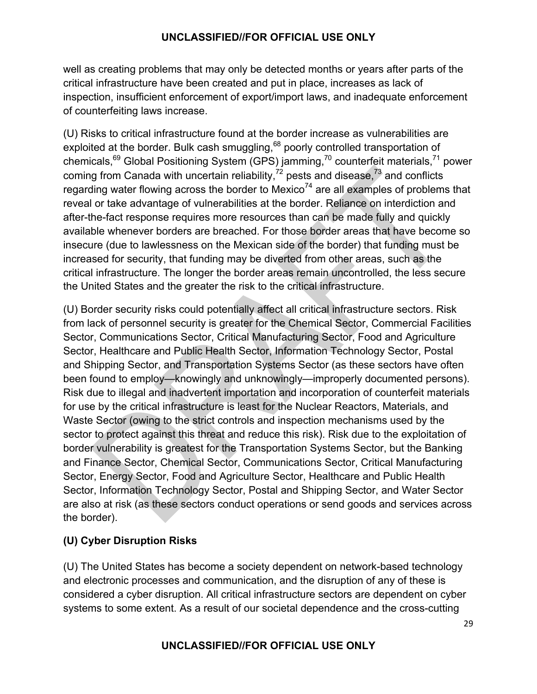well as creating problems that may only be detected months or years after parts of the critical infrastructure have been created and put in place, increases as lack of inspection, insufficient enforcement of export/import laws, and inadequate enforcement of counterfeiting laws increase.

(U) Risks to critical infrastructure found at the border increase as vulnerabilities are exploited at the border. Bulk cash smuggling,<sup>68</sup> poorly controlled transportation of chemicals,<sup>69</sup> Global Positioning System (GPS) jamming,<sup>70</sup> counterfeit materials,<sup>71</sup> power coming from Canada with uncertain reliability,<sup>72</sup> pests and disease, $73$  and conflicts regarding water flowing across the border to Mexico<sup>74</sup> are all examples of problems that reveal or take advantage of vulnerabilities at the border. Reliance on interdiction and after-the-fact response requires more resources than can be made fully and quickly available whenever borders are breached. For those border areas that have become so insecure (due to lawlessness on the Mexican side of the border) that funding must be increased for security, that funding may be diverted from other areas, such as the critical infrastructure. The longer the border areas remain uncontrolled, the less secure the United States and the greater the risk to the critical infrastructure.

(U) Border security risks could potentially affect all critical infrastructure sectors. Risk from lack of personnel security is greater for the Chemical Sector, Commercial Facilities Sector, Communications Sector, Critical Manufacturing Sector, Food and Agriculture Sector, Healthcare and Public Health Sector, Information Technology Sector, Postal and Shipping Sector, and Transportation Systems Sector (as these sectors have often been found to employ—knowingly and unknowingly—improperly documented persons). Risk due to illegal and inadvertent importation and incorporation of counterfeit materials for use by the critical infrastructure is least for the Nuclear Reactors, Materials, and Waste Sector (owing to the strict controls and inspection mechanisms used by the sector to protect against this threat and reduce this risk). Risk due to the exploitation of border vulnerability is greatest for the Transportation Systems Sector, but the Banking and Finance Sector, Chemical Sector, Communications Sector, Critical Manufacturing Sector, Energy Sector, Food and Agriculture Sector, Healthcare and Public Health Sector, Information Technology Sector, Postal and Shipping Sector, and Water Sector are also at risk (as these sectors conduct operations or send goods and services across the border).

#### **(U) Cyber Disruption Risks**

(U) The United States has become a society dependent on network-based technology and electronic processes and communication, and the disruption of any of these is considered a cyber disruption. All critical infrastructure sectors are dependent on cyber systems to some extent. As a result of our societal dependence and the cross-cutting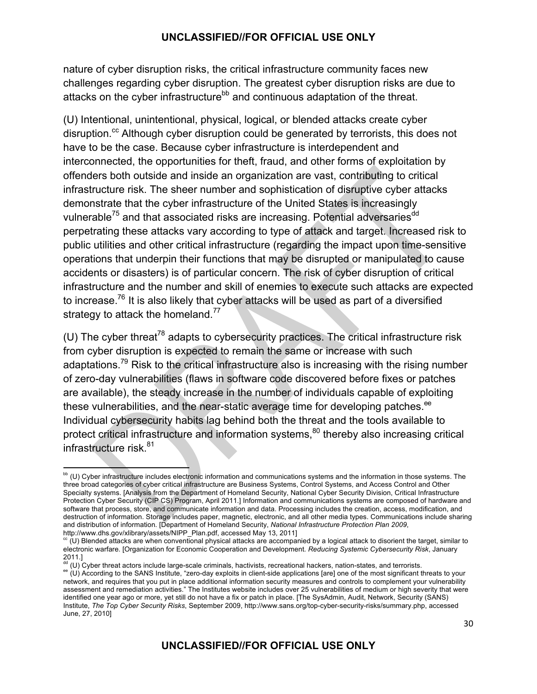nature of cyber disruption risks, the critical infrastructure community faces new challenges regarding cyber disruption. The greatest cyber disruption risks are due to attacks on the cyber infrastructure<sup>bb</sup> and continuous adaptation of the threat.

(U) Intentional, unintentional, physical, logical, or blended attacks create cyber disruption.<sup>cc</sup> Although cyber disruption could be generated by terrorists, this does not have to be the case. Because cyber infrastructure is interdependent and interconnected, the opportunities for theft, fraud, and other forms of exploitation by offenders both outside and inside an organization are vast, contributing to critical infrastructure risk. The sheer number and sophistication of disruptive cyber attacks demonstrate that the cyber infrastructure of the United States is increasingly vulnerable<sup>75</sup> and that associated risks are increasing. Potential adversaries<sup>dd</sup> perpetrating these attacks vary according to type of attack and target. Increased risk to public utilities and other critical infrastructure (regarding the impact upon time-sensitive operations that underpin their functions that may be disrupted or manipulated to cause accidents or disasters) is of particular concern. The risk of cyber disruption of critical infrastructure and the number and skill of enemies to execute such attacks are expected to increase.<sup>76</sup> It is also likely that cyber attacks will be used as part of a diversified strategy to attack the homeland.<sup>77</sup>

(U) The cyber threat<sup>78</sup> adapts to cybersecurity practices. The critical infrastructure risk from cyber disruption is expected to remain the same or increase with such adaptations.79 Risk to the critical infrastructure also is increasing with the rising number of zero-day vulnerabilities (flaws in software code discovered before fixes or patches are available), the steady increase in the number of individuals capable of exploiting these vulnerabilities, and the near-static average time for developing patches.<sup>ee</sup> Individual cybersecurity habits lag behind both the threat and the tools available to protect critical infrastructure and information systems,<sup>80</sup> thereby also increasing critical infrastructure risk.<sup>81</sup>

 $\overbrace{\hspace{25mm}}$ 

bb (U) Cyber infrastructure includes electronic information and communications systems and the information in those systems. The three broad categories of cyber critical infrastructure are Business Systems, Control Systems, and Access Control and Other Specialty systems. [Analysis from the Department of Homeland Security, National Cyber Security Division, Critical Infrastructure Protection Cyber Security (CIP CS) Program, April 2011.] Information and communications systems are composed of hardware and software that process, store, and communicate information and data. Processing includes the creation, access, modification, and destruction of information. Storage includes paper, magnetic, electronic, and all other media types. Communications include sharing and distribution of information. [Department of Homeland Security, *National Infrastructure Protection Plan 2009*, http://www.dhs.gov/xlibrary/assets/NIPP\_Plan.pdf, accessed May 13, 2011]

 $c$  (U) Blended attacks are when conventional physical attacks are accompanied by a logical attack to disorient the target, similar to electronic warfare. [Organization for Economic Cooperation and Development. *Reducing Systemic Cybersecurity Risk*, January 2011.]

<sup>&</sup>lt;sup>dd</sup> (U) Cyber threat actors include large-scale criminals, hactivists, recreational hackers, nation-states, and terrorists.<br><sup>ee</sup> (U) According to the SANS Institute, "zero-day exploits in client-side applications [are] on network, and requires that you put in place additional information security measures and controls to complement your vulnerability assessment and remediation activities." The Institutes website includes over 25 vulnerabilities of medium or high severity that were identified one year ago or more, yet still do not have a fix or patch in place. [The SysAdmin, Audit, Network, Security (SANS) Institute, *The Top Cyber Security Risks*, September 2009, http://www.sans.org/top-cyber-security-risks/summary.php, accessed June, 27, 2010]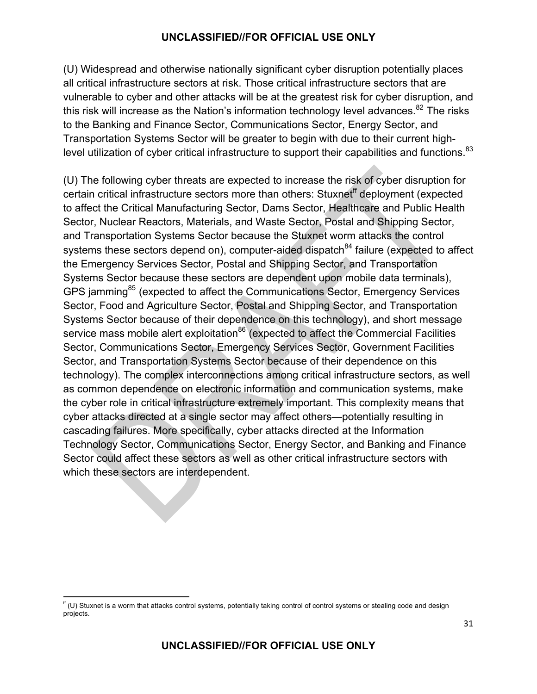(U) Widespread and otherwise nationally significant cyber disruption potentially places all critical infrastructure sectors at risk. Those critical infrastructure sectors that are vulnerable to cyber and other attacks will be at the greatest risk for cyber disruption, and this risk will increase as the Nation's information technology level advances. $82$  The risks to the Banking and Finance Sector, Communications Sector, Energy Sector, and Transportation Systems Sector will be greater to begin with due to their current highlevel utilization of cyber critical infrastructure to support their capabilities and functions.<sup>83</sup>

(U) The following cyber threats are expected to increase the risk of cyber disruption for certain critical infrastructure sectors more than others: Stuxnet<sup>ff</sup> deployment (expected to affect the Critical Manufacturing Sector, Dams Sector, Healthcare and Public Health Sector, Nuclear Reactors, Materials, and Waste Sector, Postal and Shipping Sector, and Transportation Systems Sector because the Stuxnet worm attacks the control systems these sectors depend on), computer-aided dispatch<sup>84</sup> failure (expected to affect the Emergency Services Sector, Postal and Shipping Sector, and Transportation Systems Sector because these sectors are dependent upon mobile data terminals), GPS jamming<sup>85</sup> (expected to affect the Communications Sector, Emergency Services Sector, Food and Agriculture Sector, Postal and Shipping Sector, and Transportation Systems Sector because of their dependence on this technology), and short message service mass mobile alert exploitation<sup>86</sup> (expected to affect the Commercial Facilities Sector, Communications Sector, Emergency Services Sector, Government Facilities Sector, and Transportation Systems Sector because of their dependence on this technology). The complex interconnections among critical infrastructure sectors, as well as common dependence on electronic information and communication systems, make the cyber role in critical infrastructure extremely important. This complexity means that cyber attacks directed at a single sector may affect others—potentially resulting in cascading failures. More specifically, cyber attacks directed at the Information Technology Sector, Communications Sector, Energy Sector, and Banking and Finance Sector could affect these sectors as well as other critical infrastructure sectors with which these sectors are interdependent.

<u> 1989 - Jan Samuel Barbara, político establecido de la provincia de la provincia de la provincia de la provinci</u>

 $f''(U)$  Stuxnet is a worm that attacks control systems, potentially taking control of control systems or stealing code and design projects.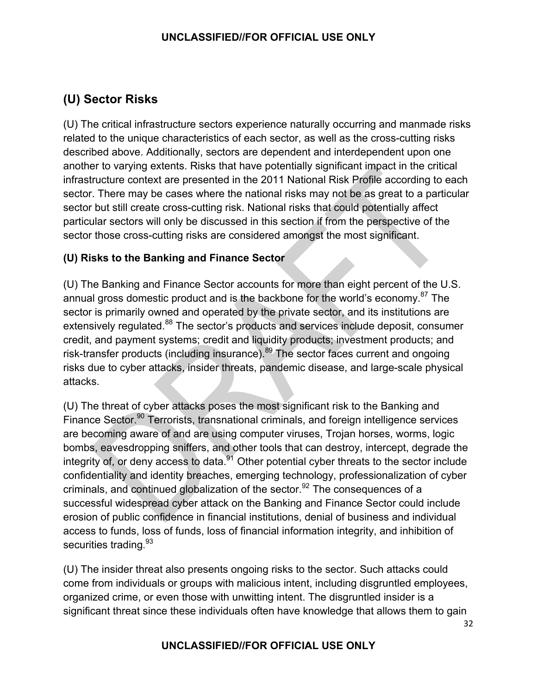## **(U) Sector Risks**

(U) The critical infrastructure sectors experience naturally occurring and manmade risks related to the unique characteristics of each sector, as well as the cross-cutting risks described above. Additionally, sectors are dependent and interdependent upon one another to varying extents. Risks that have potentially significant impact in the critical infrastructure context are presented in the 2011 National Risk Profile according to each sector. There may be cases where the national risks may not be as great to a particular sector but still create cross-cutting risk. National risks that could potentially affect particular sectors will only be discussed in this section if from the perspective of the sector those cross-cutting risks are considered amongst the most significant.

#### **(U) Risks to the Banking and Finance Sector**

(U) The Banking and Finance Sector accounts for more than eight percent of the U.S. annual gross domestic product and is the backbone for the world's economy.<sup>87</sup> The sector is primarily owned and operated by the private sector, and its institutions are extensively regulated.<sup>88</sup> The sector's products and services include deposit, consumer credit, and payment systems; credit and liquidity products; investment products; and risk-transfer products (including insurance).<sup>89</sup> The sector faces current and ongoing risks due to cyber attacks, insider threats, pandemic disease, and large-scale physical attacks.

(U) The threat of cyber attacks poses the most significant risk to the Banking and Finance Sector.<sup>90</sup> Terrorists, transnational criminals, and foreign intelligence services are becoming aware of and are using computer viruses, Trojan horses, worms, logic bombs, eavesdropping sniffers, and other tools that can destroy, intercept, degrade the integrity of, or deny access to data.<sup>91</sup> Other potential cyber threats to the sector include confidentiality and identity breaches, emerging technology, professionalization of cyber criminals, and continued globalization of the sector.<sup>92</sup> The consequences of a successful widespread cyber attack on the Banking and Finance Sector could include erosion of public confidence in financial institutions, denial of business and individual access to funds, loss of funds, loss of financial information integrity, and inhibition of securities trading.<sup>93</sup>

(U) The insider threat also presents ongoing risks to the sector. Such attacks could come from individuals or groups with malicious intent, including disgruntled employees, organized crime, or even those with unwitting intent. The disgruntled insider is a significant threat since these individuals often have knowledge that allows them to gain

#### **UNCLASSIFIED//FOR OFFICIAL USE ONLY**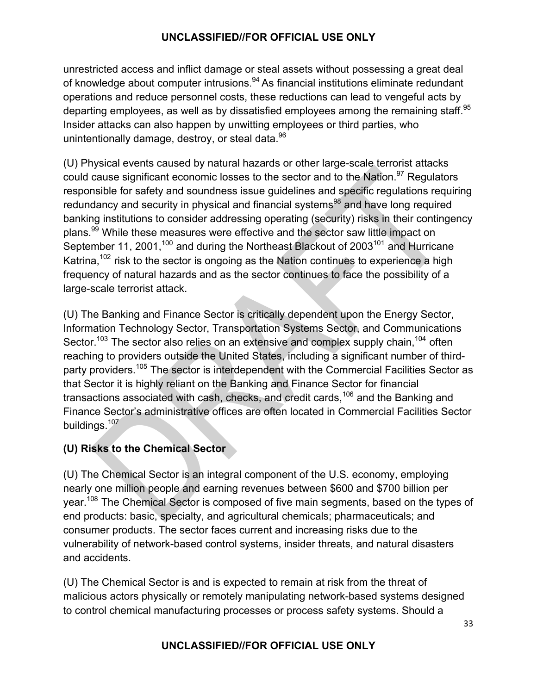unrestricted access and inflict damage or steal assets without possessing a great deal of knowledge about computer intrusions.<sup>94</sup> As financial institutions eliminate redundant operations and reduce personnel costs, these reductions can lead to vengeful acts by departing employees, as well as by dissatisfied employees among the remaining staff.<sup>95</sup> Insider attacks can also happen by unwitting employees or third parties, who unintentionally damage, destroy, or steal data.<sup>96</sup>

(U) Physical events caused by natural hazards or other large-scale terrorist attacks could cause significant economic losses to the sector and to the Nation.<sup>97</sup> Regulators responsible for safety and soundness issue guidelines and specific regulations requiring redundancy and security in physical and financial systems<sup>98</sup> and have long required banking institutions to consider addressing operating (security) risks in their contingency plans.<sup>99</sup> While these measures were effective and the sector saw little impact on September 11, 2001,<sup>100</sup> and during the Northeast Blackout of 2003<sup>101</sup> and Hurricane Katrina,<sup>102</sup> risk to the sector is ongoing as the Nation continues to experience a high frequency of natural hazards and as the sector continues to face the possibility of a large-scale terrorist attack.

(U) The Banking and Finance Sector is critically dependent upon the Energy Sector, Information Technology Sector, Transportation Systems Sector, and Communications Sector.<sup>103</sup> The sector also relies on an extensive and complex supply chain,<sup>104</sup> often reaching to providers outside the United States, including a significant number of thirdparty providers.<sup>105</sup> The sector is interdependent with the Commercial Facilities Sector as that Sector it is highly reliant on the Banking and Finance Sector for financial transactions associated with cash, checks, and credit cards,<sup>106</sup> and the Banking and Finance Sector's administrative offices are often located in Commercial Facilities Sector buildings.<sup>107</sup>

#### **(U) Risks to the Chemical Sector**

(U) The Chemical Sector is an integral component of the U.S. economy, employing nearly one million people and earning revenues between \$600 and \$700 billion per year.108 The Chemical Sector is composed of five main segments, based on the types of end products: basic, specialty, and agricultural chemicals; pharmaceuticals; and consumer products. The sector faces current and increasing risks due to the vulnerability of network-based control systems, insider threats, and natural disasters and accidents.

(U) The Chemical Sector is and is expected to remain at risk from the threat of malicious actors physically or remotely manipulating network-based systems designed to control chemical manufacturing processes or process safety systems. Should a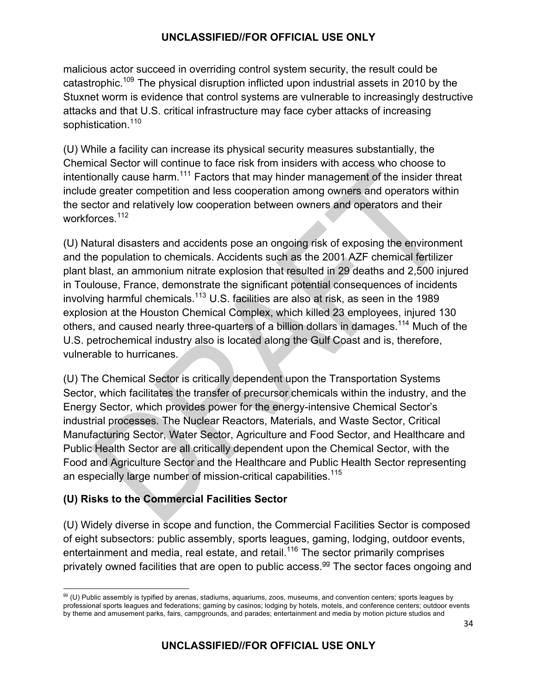malicious actor succeed in overriding control system security, the result could be catastrophic.109 The physical disruption inflicted upon industrial assets in 2010 by the Stuxnet worm is evidence that control systems are vulnerable to increasingly destructive attacks and that U.S. critical infrastructure may face cyber attacks of increasing sophistication.<sup>110</sup>

(U) While a facility can increase its physical security measures substantially, the Chemical Sector will continue to face risk from insiders with access who choose to intentionally cause harm.<sup>111</sup> Factors that may hinder management of the insider threat include greater competition and less cooperation among owners and operators within the sector and relatively low cooperation between owners and operators and their workforces<sup>112</sup>

(U) Natural disasters and accidents pose an ongoing risk of exposing the environment and the population to chemicals. Accidents such as the 2001 AZF chemical fertilizer plant blast, an ammonium nitrate explosion that resulted in 29 deaths and 2,500 injured in Toulouse, France, demonstrate the significant potential consequences of incidents involving harmful chemicals.<sup>113</sup> U.S. facilities are also at risk, as seen in the 1989 explosion at the Houston Chemical Complex, which killed 23 employees, injured 130 others, and caused nearly three-quarters of a billion dollars in damages.<sup>114</sup> Much of the U.S. petrochemical industry also is located along the Gulf Coast and is, therefore, vulnerable to hurricanes.

(U) The Chemical Sector is critically dependent upon the Transportation Systems Sector, which facilitates the transfer of precursor chemicals within the industry, and the Energy Sector, which provides power for the energy-intensive Chemical Sector's industrial processes. The Nuclear Reactors, Materials, and Waste Sector, Critical Manufacturing Sector, Water Sector, Agriculture and Food Sector, and Healthcare and Public Health Sector are all critically dependent upon the Chemical Sector, with the Food and Agriculture Sector and the Healthcare and Public Health Sector representing an especially large number of mission-critical capabilities.<sup>115</sup>

#### **(U) Risks to the Commercial Facilities Sector**

<u> 1989 - Jan Samuel Barbara, político establecido de la provincia de la provincia de la provincia de la provinci</u>

(U) Widely diverse in scope and function, the Commercial Facilities Sector is composed of eight subsectors: public assembly, sports leagues, gaming, lodging, outdoor events, entertainment and media, real estate, and retail.<sup>116</sup> The sector primarily comprises privately owned facilities that are open to public access.<sup>99</sup> The sector faces ongoing and

<sup>&</sup>lt;sup>99</sup> (U) Public assembly is typified by arenas, stadiums, aquariums, zoos, museums, and convention centers; sports leagues by professional sports leagues and federations; gaming by casinos; lodging by hotels, motels, and conference centers; outdoor events by theme and amusement parks, fairs, campgrounds, and parades; entertainment and media by motion picture studios and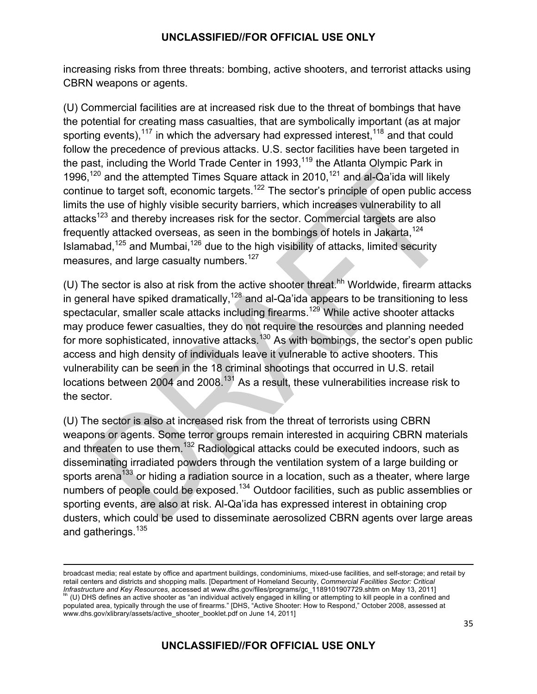increasing risks from three threats: bombing, active shooters, and terrorist attacks using CBRN weapons or agents.

(U) Commercial facilities are at increased risk due to the threat of bombings that have the potential for creating mass casualties, that are symbolically important (as at major sporting events),<sup>117</sup> in which the adversary had expressed interest,  $118$  and that could follow the precedence of previous attacks. U.S. sector facilities have been targeted in the past, including the World Trade Center in 1993,<sup>119</sup> the Atlanta Olympic Park in 1996,<sup>120</sup> and the attempted Times Square attack in 2010,<sup>121</sup> and al-Qa'ida will likely continue to target soft, economic targets.<sup>122</sup> The sector's principle of open public access limits the use of highly visible security barriers, which increases vulnerability to all attacks<sup>123</sup> and thereby increases risk for the sector. Commercial targets are also frequently attacked overseas, as seen in the bombings of hotels in Jakarta,  $124$ Islamabad,<sup>125</sup> and Mumbai,<sup>126</sup> due to the high visibility of attacks, limited security measures, and large casualty numbers.<sup>127</sup>

(U) The sector is also at risk from the active shooter threat.<sup>hh</sup> Worldwide, firearm attacks in general have spiked dramatically,<sup>128</sup> and al-Qa'ida appears to be transitioning to less spectacular, smaller scale attacks including firearms.<sup>129</sup> While active shooter attacks may produce fewer casualties, they do not require the resources and planning needed for more sophisticated, innovative attacks.<sup>130</sup> As with bombings, the sector's open public access and high density of individuals leave it vulnerable to active shooters. This vulnerability can be seen in the 18 criminal shootings that occurred in U.S. retail locations between 2004 and 2008.<sup>131</sup> As a result, these vulnerabilities increase risk to the sector.

(U) The sector is also at increased risk from the threat of terrorists using CBRN weapons or agents. Some terror groups remain interested in acquiring CBRN materials and threaten to use them.<sup>132</sup> Radiological attacks could be executed indoors, such as disseminating irradiated powders through the ventilation system of a large building or sports arena<sup>133</sup> or hiding a radiation source in a location, such as a theater, where large numbers of people could be exposed.<sup>134</sup> Outdoor facilities, such as public assemblies or sporting events, are also at risk. Al-Qa'ida has expressed interest in obtaining crop dusters, which could be used to disseminate aerosolized CBRN agents over large areas and gatherings.<sup>135</sup>

<u> 1989 - Andrea Santa Andrea Andrea Andrea Andrea Andrea Andrea Andrea Andrea Andrea Andrea Andrea Andrea Andr</u>

broadcast media; real estate by office and apartment buildings, condominiums, mixed-use facilities, and self-storage; and retail by retail centers and districts and shopping malls. [Department of Homeland Security, *Commercial Facilities Sector: Critical Infrastructure and Key Resources*, accessed at www.dhs.gov/files/programs/gc\_1189101907729.shtm on May 13, 2011]<br><sup>hh</sup> (U) DHS defines an active shooter as "an individual actively engaged in killing or attempting to kill p

populated area, typically through the use of firearms." [DHS, "Active Shooter: How to Respond," October 2008, assessed at www.dhs.gov/xlibrary/assets/active\_shooter\_booklet.pdf on June 14, 2011]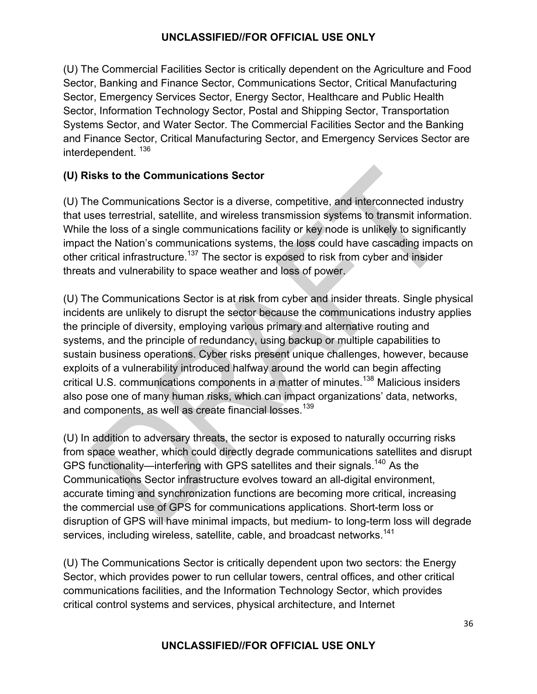(U) The Commercial Facilities Sector is critically dependent on the Agriculture and Food Sector, Banking and Finance Sector, Communications Sector, Critical Manufacturing Sector, Emergency Services Sector, Energy Sector, Healthcare and Public Health Sector, Information Technology Sector, Postal and Shipping Sector, Transportation Systems Sector, and Water Sector. The Commercial Facilities Sector and the Banking and Finance Sector, Critical Manufacturing Sector, and Emergency Services Sector are interdependent. <sup>136</sup>

#### **(U) Risks to the Communications Sector**

(U) The Communications Sector is a diverse, competitive, and interconnected industry that uses terrestrial, satellite, and wireless transmission systems to transmit information. While the loss of a single communications facility or key node is unlikely to significantly impact the Nation's communications systems, the loss could have cascading impacts on other critical infrastructure.<sup>137</sup> The sector is exposed to risk from cyber and insider threats and vulnerability to space weather and loss of power.

(U) The Communications Sector is at risk from cyber and insider threats. Single physical incidents are unlikely to disrupt the sector because the communications industry applies the principle of diversity, employing various primary and alternative routing and systems, and the principle of redundancy, using backup or multiple capabilities to sustain business operations. Cyber risks present unique challenges, however, because exploits of a vulnerability introduced halfway around the world can begin affecting critical U.S. communications components in a matter of minutes.138 Malicious insiders also pose one of many human risks, which can impact organizations' data, networks, and components, as well as create financial losses.<sup>139</sup>

(U) In addition to adversary threats, the sector is exposed to naturally occurring risks from space weather, which could directly degrade communications satellites and disrupt GPS functionality—interfering with GPS satellites and their signals.<sup>140</sup> As the Communications Sector infrastructure evolves toward an all-digital environment, accurate timing and synchronization functions are becoming more critical, increasing the commercial use of GPS for communications applications. Short-term loss or disruption of GPS will have minimal impacts, but medium- to long-term loss will degrade services, including wireless, satellite, cable, and broadcast networks.<sup>141</sup>

(U) The Communications Sector is critically dependent upon two sectors: the Energy Sector, which provides power to run cellular towers, central offices, and other critical communications facilities, and the Information Technology Sector, which provides critical control systems and services, physical architecture, and Internet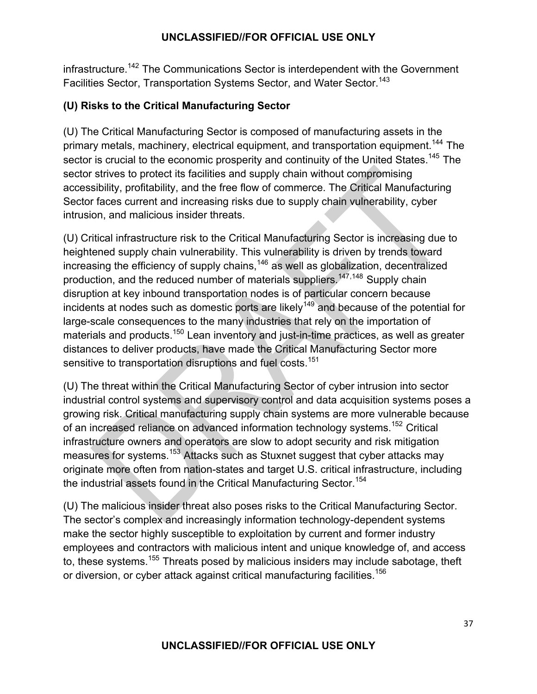infrastructure.<sup>142</sup> The Communications Sector is interdependent with the Government Facilities Sector, Transportation Systems Sector, and Water Sector.<sup>143</sup>

# **(U) Risks to the Critical Manufacturing Sector**

(U) The Critical Manufacturing Sector is composed of manufacturing assets in the primary metals, machinery, electrical equipment, and transportation equipment.<sup>144</sup> The sector is crucial to the economic prosperity and continuity of the United States.<sup>145</sup> The sector strives to protect its facilities and supply chain without compromising accessibility, profitability, and the free flow of commerce. The Critical Manufacturing Sector faces current and increasing risks due to supply chain vulnerability, cyber intrusion, and malicious insider threats.

(U) Critical infrastructure risk to the Critical Manufacturing Sector is increasing due to heightened supply chain vulnerability. This vulnerability is driven by trends toward increasing the efficiency of supply chains,  $146$  as well as globalization, decentralized production, and the reduced number of materials suppliers.<sup>147,148</sup> Supply chain disruption at key inbound transportation nodes is of particular concern because incidents at nodes such as domestic ports are likely<sup>149</sup> and because of the potential for large-scale consequences to the many industries that rely on the importation of materials and products.<sup>150</sup> Lean inventory and just-in-time practices, as well as greater distances to deliver products, have made the Critical Manufacturing Sector more sensitive to transportation disruptions and fuel costs.<sup>151</sup>

(U) The threat within the Critical Manufacturing Sector of cyber intrusion into sector industrial control systems and supervisory control and data acquisition systems poses a growing risk. Critical manufacturing supply chain systems are more vulnerable because of an increased reliance on advanced information technology systems.<sup>152</sup> Critical infrastructure owners and operators are slow to adopt security and risk mitigation measures for systems.<sup>153</sup> Attacks such as Stuxnet suggest that cyber attacks may originate more often from nation-states and target U.S. critical infrastructure, including the industrial assets found in the Critical Manufacturing Sector.<sup>154</sup>

(U) The malicious insider threat also poses risks to the Critical Manufacturing Sector. The sector's complex and increasingly information technology-dependent systems make the sector highly susceptible to exploitation by current and former industry employees and contractors with malicious intent and unique knowledge of, and access to, these systems.<sup>155</sup> Threats posed by malicious insiders may include sabotage, theft or diversion, or cyber attack against critical manufacturing facilities.<sup>156</sup>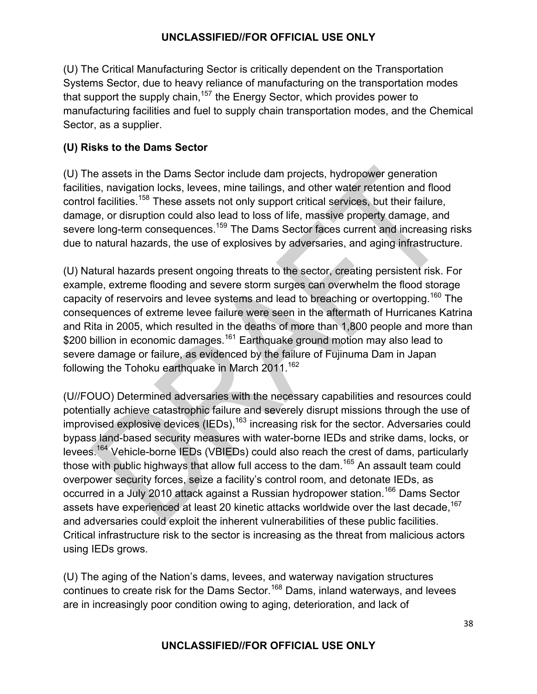(U) The Critical Manufacturing Sector is critically dependent on the Transportation Systems Sector, due to heavy reliance of manufacturing on the transportation modes that support the supply chain,<sup>157</sup> the Energy Sector, which provides power to manufacturing facilities and fuel to supply chain transportation modes, and the Chemical Sector, as a supplier.

# **(U) Risks to the Dams Sector**

(U) The assets in the Dams Sector include dam projects, hydropower generation facilities, navigation locks, levees, mine tailings, and other water retention and flood control facilities.<sup>158</sup> These assets not only support critical services, but their failure, damage, or disruption could also lead to loss of life, massive property damage, and severe long-term consequences.<sup>159</sup> The Dams Sector faces current and increasing risks due to natural hazards, the use of explosives by adversaries, and aging infrastructure.

(U) Natural hazards present ongoing threats to the sector, creating persistent risk. For example, extreme flooding and severe storm surges can overwhelm the flood storage capacity of reservoirs and levee systems and lead to breaching or overtopping.<sup>160</sup> The consequences of extreme levee failure were seen in the aftermath of Hurricanes Katrina and Rita in 2005, which resulted in the deaths of more than 1,800 people and more than \$200 billion in economic damages.<sup>161</sup> Earthquake ground motion may also lead to severe damage or failure, as evidenced by the failure of Fujinuma Dam in Japan following the Tohoku earthquake in March  $2011^{162}$ 

(U//FOUO) Determined adversaries with the necessary capabilities and resources could potentially achieve catastrophic failure and severely disrupt missions through the use of improvised explosive devices  $(IEDs)$ , <sup>163</sup> increasing risk for the sector. Adversaries could bypass land-based security measures with water-borne IEDs and strike dams, locks, or levees.164 Vehicle-borne IEDs (VBIEDs) could also reach the crest of dams, particularly those with public highways that allow full access to the dam.<sup>165</sup> An assault team could overpower security forces, seize a facility's control room, and detonate IEDs, as occurred in a July 2010 attack against a Russian hydropower station.<sup>166</sup> Dams Sector assets have experienced at least 20 kinetic attacks worldwide over the last decade.<sup>167</sup> and adversaries could exploit the inherent vulnerabilities of these public facilities. Critical infrastructure risk to the sector is increasing as the threat from malicious actors using IEDs grows.

(U) The aging of the Nation's dams, levees, and waterway navigation structures continues to create risk for the Dams Sector.<sup>168</sup> Dams, inland waterways, and levees are in increasingly poor condition owing to aging, deterioration, and lack of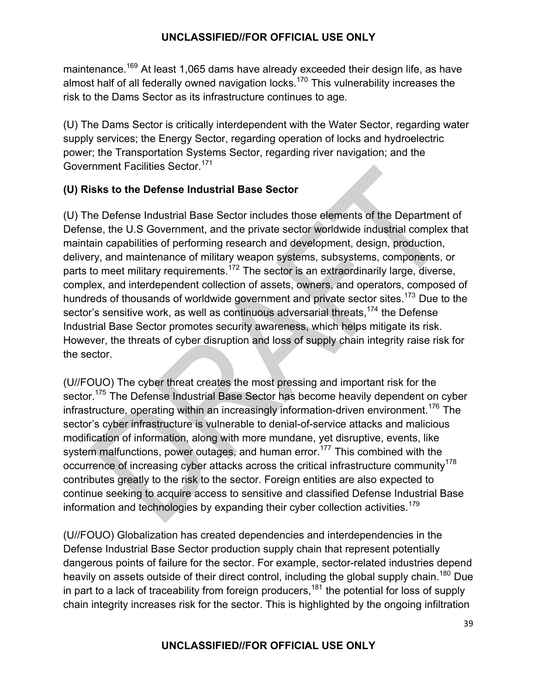maintenance.<sup>169</sup> At least 1,065 dams have already exceeded their design life, as have almost half of all federally owned navigation locks.<sup>170</sup> This vulnerability increases the risk to the Dams Sector as its infrastructure continues to age.

(U) The Dams Sector is critically interdependent with the Water Sector, regarding water supply services; the Energy Sector, regarding operation of locks and hydroelectric power; the Transportation Systems Sector, regarding river navigation; and the Government Facilities Sector.<sup>171</sup>

# **(U) Risks to the Defense Industrial Base Sector**

(U) The Defense Industrial Base Sector includes those elements of the Department of Defense, the U.S Government, and the private sector worldwide industrial complex that maintain capabilities of performing research and development, design, production, delivery, and maintenance of military weapon systems, subsystems, components, or parts to meet military requirements.<sup>172</sup> The sector is an extraordinarily large, diverse, complex, and interdependent collection of assets, owners, and operators, composed of hundreds of thousands of worldwide government and private sector sites.<sup>173</sup> Due to the sector's sensitive work, as well as continuous adversarial threats,<sup>174</sup> the Defense Industrial Base Sector promotes security awareness, which helps mitigate its risk. However, the threats of cyber disruption and loss of supply chain integrity raise risk for the sector.

(U//FOUO) The cyber threat creates the most pressing and important risk for the sector.<sup>175</sup> The Defense Industrial Base Sector has become heavily dependent on cyber infrastructure, operating within an increasingly information-driven environment.<sup>176</sup> The sector's cyber infrastructure is vulnerable to denial-of-service attacks and malicious modification of information, along with more mundane, yet disruptive, events, like system malfunctions, power outages, and human error.<sup>177</sup> This combined with the occurrence of increasing cyber attacks across the critical infrastructure community<sup>178</sup> contributes greatly to the risk to the sector. Foreign entities are also expected to continue seeking to acquire access to sensitive and classified Defense Industrial Base information and technologies by expanding their cyber collection activities.<sup>179</sup>

(U//FOUO) Globalization has created dependencies and interdependencies in the Defense Industrial Base Sector production supply chain that represent potentially dangerous points of failure for the sector. For example, sector-related industries depend heavily on assets outside of their direct control, including the global supply chain.<sup>180</sup> Due in part to a lack of traceability from foreign producers,  $181$  the potential for loss of supply chain integrity increases risk for the sector. This is highlighted by the ongoing infiltration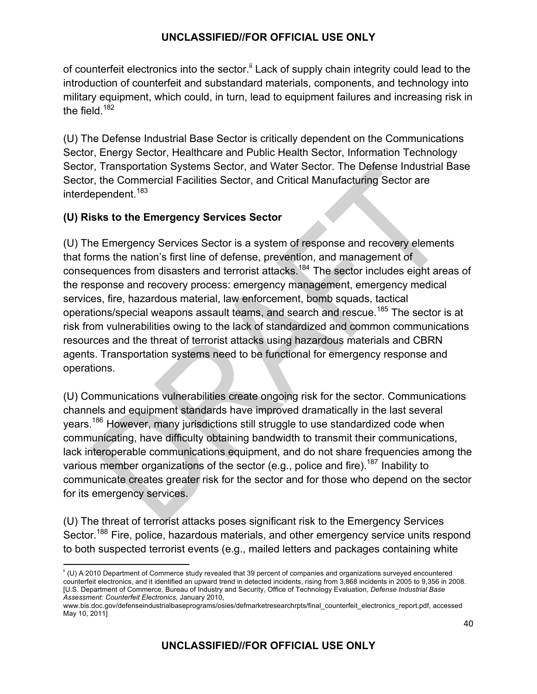of counterfeit electronics into the sector.<sup>ii</sup> Lack of supply chain integrity could lead to the introduction of counterfeit and substandard materials, components, and technology into military equipment, which could, in turn, lead to equipment failures and increasing risk in the field. $182$ 

(U) The Defense Industrial Base Sector is critically dependent on the Communications Sector, Energy Sector, Healthcare and Public Health Sector, Information Technology Sector, Transportation Systems Sector, and Water Sector. The Defense Industrial Base Sector, the Commercial Facilities Sector, and Critical Manufacturing Sector are interdependent.<sup>183</sup>

# **(U) Risks to the Emergency Services Sector**

<u> 1989 - Johann Stein, fransk politik (d. 1989)</u>

(U) The Emergency Services Sector is a system of response and recovery elements that forms the nation's first line of defense, prevention, and management of consequences from disasters and terrorist attacks.<sup>184</sup> The sector includes eight areas of the response and recovery process: emergency management, emergency medical services, fire, hazardous material, law enforcement, bomb squads, tactical operations/special weapons assault teams, and search and rescue.<sup>185</sup> The sector is at risk from vulnerabilities owing to the lack of standardized and common communications resources and the threat of terrorist attacks using hazardous materials and CBRN agents. Transportation systems need to be functional for emergency response and operations.

(U) Communications vulnerabilities create ongoing risk for the sector. Communications channels and equipment standards have improved dramatically in the last several years.<sup>186</sup> However, many jurisdictions still struggle to use standardized code when communicating, have difficulty obtaining bandwidth to transmit their communications, lack interoperable communications equipment, and do not share frequencies among the various member organizations of the sector (e.g., police and fire).<sup>187</sup> Inability to communicate creates greater risk for the sector and for those who depend on the sector for its emergency services.

(U) The threat of terrorist attacks poses significant risk to the Emergency Services Sector.<sup>188</sup> Fire, police, hazardous materials, and other emergency service units respond to both suspected terrorist events (e.g., mailed letters and packages containing white

 $\,$ i (U) A 2010 Department of Commerce study revealed that 39 percent of companies and organizations surveyed encountered counterfeit electronics, and it identified an upward trend in detected incidents, rising from 3,868 incidents in 2005 to 9,356 in 2008. [U.S. Department of Commerce, Bureau of Industry and Security, Office of Technology Evaluation, *Defense Industrial Base Assessment: Counterfeit Electronics,* January 2010,

www.bis.doc.gov/defenseindustrialbaseprograms/osies/defmarketresearchrpts/final\_counterfeit\_electronics\_report.pdf, accessed May 10, 2011]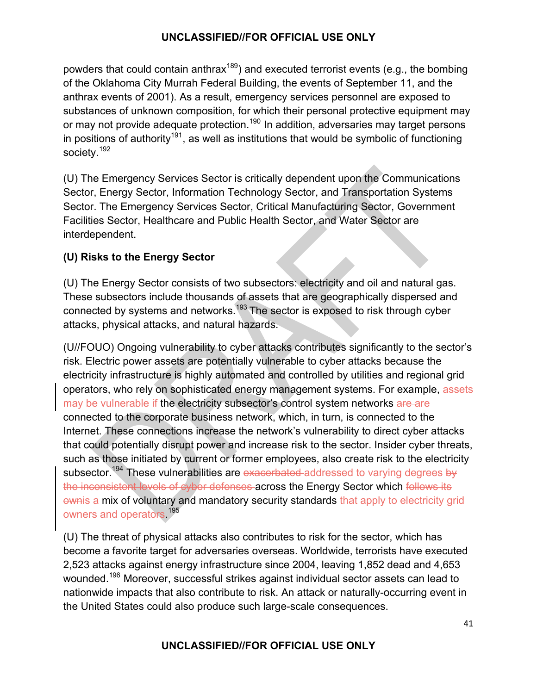powders that could contain anthrax<sup>189</sup>) and executed terrorist events (e.g., the bombing of the Oklahoma City Murrah Federal Building, the events of September 11, and the anthrax events of 2001). As a result, emergency services personnel are exposed to substances of unknown composition, for which their personal protective equipment may or may not provide adequate protection.<sup>190</sup> In addition, adversaries may target persons in positions of authority<sup>191</sup>, as well as institutions that would be symbolic of functioning society.<sup>192</sup>

(U) The Emergency Services Sector is critically dependent upon the Communications Sector, Energy Sector, Information Technology Sector, and Transportation Systems Sector. The Emergency Services Sector, Critical Manufacturing Sector, Government Facilities Sector, Healthcare and Public Health Sector, and Water Sector are interdependent.

# **(U) Risks to the Energy Sector**

(U) The Energy Sector consists of two subsectors: electricity and oil and natural gas. These subsectors include thousands of assets that are geographically dispersed and connected by systems and networks.<sup>193</sup> The sector is exposed to risk through cyber attacks, physical attacks, and natural hazards.

(U//FOUO) Ongoing vulnerability to cyber attacks contributes significantly to the sector's risk. Electric power assets are potentially vulnerable to cyber attacks because the electricity infrastructure is highly automated and controlled by utilities and regional grid operators, who rely on sophisticated energy management systems. For example, assets may be vulnerable if the electricity subsector's control system networks are are connected to the corporate business network, which, in turn, is connected to the Internet. These connections increase the network's vulnerability to direct cyber attacks that could potentially disrupt power and increase risk to the sector. Insider cyber threats, such as those initiated by current or former employees, also create risk to the electricity subsector.<sup>194</sup> These vulnerabilities are exacerbated addressed to varying degrees by the inconsistent levels of cyber defenses across the Energy Sector which follows its ownis a mix of voluntary and mandatory security standards that apply to electricity grid owners and operators.<sup>195</sup>

(U) The threat of physical attacks also contributes to risk for the sector, which has become a favorite target for adversaries overseas. Worldwide, terrorists have executed 2,523 attacks against energy infrastructure since 2004, leaving 1,852 dead and 4,653 wounded.196 Moreover, successful strikes against individual sector assets can lead to nationwide impacts that also contribute to risk. An attack or naturally-occurring event in the United States could also produce such large-scale consequences.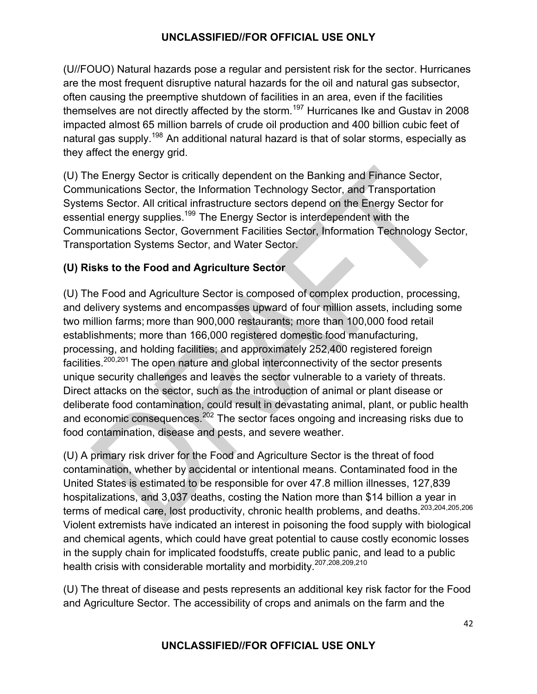(U//FOUO) Natural hazards pose a regular and persistent risk for the sector. Hurricanes are the most frequent disruptive natural hazards for the oil and natural gas subsector, often causing the preemptive shutdown of facilities in an area, even if the facilities themselves are not directly affected by the storm.<sup>197</sup> Hurricanes Ike and Gustav in 2008 impacted almost 65 million barrels of crude oil production and 400 billion cubic feet of natural gas supply.<sup>198</sup> An additional natural hazard is that of solar storms, especially as they affect the energy grid.

(U) The Energy Sector is critically dependent on the Banking and Finance Sector, Communications Sector, the Information Technology Sector, and Transportation Systems Sector. All critical infrastructure sectors depend on the Energy Sector for essential energy supplies.<sup>199</sup> The Energy Sector is interdependent with the Communications Sector, Government Facilities Sector, Information Technology Sector, Transportation Systems Sector, and Water Sector.

# **(U) Risks to the Food and Agriculture Sector**

(U) The Food and Agriculture Sector is composed of complex production, processing, and delivery systems and encompasses upward of four million assets, including some two million farms; more than 900,000 restaurants; more than 100,000 food retail establishments; more than 166,000 registered domestic food manufacturing, processing, and holding facilities; and approximately 252,400 registered foreign facilities.200,201 The open nature and global interconnectivity of the sector presents unique security challenges and leaves the sector vulnerable to a variety of threats. Direct attacks on the sector, such as the introduction of animal or plant disease or deliberate food contamination, could result in devastating animal, plant, or public health and economic consequences.<sup>202</sup> The sector faces ongoing and increasing risks due to food contamination, disease and pests, and severe weather.

(U) A primary risk driver for the Food and Agriculture Sector is the threat of food contamination, whether by accidental or intentional means. Contaminated food in the United States is estimated to be responsible for over 47.8 million illnesses, 127,839 hospitalizations, and 3,037 deaths, costing the Nation more than \$14 billion a year in terms of medical care, lost productivity, chronic health problems, and deaths.<sup>203,204,205,206</sup> Violent extremists have indicated an interest in poisoning the food supply with biological and chemical agents, which could have great potential to cause costly economic losses in the supply chain for implicated foodstuffs, create public panic, and lead to a public health crisis with considerable mortality and morbidity.207,208,209,210

(U) The threat of disease and pests represents an additional key risk factor for the Food and Agriculture Sector. The accessibility of crops and animals on the farm and the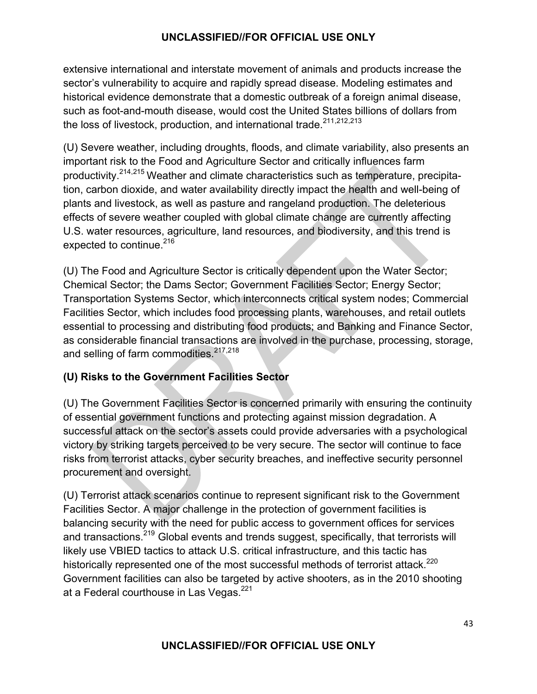extensive international and interstate movement of animals and products increase the sector's vulnerability to acquire and rapidly spread disease. Modeling estimates and historical evidence demonstrate that a domestic outbreak of a foreign animal disease, such as foot-and-mouth disease, would cost the United States billions of dollars from the loss of livestock, production, and international trade.<sup>211,212,213</sup>

(U) Severe weather, including droughts, floods, and climate variability, also presents an important risk to the Food and Agriculture Sector and critically influences farm productivity.214,215 Weather and climate characteristics such as temperature, precipitation, carbon dioxide, and water availability directly impact the health and well-being of plants and livestock, as well as pasture and rangeland production. The deleterious effects of severe weather coupled with global climate change are currently affecting U.S. water resources, agriculture, land resources, and biodiversity, and this trend is expected to continue.<sup>216</sup>

(U) The Food and Agriculture Sector is critically dependent upon the Water Sector; Chemical Sector; the Dams Sector; Government Facilities Sector; Energy Sector; Transportation Systems Sector, which interconnects critical system nodes; Commercial Facilities Sector, which includes food processing plants, warehouses, and retail outlets essential to processing and distributing food products; and Banking and Finance Sector, as considerable financial transactions are involved in the purchase, processing, storage, and selling of farm commodities.<sup>217,218</sup>

# **(U) Risks to the Government Facilities Sector**

(U) The Government Facilities Sector is concerned primarily with ensuring the continuity of essential government functions and protecting against mission degradation. A successful attack on the sector's assets could provide adversaries with a psychological victory by striking targets perceived to be very secure. The sector will continue to face risks from terrorist attacks, cyber security breaches, and ineffective security personnel procurement and oversight.

(U) Terrorist attack scenarios continue to represent significant risk to the Government Facilities Sector. A major challenge in the protection of government facilities is balancing security with the need for public access to government offices for services and transactions.<sup>219</sup> Global events and trends suggest, specifically, that terrorists will likely use VBIED tactics to attack U.S. critical infrastructure, and this tactic has historically represented one of the most successful methods of terrorist attack.<sup>220</sup> Government facilities can also be targeted by active shooters, as in the 2010 shooting at a Federal courthouse in Las Vegas.<sup>221</sup>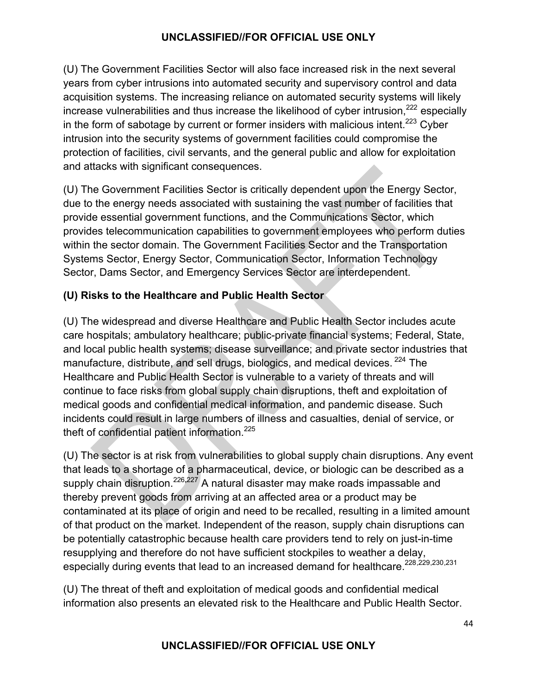(U) The Government Facilities Sector will also face increased risk in the next several years from cyber intrusions into automated security and supervisory control and data acquisition systems. The increasing reliance on automated security systems will likely increase vulnerabilities and thus increase the likelihood of cyber intrusion.<sup>222</sup> especially in the form of sabotage by current or former insiders with malicious intent.<sup>223</sup> Cyber intrusion into the security systems of government facilities could compromise the protection of facilities, civil servants, and the general public and allow for exploitation and attacks with significant consequences.

(U) The Government Facilities Sector is critically dependent upon the Energy Sector, due to the energy needs associated with sustaining the vast number of facilities that provide essential government functions, and the Communications Sector, which provides telecommunication capabilities to government employees who perform duties within the sector domain. The Government Facilities Sector and the Transportation Systems Sector, Energy Sector, Communication Sector, Information Technology Sector, Dams Sector, and Emergency Services Sector are interdependent.

# **(U) Risks to the Healthcare and Public Health Sector**

(U) The widespread and diverse Healthcare and Public Health Sector includes acute care hospitals; ambulatory healthcare; public-private financial systems; Federal, State, and local public health systems; disease surveillance; and private sector industries that manufacture, distribute, and sell drugs, biologics, and medical devices. <sup>224</sup> The Healthcare and Public Health Sector is vulnerable to a variety of threats and will continue to face risks from global supply chain disruptions, theft and exploitation of medical goods and confidential medical information, and pandemic disease. Such incidents could result in large numbers of illness and casualties, denial of service, or theft of confidential patient information.<sup>225</sup>

(U) The sector is at risk from vulnerabilities to global supply chain disruptions. Any event that leads to a shortage of a pharmaceutical, device, or biologic can be described as a supply chain disruption.<sup>226</sup>**,**227 A natural disaster may make roads impassable and thereby prevent goods from arriving at an affected area or a product may be contaminated at its place of origin and need to be recalled, resulting in a limited amount of that product on the market. Independent of the reason, supply chain disruptions can be potentially catastrophic because health care providers tend to rely on just-in-time resupplying and therefore do not have sufficient stockpiles to weather a delay, especially during events that lead to an increased demand for healthcare.<sup>228,229,230,231</sup>

(U) The threat of theft and exploitation of medical goods and confidential medical information also presents an elevated risk to the Healthcare and Public Health Sector.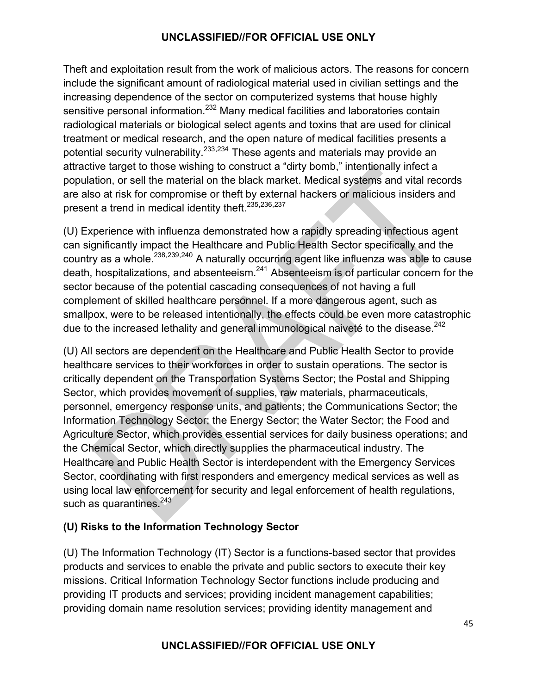Theft and exploitation result from the work of malicious actors. The reasons for concern include the significant amount of radiological material used in civilian settings and the increasing dependence of the sector on computerized systems that house highly sensitive personal information.<sup>232</sup> Many medical facilities and laboratories contain radiological materials or biological select agents and toxins that are used for clinical treatment or medical research, and the open nature of medical facilities presents a potential security vulnerability.<sup>233,234</sup> These agents and materials may provide an attractive target to those wishing to construct a "dirty bomb," intentionally infect a population, or sell the material on the black market. Medical systems and vital records are also at risk for compromise or theft by external hackers or malicious insiders and present a trend in medical identity theft.<sup>235,236,237</sup>

(U) Experience with influenza demonstrated how a rapidly spreading infectious agent can significantly impact the Healthcare and Public Health Sector specifically and the country as a whole.<sup>238,239,240</sup> A naturally occurring agent like influenza was able to cause death, hospitalizations, and absenteeism.<sup>241</sup> Absenteeism is of particular concern for the sector because of the potential cascading consequences of not having a full complement of skilled healthcare personnel. If a more dangerous agent, such as smallpox, were to be released intentionally, the effects could be even more catastrophic due to the increased lethality and general immunological naiveté to the disease.<sup>242</sup>

(U) All sectors are dependent on the Healthcare and Public Health Sector to provide healthcare services to their workforces in order to sustain operations. The sector is critically dependent on the Transportation Systems Sector; the Postal and Shipping Sector, which provides movement of supplies, raw materials, pharmaceuticals, personnel, emergency response units, and patients; the Communications Sector; the Information Technology Sector; the Energy Sector; the Water Sector; the Food and Agriculture Sector, which provides essential services for daily business operations; and the Chemical Sector, which directly supplies the pharmaceutical industry. The Healthcare and Public Health Sector is interdependent with the Emergency Services Sector, coordinating with first responders and emergency medical services as well as using local law enforcement for security and legal enforcement of health regulations, such as quarantines. $243$ 

# **(U) Risks to the Information Technology Sector**

(U) The Information Technology (IT) Sector is a functions-based sector that provides products and services to enable the private and public sectors to execute their key missions. Critical Information Technology Sector functions include producing and providing IT products and services; providing incident management capabilities; providing domain name resolution services; providing identity management and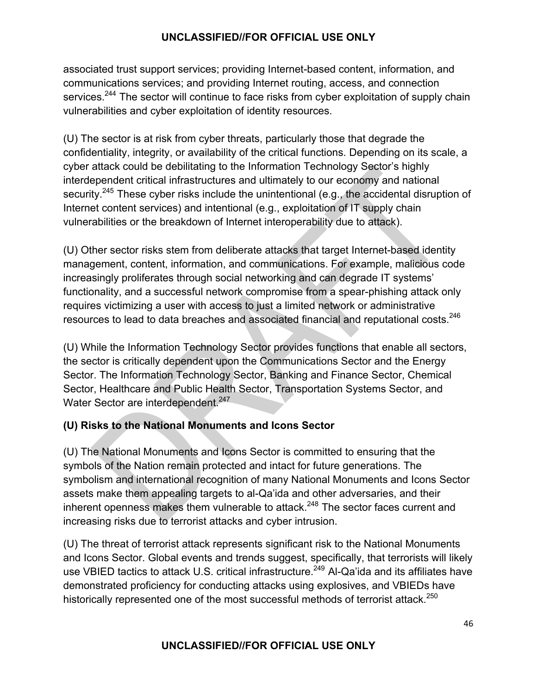associated trust support services; providing Internet-based content, information, and communications services; and providing Internet routing, access, and connection services.<sup>244</sup> The sector will continue to face risks from cyber exploitation of supply chain vulnerabilities and cyber exploitation of identity resources.

(U) The sector is at risk from cyber threats, particularly those that degrade the confidentiality, integrity, or availability of the critical functions. Depending on its scale, a cyber attack could be debilitating to the Information Technology Sector's highly interdependent critical infrastructures and ultimately to our economy and national security.<sup>245</sup> These cyber risks include the unintentional (e.g., the accidental disruption of Internet content services) and intentional (e.g., exploitation of IT supply chain vulnerabilities or the breakdown of Internet interoperability due to attack).

(U) Other sector risks stem from deliberate attacks that target Internet-based identity management, content, information, and communications. For example, malicious code increasingly proliferates through social networking and can degrade IT systems' functionality, and a successful network compromise from a spear-phishing attack only requires victimizing a user with access to just a limited network or administrative resources to lead to data breaches and associated financial and reputational costs.<sup>246</sup>

(U) While the Information Technology Sector provides functions that enable all sectors, the sector is critically dependent upon the Communications Sector and the Energy Sector. The Information Technology Sector, Banking and Finance Sector, Chemical Sector, Healthcare and Public Health Sector, Transportation Systems Sector, and Water Sector are interdependent.<sup>247</sup>

# **(U) Risks to the National Monuments and Icons Sector**

(U) The National Monuments and Icons Sector is committed to ensuring that the symbols of the Nation remain protected and intact for future generations. The symbolism and international recognition of many National Monuments and Icons Sector assets make them appealing targets to al-Qa'ida and other adversaries, and their inherent openness makes them vulnerable to attack.<sup>248</sup> The sector faces current and increasing risks due to terrorist attacks and cyber intrusion.

(U) The threat of terrorist attack represents significant risk to the National Monuments and Icons Sector. Global events and trends suggest, specifically, that terrorists will likely use VBIED tactics to attack U.S. critical infrastructure.<sup>249</sup> Al-Qa'ida and its affiliates have demonstrated proficiency for conducting attacks using explosives, and VBIEDs have historically represented one of the most successful methods of terrorist attack.<sup>250</sup>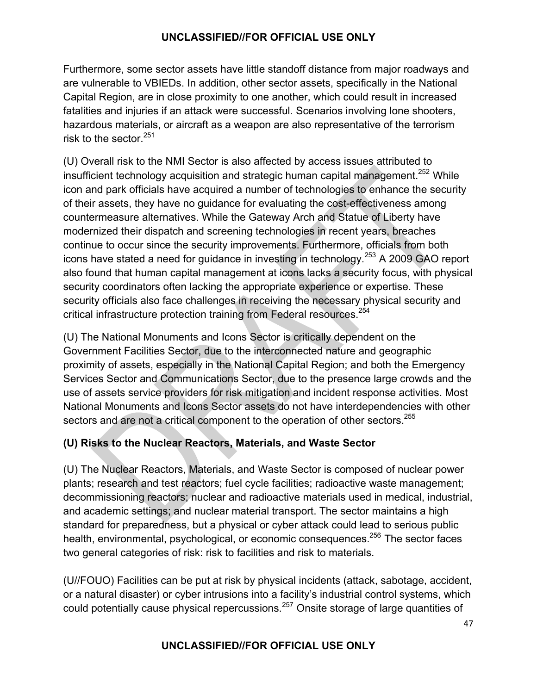Furthermore, some sector assets have little standoff distance from major roadways and are vulnerable to VBIEDs. In addition, other sector assets, specifically in the National Capital Region, are in close proximity to one another, which could result in increased fatalities and injuries if an attack were successful. Scenarios involving lone shooters, hazardous materials, or aircraft as a weapon are also representative of the terrorism risk to the sector  $251$ 

(U) Overall risk to the NMI Sector is also affected by access issues attributed to insufficient technology acquisition and strategic human capital management.<sup>252</sup> While icon and park officials have acquired a number of technologies to enhance the security of their assets, they have no guidance for evaluating the cost-effectiveness among countermeasure alternatives. While the Gateway Arch and Statue of Liberty have modernized their dispatch and screening technologies in recent years, breaches continue to occur since the security improvements. Furthermore, officials from both icons have stated a need for guidance in investing in technology.<sup>253</sup> A 2009 GAO report also found that human capital management at icons lacks a security focus, with physical security coordinators often lacking the appropriate experience or expertise. These security officials also face challenges in receiving the necessary physical security and critical infrastructure protection training from Federal resources.<sup>254</sup>

(U) The National Monuments and Icons Sector is critically dependent on the Government Facilities Sector, due to the interconnected nature and geographic proximity of assets, especially in the National Capital Region; and both the Emergency Services Sector and Communications Sector, due to the presence large crowds and the use of assets service providers for risk mitigation and incident response activities. Most National Monuments and Icons Sector assets do not have interdependencies with other sectors and are not a critical component to the operation of other sectors.<sup>255</sup>

# **(U) Risks to the Nuclear Reactors, Materials, and Waste Sector**

(U) The Nuclear Reactors, Materials, and Waste Sector is composed of nuclear power plants; research and test reactors; fuel cycle facilities; radioactive waste management; decommissioning reactors; nuclear and radioactive materials used in medical, industrial, and academic settings; and nuclear material transport. The sector maintains a high standard for preparedness, but a physical or cyber attack could lead to serious public health, environmental, psychological, or economic consequences.<sup>256</sup> The sector faces two general categories of risk: risk to facilities and risk to materials.

(U//FOUO) Facilities can be put at risk by physical incidents (attack, sabotage, accident, or a natural disaster) or cyber intrusions into a facility's industrial control systems, which could potentially cause physical repercussions.<sup>257</sup> Onsite storage of large quantities of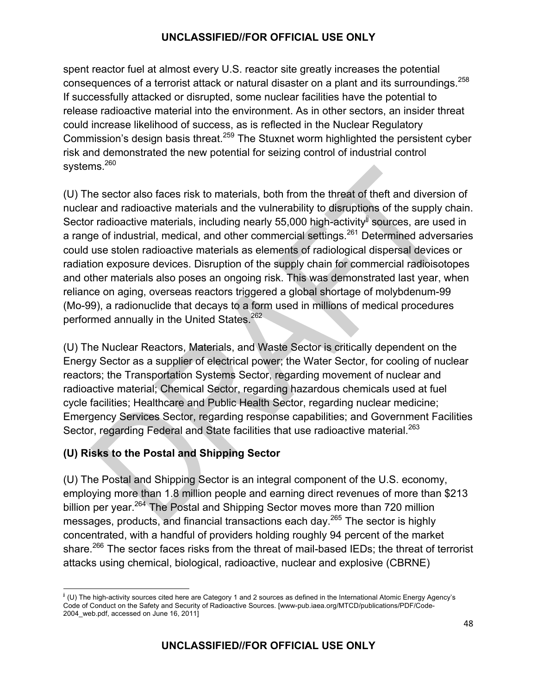spent reactor fuel at almost every U.S. reactor site greatly increases the potential consequences of a terrorist attack or natural disaster on a plant and its surroundings.<sup>258</sup> If successfully attacked or disrupted, some nuclear facilities have the potential to release radioactive material into the environment. As in other sectors, an insider threat could increase likelihood of success, as is reflected in the Nuclear Regulatory Commission's design basis threat.<sup>259</sup> The Stuxnet worm highlighted the persistent cyber risk and demonstrated the new potential for seizing control of industrial control systems.<sup>260</sup>

(U) The sector also faces risk to materials, both from the threat of theft and diversion of nuclear and radioactive materials and the vulnerability to disruptions of the supply chain. Sector radioactive materials, including nearly 55,000 high-activity<sup>jj</sup> sources, are used in a range of industrial, medical, and other commercial settings.<sup>261</sup> Determined adversaries could use stolen radioactive materials as elements of radiological dispersal devices or radiation exposure devices. Disruption of the supply chain for commercial radioisotopes and other materials also poses an ongoing risk. This was demonstrated last year, when reliance on aging, overseas reactors triggered a global shortage of molybdenum-99 (Mo-99), a radionuclide that decays to a form used in millions of medical procedures performed annually in the United States.<sup>262</sup>

(U) The Nuclear Reactors, Materials, and Waste Sector is critically dependent on the Energy Sector as a supplier of electrical power; the Water Sector, for cooling of nuclear reactors; the Transportation Systems Sector, regarding movement of nuclear and radioactive material; Chemical Sector, regarding hazardous chemicals used at fuel cycle facilities; Healthcare and Public Health Sector, regarding nuclear medicine; Emergency Services Sector, regarding response capabilities; and Government Facilities Sector, regarding Federal and State facilities that use radioactive material.<sup>263</sup>

# **(U) Risks to the Postal and Shipping Sector**

(U) The Postal and Shipping Sector is an integral component of the U.S. economy, employing more than 1.8 million people and earning direct revenues of more than \$213 billion per year.<sup>264</sup> The Postal and Shipping Sector moves more than 720 million messages, products, and financial transactions each day.<sup>265</sup> The sector is highly concentrated, with a handful of providers holding roughly 94 percent of the market share.<sup>266</sup> The sector faces risks from the threat of mail-based IEDs; the threat of terrorist attacks using chemical, biological, radioactive, nuclear and explosive (CBRNE)

<sup>&</sup>lt;u> 1989 - Johann Stein, fransk politik (d. 1989)</u>  $j$  (U) The high-activity sources cited here are Category 1 and 2 sources as defined in the International Atomic Energy Agency's Code of Conduct on the Safety and Security of Radioactive Sources. [www-pub.iaea.org/MTCD/publications/PDF/Code-2004 web.pdf, accessed on June 16, 2011]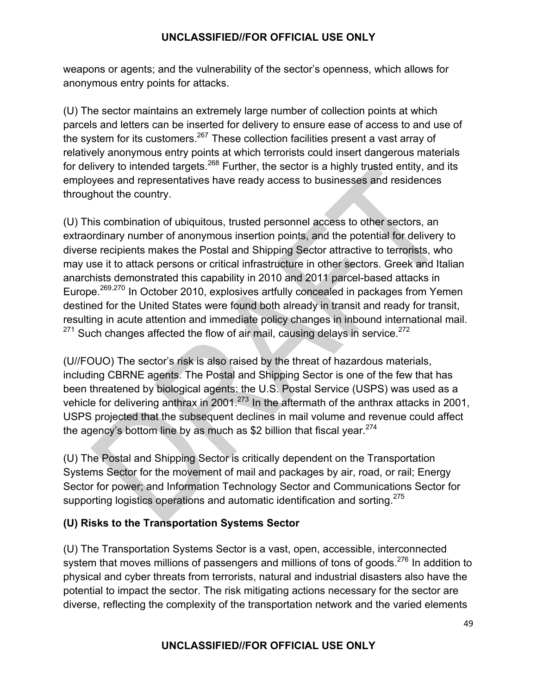weapons or agents; and the vulnerability of the sector's openness, which allows for anonymous entry points for attacks.

(U) The sector maintains an extremely large number of collection points at which parcels and letters can be inserted for delivery to ensure ease of access to and use of the system for its customers. $267$  These collection facilities present a vast array of relatively anonymous entry points at which terrorists could insert dangerous materials for delivery to intended targets.<sup>268</sup> Further, the sector is a highly trusted entity, and its employees and representatives have ready access to businesses and residences throughout the country.

(U) This combination of ubiquitous, trusted personnel access to other sectors, an extraordinary number of anonymous insertion points, and the potential for delivery to diverse recipients makes the Postal and Shipping Sector attractive to terrorists, who may use it to attack persons or critical infrastructure in other sectors. Greek and Italian anarchists demonstrated this capability in 2010 and 2011 parcel-based attacks in Europe.<sup>269,270</sup> In October 2010, explosives artfully concealed in packages from Yemen destined for the United States were found both already in transit and ready for transit, resulting in acute attention and immediate policy changes in inbound international mail.  $271$  Such changes affected the flow of air mail, causing delays in service.<sup>272</sup>

(U//FOUO) The sector's risk is also raised by the threat of hazardous materials, including CBRNE agents. The Postal and Shipping Sector is one of the few that has been threatened by biological agents: the U.S. Postal Service (USPS) was used as a vehicle for delivering anthrax in 2001.<sup>273</sup> In the aftermath of the anthrax attacks in 2001, USPS projected that the subsequent declines in mail volume and revenue could affect the agency's bottom line by as much as \$2 billion that fiscal year. $274$ 

(U) The Postal and Shipping Sector is critically dependent on the Transportation Systems Sector for the movement of mail and packages by air, road, or rail; Energy Sector for power; and Information Technology Sector and Communications Sector for supporting logistics operations and automatic identification and sorting.<sup>275</sup>

# **(U) Risks to the Transportation Systems Sector**

(U) The Transportation Systems Sector is a vast, open, accessible, interconnected system that moves millions of passengers and millions of tons of goods.<sup>276</sup> In addition to physical and cyber threats from terrorists, natural and industrial disasters also have the potential to impact the sector. The risk mitigating actions necessary for the sector are diverse, reflecting the complexity of the transportation network and the varied elements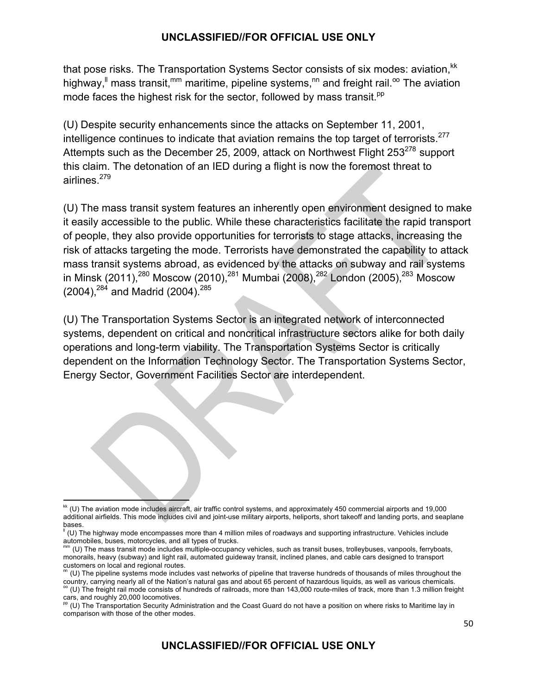that pose risks. The Transportation Systems Sector consists of six modes: aviation, <sup>kk</sup> highway,<sup>"</sup> mass transit,<sup>mm</sup> maritime, pipeline systems,<sup>nn</sup> and freight rail.<sup>oo</sup> The aviation mode faces the highest risk for the sector, followed by mass transit.<sup>pp</sup>

(U) Despite security enhancements since the attacks on September 11, 2001, intelligence continues to indicate that aviation remains the top target of terrorists.<sup>277</sup> Attempts such as the December 25, 2009, attack on Northwest Flight  $253^{278}$  support this claim. The detonation of an IED during a flight is now the foremost threat to airlines.<sup>279</sup>

(U) The mass transit system features an inherently open environment designed to make it easily accessible to the public. While these characteristics facilitate the rapid transport of people, they also provide opportunities for terrorists to stage attacks, increasing the risk of attacks targeting the mode. Terrorists have demonstrated the capability to attack mass transit systems abroad, as evidenced by the attacks on subway and rail systems in Minsk (2011),<sup>280</sup> Moscow (2010),<sup>281</sup> Mumbai (2008),<sup>282</sup> London (2005),<sup>283</sup> Moscow  $(2004)$ ,  $^{284}$  and Madrid (2004).  $^{285}$ 

(U) The Transportation Systems Sector is an integrated network of interconnected systems, dependent on critical and noncritical infrastructure sectors alike for both daily operations and long-term viability. The Transportation Systems Sector is critically dependent on the Information Technology Sector. The Transportation Systems Sector, Energy Sector, Government Facilities Sector are interdependent.

  $k$  (U) The aviation mode includes aircraft, air traffic control systems, and approximately 450 commercial airports and 19,000 additional airfields. This mode includes civil and joint-use military airports, heliports, short takeoff and landing ports, and seaplane bases.

<sup>(</sup>U) The highway mode encompasses more than 4 million miles of roadways and supporting infrastructure. Vehicles include automobiles, buses, motorcycles, and all types of trucks.

mm (U) The mass transit mode includes multiple-occupancy vehicles, such as transit buses, trolleybuses, vanpools, ferryboats, monorails, heavy (subway) and light rail, automated guideway transit, inclined planes, and cable cars designed to transport

customers on local and regional routes.<br><sup>m</sup> (U) The pipeline systems mode includes vast networks of pipeline that traverse hundreds of thousands of miles throughout the country, carrying nearly all of the Nation's natural gas and about 65 percent of hazardous liquids, as well as various chemicals.<br>°° (U) The freight rail mode consists of hundreds of railroads, more than 143,000 route-mile

cars, and roughly 20,000 locomotives.<br><sup>pp</sup> (U) The Transportation Security Administration and the Coast Guard do not have a position on where risks to Maritime lay in comparison with those of the other modes.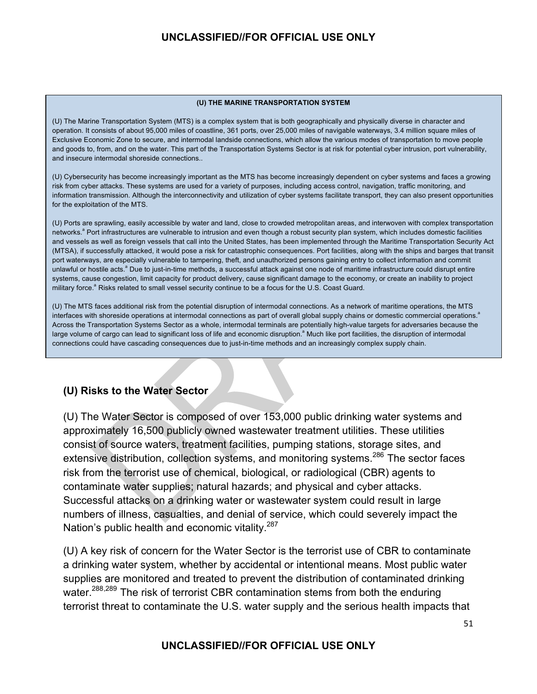#### **(U) THE MARINE TRANSPORTATION SYSTEM**

(U) The Marine Transportation System (MTS) is a complex system that is both geographically and physically diverse in character and operation. It consists of about 95,000 miles of coastline, 361 ports, over 25,000 miles of navigable waterways, 3.4 million square miles of Exclusive Economic Zone to secure, and intermodal landside connections, which allow the various modes of transportation to move people and goods to, from, and on the water. This part of the Transportation Systems Sector is at risk for potential cyber intrusion, port vulnerability, and insecure intermodal shoreside connections..

(U) Cybersecurity has become increasingly important as the MTS has become increasingly dependent on cyber systems and faces a growing risk from cyber attacks. These systems are used for a variety of purposes, including access control, navigation, traffic monitoring, and information transmission. Although the interconnectivity and utilization of cyber systems facilitate transport, they can also present opportunities for the exploitation of the MTS.

(U) Ports are sprawling, easily accessible by water and land, close to crowded metropolitan areas, and interwoven with complex transportation networks.<sup>a</sup> Port infrastructures are vulnerable to intrusion and even though a robust security plan system, which includes domestic facilities and vessels as well as foreign vessels that call into the United States, has been implemented through the Maritime Transportation Security Act (MTSA), if successfully attacked, it would pose a risk for catastrophic consequences. Port facilities, along with the ships and barges that transit port waterways, are especially vulnerable to tampering, theft, and unauthorized persons gaining entry to collect information and commit unlawful or hostile acts.<sup>a</sup> Due to just-in-time methods, a successful attack against one node of maritime infrastructure could disrupt entire systems, cause congestion, limit capacity for product delivery, cause significant damage to the economy, or create an inability to project military force.<sup>a</sup> Risks related to small vessel security continue to be a focus for the U.S. Coast Guard.

(U) The MTS faces additional risk from the potential disruption of intermodal connections. As a network of maritime operations, the MTS interfaces with shoreside operations at intermodal connections as part of overall global supply chains or domestic commercial operations.<sup>a</sup> Across the Transportation Systems Sector as a whole, intermodal terminals are potentially high-value targets for adversaries because the large volume of cargo can lead to significant loss of life and economic disruption.<sup>a</sup> Much like port facilities, the disruption of intermodal connections could have cascading consequences due to just-in-time methods and an increasingly complex supply chain.

#### **(U) Risks to the Water Sector**

(U) The Water Sector is composed of over 153,000 public drinking water systems and approximately 16,500 publicly owned wastewater treatment utilities. These utilities consist of source waters, treatment facilities, pumping stations, storage sites, and extensive distribution, collection systems, and monitoring systems.<sup>286</sup> The sector faces risk from the terrorist use of chemical, biological, or radiological (CBR) agents to contaminate water supplies; natural hazards; and physical and cyber attacks. Successful attacks on a drinking water or wastewater system could result in large numbers of illness, casualties, and denial of service, which could severely impact the Nation's public health and economic vitality.<sup>287</sup>

(U) A key risk of concern for the Water Sector is the terrorist use of CBR to contaminate a drinking water system, whether by accidental or intentional means. Most public water supplies are monitored and treated to prevent the distribution of contaminated drinking water.<sup>288,289</sup> The risk of terrorist CBR contamination stems from both the enduring terrorist threat to contaminate the U.S. water supply and the serious health impacts that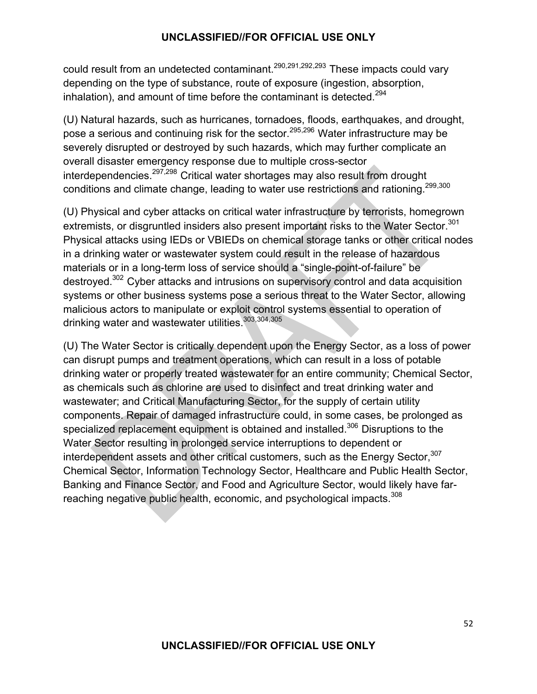could result from an undetected contaminant.290,291,292,293 These impacts could vary depending on the type of substance, route of exposure (ingestion, absorption, inhalation), and amount of time before the contaminant is detected.<sup>294</sup>

(U) Natural hazards, such as hurricanes, tornadoes, floods, earthquakes, and drought, pose a serious and continuing risk for the sector.<sup>295,296</sup> Water infrastructure may be severely disrupted or destroyed by such hazards, which may further complicate an overall disaster emergency response due to multiple cross-sector interdependencies.297,298 Critical water shortages may also result from drought conditions and climate change, leading to water use restrictions and rationing.299,300

(U) Physical and cyber attacks on critical water infrastructure by terrorists, homegrown extremists, or disgruntled insiders also present important risks to the Water Sector.<sup>301</sup> Physical attacks using IEDs or VBIEDs on chemical storage tanks or other critical nodes in a drinking water or wastewater system could result in the release of hazardous materials or in a long-term loss of service should a "single-point-of-failure" be destroyed.302 Cyber attacks and intrusions on supervisory control and data acquisition systems or other business systems pose a serious threat to the Water Sector, allowing malicious actors to manipulate or exploit control systems essential to operation of drinking water and wastewater utilities.303,304,305

(U) The Water Sector is critically dependent upon the Energy Sector, as a loss of power can disrupt pumps and treatment operations, which can result in a loss of potable drinking water or properly treated wastewater for an entire community; Chemical Sector, as chemicals such as chlorine are used to disinfect and treat drinking water and wastewater; and Critical Manufacturing Sector, for the supply of certain utility components. Repair of damaged infrastructure could, in some cases, be prolonged as specialized replacement equipment is obtained and installed.<sup>306</sup> Disruptions to the Water Sector resulting in prolonged service interruptions to dependent or interdependent assets and other critical customers, such as the Energy Sector,<sup>307</sup> Chemical Sector, Information Technology Sector, Healthcare and Public Health Sector, Banking and Finance Sector, and Food and Agriculture Sector, would likely have farreaching negative public health, economic, and psychological impacts.<sup>308</sup>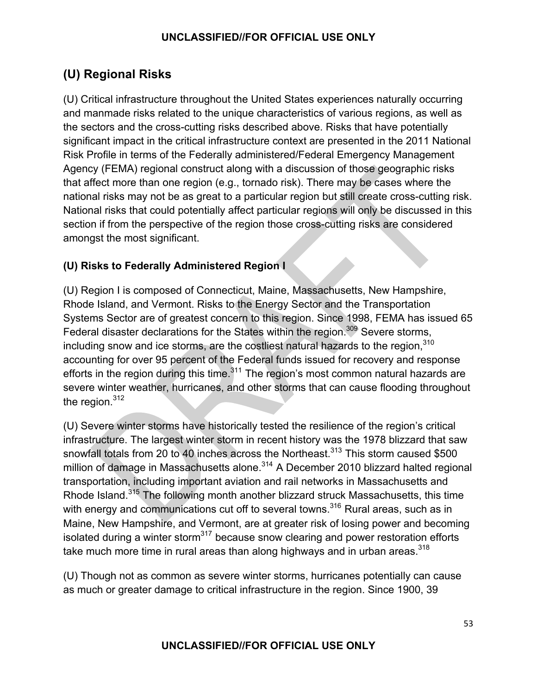# **(U) Regional Risks**

(U) Critical infrastructure throughout the United States experiences naturally occurring and manmade risks related to the unique characteristics of various regions, as well as the sectors and the cross-cutting risks described above. Risks that have potentially significant impact in the critical infrastructure context are presented in the 2011 National Risk Profile in terms of the Federally administered/Federal Emergency Management Agency (FEMA) regional construct along with a discussion of those geographic risks that affect more than one region (e.g., tornado risk). There may be cases where the national risks may not be as great to a particular region but still create cross-cutting risk. National risks that could potentially affect particular regions will only be discussed in this section if from the perspective of the region those cross-cutting risks are considered amongst the most significant.

# **(U) Risks to Federally Administered Region I**

(U) Region I is composed of Connecticut, Maine, Massachusetts, New Hampshire, Rhode Island, and Vermont. Risks to the Energy Sector and the Transportation Systems Sector are of greatest concern to this region. Since 1998, FEMA has issued 65 Federal disaster declarations for the States within the region.<sup>309</sup> Severe storms, including snow and ice storms, are the costliest natural hazards to the region, $310$ accounting for over 95 percent of the Federal funds issued for recovery and response efforts in the region during this time. $311$  The region's most common natural hazards are severe winter weather, hurricanes, and other storms that can cause flooding throughout the region. $312$ 

(U) Severe winter storms have historically tested the resilience of the region's critical infrastructure. The largest winter storm in recent history was the 1978 blizzard that saw snowfall totals from 20 to 40 inches across the Northeast.<sup>313</sup> This storm caused \$500 million of damage in Massachusetts alone.<sup>314</sup> A December 2010 blizzard halted regional transportation, including important aviation and rail networks in Massachusetts and Rhode Island.<sup>315</sup> The following month another blizzard struck Massachusetts, this time with energy and communications cut off to several towns.<sup>316</sup> Rural areas, such as in Maine, New Hampshire, and Vermont, are at greater risk of losing power and becoming isolated during a winter storm<sup>317</sup> because snow clearing and power restoration efforts take much more time in rural areas than along highways and in urban areas. $318$ 

(U) Though not as common as severe winter storms, hurricanes potentially can cause as much or greater damage to critical infrastructure in the region. Since 1900, 39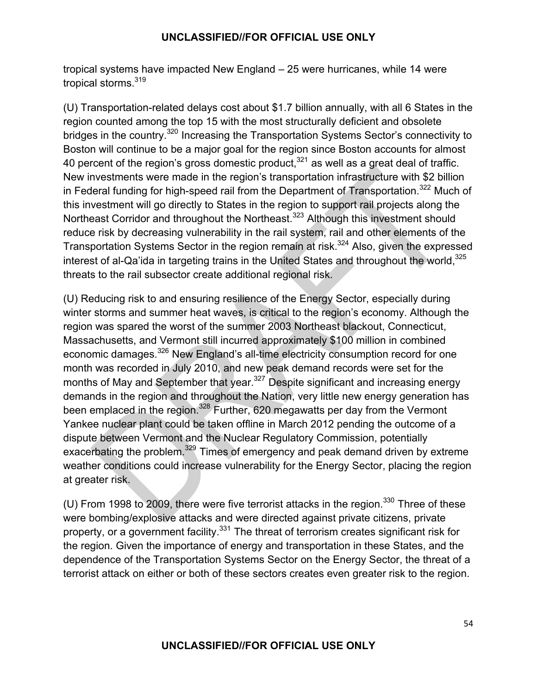tropical systems have impacted New England – 25 were hurricanes, while 14 were tropical storms.<sup>319</sup>

(U) Transportation-related delays cost about \$1.7 billion annually, with all 6 States in the region counted among the top 15 with the most structurally deficient and obsolete bridges in the country.<sup>320</sup> Increasing the Transportation Systems Sector's connectivity to Boston will continue to be a major goal for the region since Boston accounts for almost 40 percent of the region's gross domestic product,  $321$  as well as a great deal of traffic. New investments were made in the region's transportation infrastructure with \$2 billion in Federal funding for high-speed rail from the Department of Transportation.<sup>322</sup> Much of this investment will go directly to States in the region to support rail projects along the Northeast Corridor and throughout the Northeast.<sup>323</sup> Although this investment should reduce risk by decreasing vulnerability in the rail system, rail and other elements of the Transportation Systems Sector in the region remain at risk.<sup>324</sup> Also, given the expressed interest of al-Qa'ida in targeting trains in the United States and throughout the world.<sup>325</sup> threats to the rail subsector create additional regional risk.

(U) Reducing risk to and ensuring resilience of the Energy Sector, especially during winter storms and summer heat waves, is critical to the region's economy. Although the region was spared the worst of the summer 2003 Northeast blackout, Connecticut, Massachusetts, and Vermont still incurred approximately \$100 million in combined economic damages.<sup>326</sup> New England's all-time electricity consumption record for one month was recorded in July 2010, and new peak demand records were set for the months of May and September that year.<sup>327</sup> Despite significant and increasing energy demands in the region and throughout the Nation, very little new energy generation has been emplaced in the region.<sup>328</sup> Further, 620 megawatts per day from the Vermont Yankee nuclear plant could be taken offline in March 2012 pending the outcome of a dispute between Vermont and the Nuclear Regulatory Commission, potentially exacerbating the problem.<sup>329</sup> Times of emergency and peak demand driven by extreme weather conditions could increase vulnerability for the Energy Sector, placing the region at greater risk.

(U) From 1998 to 2009, there were five terrorist attacks in the region. $330$  Three of these were bombing/explosive attacks and were directed against private citizens, private property, or a government facility.<sup>331</sup> The threat of terrorism creates significant risk for the region. Given the importance of energy and transportation in these States, and the dependence of the Transportation Systems Sector on the Energy Sector, the threat of a terrorist attack on either or both of these sectors creates even greater risk to the region.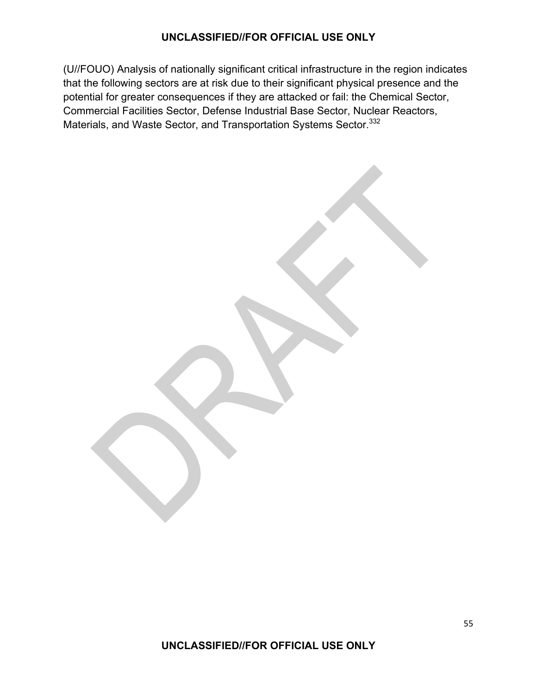(U//FOUO) Analysis of nationally significant critical infrastructure in the region indicates that the following sectors are at risk due to their significant physical presence and the potential for greater consequences if they are attacked or fail: the Chemical Sector, Commercial Facilities Sector, Defense Industrial Base Sector, Nuclear Reactors, Materials, and Waste Sector, and Transportation Systems Sector.<sup>332</sup>

**UNCLASSIFIED//FOR OFFICIAL USE ONLY**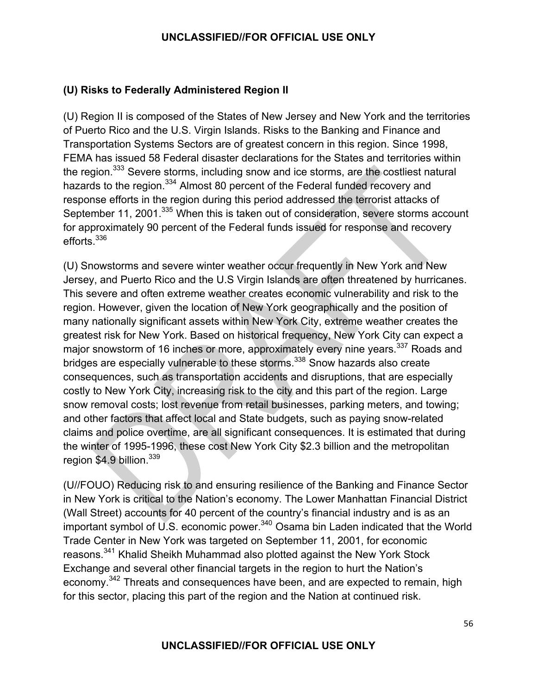# **(U) Risks to Federally Administered Region II**

(U) Region II is composed of the States of New Jersey and New York and the territories of Puerto Rico and the U.S. Virgin Islands. Risks to the Banking and Finance and Transportation Systems Sectors are of greatest concern in this region. Since 1998, FEMA has issued 58 Federal disaster declarations for the States and territories within the region.<sup>333</sup> Severe storms, including snow and ice storms, are the costliest natural hazards to the region.<sup>334</sup> Almost 80 percent of the Federal funded recovery and response efforts in the region during this period addressed the terrorist attacks of September 11, 2001.<sup>335</sup> When this is taken out of consideration, severe storms account for approximately 90 percent of the Federal funds issued for response and recovery efforts.<sup>336</sup>

(U) Snowstorms and severe winter weather occur frequently in New York and New Jersey, and Puerto Rico and the U.S Virgin Islands are often threatened by hurricanes. This severe and often extreme weather creates economic vulnerability and risk to the region. However, given the location of New York geographically and the position of many nationally significant assets within New York City, extreme weather creates the greatest risk for New York. Based on historical frequency, New York City can expect a major snowstorm of 16 inches or more, approximately every nine years.<sup>337</sup> Roads and bridges are especially vulnerable to these storms.<sup>338</sup> Snow hazards also create consequences, such as transportation accidents and disruptions, that are especially costly to New York City, increasing risk to the city and this part of the region. Large snow removal costs; lost revenue from retail businesses, parking meters, and towing; and other factors that affect local and State budgets, such as paying snow-related claims and police overtime, are all significant consequences. It is estimated that during the winter of 1995-1996, these cost New York City \$2.3 billion and the metropolitan region  $$4.9$  billion.<sup>339</sup>

(U//FOUO) Reducing risk to and ensuring resilience of the Banking and Finance Sector in New York is critical to the Nation's economy. The Lower Manhattan Financial District (Wall Street) accounts for 40 percent of the country's financial industry and is as an important symbol of U.S. economic power.<sup>340</sup> Osama bin Laden indicated that the World Trade Center in New York was targeted on September 11, 2001, for economic reasons.<sup>341</sup> Khalid Sheikh Muhammad also plotted against the New York Stock Exchange and several other financial targets in the region to hurt the Nation's economy.<sup>342</sup> Threats and consequences have been, and are expected to remain, high for this sector, placing this part of the region and the Nation at continued risk.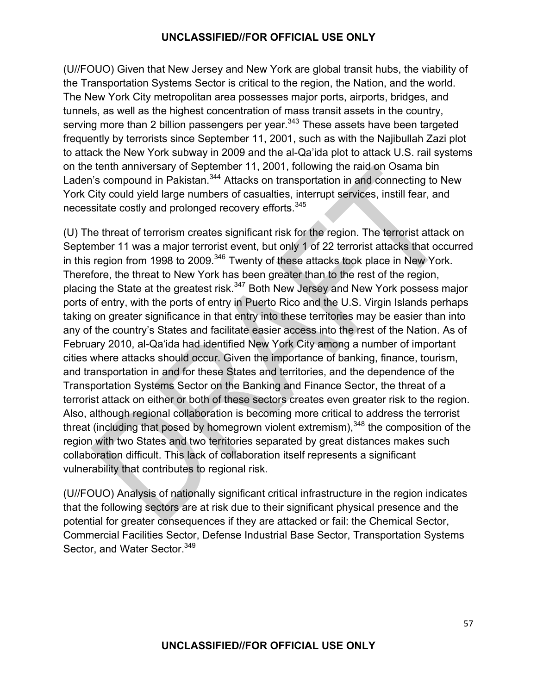(U//FOUO) Given that New Jersey and New York are global transit hubs, the viability of the Transportation Systems Sector is critical to the region, the Nation, and the world. The New York City metropolitan area possesses major ports, airports, bridges, and tunnels, as well as the highest concentration of mass transit assets in the country, serving more than 2 billion passengers per year.<sup>343</sup> These assets have been targeted frequently by terrorists since September 11, 2001, such as with the Najibullah Zazi plot to attack the New York subway in 2009 and the al-Qa'ida plot to attack U.S. rail systems on the tenth anniversary of September 11, 2001, following the raid on Osama bin Laden's compound in Pakistan.<sup>344</sup> Attacks on transportation in and connecting to New York City could yield large numbers of casualties, interrupt services, instill fear, and necessitate costly and prolonged recovery efforts.<sup>345</sup>

(U) The threat of terrorism creates significant risk for the region. The terrorist attack on September 11 was a major terrorist event, but only 1 of 22 terrorist attacks that occurred in this region from 1998 to 2009.<sup>346</sup> Twenty of these attacks took place in New York. Therefore, the threat to New York has been greater than to the rest of the region, placing the State at the greatest risk.<sup>347</sup> Both New Jersey and New York possess major ports of entry, with the ports of entry in Puerto Rico and the U.S. Virgin Islands perhaps taking on greater significance in that entry into these territories may be easier than into any of the country's States and facilitate easier access into the rest of the Nation. As of February 2010, al-Qa'ida had identified New York City among a number of important cities where attacks should occur. Given the importance of banking, finance, tourism, and transportation in and for these States and territories, and the dependence of the Transportation Systems Sector on the Banking and Finance Sector, the threat of a terrorist attack on either or both of these sectors creates even greater risk to the region. Also, although regional collaboration is becoming more critical to address the terrorist threat (including that posed by homegrown violent extremism),  $348$  the composition of the region with two States and two territories separated by great distances makes such collaboration difficult. This lack of collaboration itself represents a significant vulnerability that contributes to regional risk.

(U//FOUO) Analysis of nationally significant critical infrastructure in the region indicates that the following sectors are at risk due to their significant physical presence and the potential for greater consequences if they are attacked or fail: the Chemical Sector, Commercial Facilities Sector, Defense Industrial Base Sector, Transportation Systems Sector, and Water Sector.<sup>349</sup>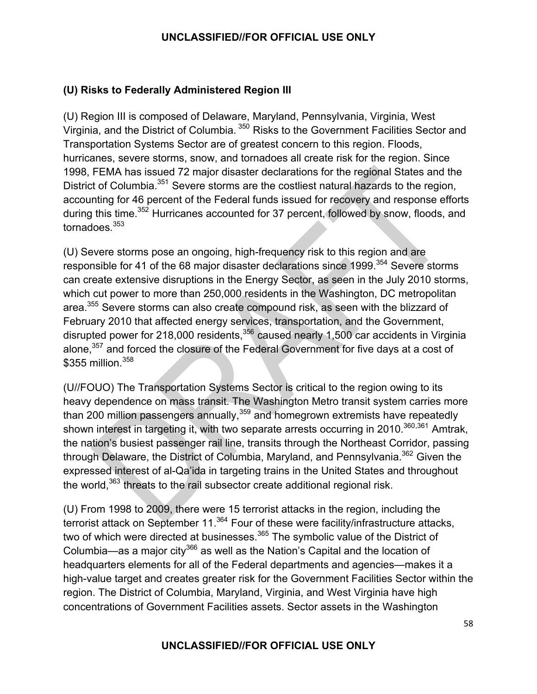# **(U) Risks to Federally Administered Region III**

(U) Region III is composed of Delaware, Maryland, Pennsylvania, Virginia, West Virginia, and the District of Columbia. 350 Risks to the Government Facilities Sector and Transportation Systems Sector are of greatest concern to this region. Floods, hurricanes, severe storms, snow, and tornadoes all create risk for the region. Since 1998, FEMA has issued 72 major disaster declarations for the regional States and the District of Columbia.<sup>351</sup> Severe storms are the costliest natural hazards to the region, accounting for 46 percent of the Federal funds issued for recovery and response efforts during this time.<sup>352</sup> Hurricanes accounted for 37 percent, followed by snow, floods, and tornadoes*.* 353

(U) Severe storms pose an ongoing, high-frequency risk to this region and are responsible for 41 of the 68 major disaster declarations since 1999.<sup>354</sup> Severe storms can create extensive disruptions in the Energy Sector, as seen in the July 2010 storms, which cut power to more than 250,000 residents in the Washington, DC metropolitan area.355 Severe storms can also create compound risk, as seen with the blizzard of February 2010 that affected energy services, transportation, and the Government, disrupted power for 218,000 residents, $356$  caused nearly 1,500 car accidents in Virginia alone,<sup>357</sup> and forced the closure of the Federal Government for five days at a cost of \$355 million.<sup>358</sup>

(U//FOUO) The Transportation Systems Sector is critical to the region owing to its heavy dependence on mass transit. The Washington Metro transit system carries more than 200 million passengers annually,  $359$  and homegrown extremists have repeatedly shown interest in targeting it, with two separate arrests occurring in 2010.<sup>360,361</sup> Amtrak, the nation's busiest passenger rail line, transits through the Northeast Corridor, passing through Delaware, the District of Columbia, Maryland, and Pennsylvania.<sup>362</sup> Given the expressed interest of al-Qa'ida in targeting trains in the United States and throughout the world,<sup>363</sup> threats to the rail subsector create additional regional risk.

(U) From 1998 to 2009, there were 15 terrorist attacks in the region, including the terrorist attack on September 11.<sup>364</sup> Four of these were facility/infrastructure attacks, two of which were directed at businesses.<sup>365</sup> The symbolic value of the District of Columbia—as a major city<sup>366</sup> as well as the Nation's Capital and the location of headquarters elements for all of the Federal departments and agencies—makes it a high-value target and creates greater risk for the Government Facilities Sector within the region. The District of Columbia, Maryland, Virginia, and West Virginia have high concentrations of Government Facilities assets. Sector assets in the Washington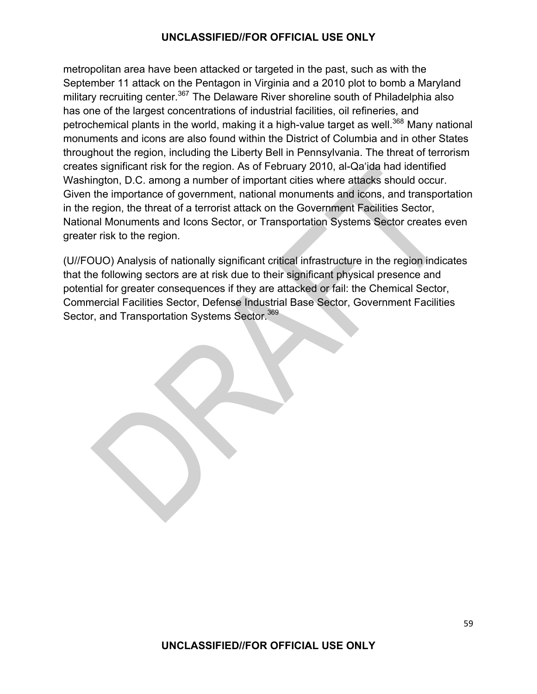metropolitan area have been attacked or targeted in the past, such as with the September 11 attack on the Pentagon in Virginia and a 2010 plot to bomb a Maryland military recruiting center.<sup>367</sup> The Delaware River shoreline south of Philadelphia also has one of the largest concentrations of industrial facilities, oil refineries, and petrochemical plants in the world, making it a high-value target as well.<sup>368</sup> Many national monuments and icons are also found within the District of Columbia and in other States throughout the region, including the Liberty Bell in Pennsylvania. The threat of terrorism creates significant risk for the region. As of February 2010, al-Qa'ida had identified Washington, D.C. among a number of important cities where attacks should occur. Given the importance of government, national monuments and icons, and transportation in the region, the threat of a terrorist attack on the Government Facilities Sector, National Monuments and Icons Sector, or Transportation Systems Sector creates even greater risk to the region.

(U//FOUO) Analysis of nationally significant critical infrastructure in the region indicates that the following sectors are at risk due to their significant physical presence and potential for greater consequences if they are attacked or fail: the Chemical Sector, Commercial Facilities Sector, Defense Industrial Base Sector, Government Facilities Sector, and Transportation Systems Sector.<sup>369</sup>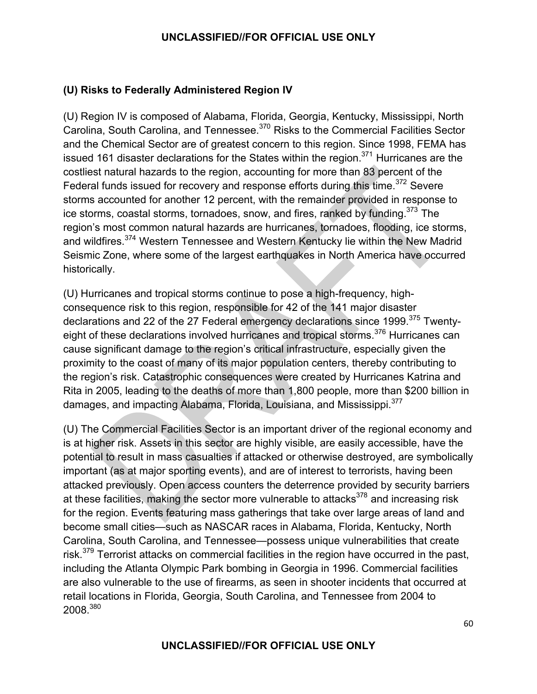# **(U) Risks to Federally Administered Region IV**

(U) Region IV is composed of Alabama, Florida, Georgia, Kentucky, Mississippi, North Carolina, South Carolina, and Tennessee.370 Risks to the Commercial Facilities Sector and the Chemical Sector are of greatest concern to this region. Since 1998, FEMA has issued 161 disaster declarations for the States within the region.<sup>371</sup> Hurricanes are the costliest natural hazards to the region, accounting for more than 83 percent of the Federal funds issued for recovery and response efforts during this time.<sup>372</sup> Severe storms accounted for another 12 percent, with the remainder provided in response to ice storms, coastal storms, tornadoes, snow, and fires, ranked by funding.<sup>373</sup> The region's most common natural hazards are hurricanes, tornadoes, flooding, ice storms, and wildfires.374 Western Tennessee and Western Kentucky lie within the New Madrid Seismic Zone, where some of the largest earthquakes in North America have occurred historically.

(U) Hurricanes and tropical storms continue to pose a high-frequency, highconsequence risk to this region, responsible for 42 of the 141 major disaster declarations and 22 of the 27 Federal emergency declarations since 1999.<sup>375</sup> Twentyeight of these declarations involved hurricanes and tropical storms.<sup>376</sup> Hurricanes can cause significant damage to the region's critical infrastructure, especially given the proximity to the coast of many of its major population centers, thereby contributing to the region's risk. Catastrophic consequences were created by Hurricanes Katrina and Rita in 2005, leading to the deaths of more than 1,800 people, more than \$200 billion in damages, and impacting Alabama, Florida, Louisiana, and Mississippi.<sup>377</sup>

(U) The Commercial Facilities Sector is an important driver of the regional economy and is at higher risk. Assets in this sector are highly visible, are easily accessible, have the potential to result in mass casualties if attacked or otherwise destroyed, are symbolically important (as at major sporting events), and are of interest to terrorists, having been attacked previously. Open access counters the deterrence provided by security barriers at these facilities, making the sector more vulnerable to attacks $378$  and increasing risk for the region. Events featuring mass gatherings that take over large areas of land and become small cities—such as NASCAR races in Alabama, Florida, Kentucky, North Carolina, South Carolina, and Tennessee—possess unique vulnerabilities that create risk.<sup>379</sup> Terrorist attacks on commercial facilities in the region have occurred in the past, including the Atlanta Olympic Park bombing in Georgia in 1996. Commercial facilities are also vulnerable to the use of firearms, as seen in shooter incidents that occurred at retail locations in Florida, Georgia, South Carolina, and Tennessee from 2004 to 2008.380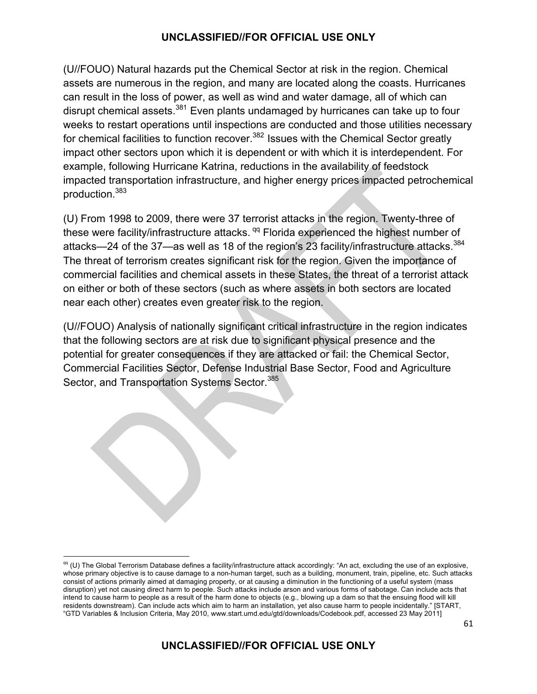(U//FOUO) Natural hazards put the Chemical Sector at risk in the region. Chemical assets are numerous in the region, and many are located along the coasts. Hurricanes can result in the loss of power, as well as wind and water damage, all of which can disrupt chemical assets.<sup>381</sup> Even plants undamaged by hurricanes can take up to four weeks to restart operations until inspections are conducted and those utilities necessary for chemical facilities to function recover.<sup>382</sup> Issues with the Chemical Sector greatly impact other sectors upon which it is dependent or with which it is interdependent. For example, following Hurricane Katrina, reductions in the availability of feedstock impacted transportation infrastructure, and higher energy prices impacted petrochemical production.383

(U) From 1998 to 2009, there were 37 terrorist attacks in the region. Twenty-three of these were facility/infrastructure attacks.<sup>qq</sup> Florida experienced the highest number of attacks—24 of the 37—as well as 18 of the region's 23 facility/infrastructure attacks.<sup>384</sup> The threat of terrorism creates significant risk for the region. Given the importance of commercial facilities and chemical assets in these States, the threat of a terrorist attack on either or both of these sectors (such as where assets in both sectors are located near each other) creates even greater risk to the region.

(U//FOUO) Analysis of nationally significant critical infrastructure in the region indicates that the following sectors are at risk due to significant physical presence and the potential for greater consequences if they are attacked or fail: the Chemical Sector, Commercial Facilities Sector, Defense Industrial Base Sector, Food and Agriculture Sector, and Transportation Systems Sector.<sup>385</sup>

 qq (U) The Global Terrorism Database defines a facility/infrastructure attack accordingly: "An act, excluding the use of an explosive, whose primary objective is to cause damage to a non-human target, such as a building, monument, train, pipeline, etc. Such attacks consist of actions primarily aimed at damaging property, or at causing a diminution in the functioning of a useful system (mass disruption) yet not causing direct harm to people. Such attacks include arson and various forms of sabotage. Can include acts that intend to cause harm to people as a result of the harm done to objects (e.g., blowing up a dam so that the ensuing flood will kill residents downstream). Can include acts which aim to harm an installation, yet also cause harm to people incidentally." [START, "GTD Variables & Inclusion Criteria, May 2010, www.start.umd.edu/gtd/downloads/Codebook.pdf, accessed 23 May 2011]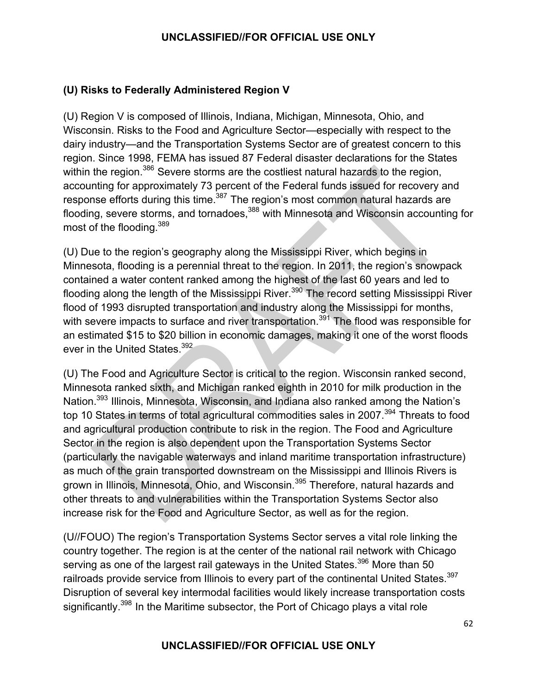# **(U) Risks to Federally Administered Region V**

(U) Region V is composed of Illinois, Indiana, Michigan, Minnesota, Ohio, and Wisconsin. Risks to the Food and Agriculture Sector—especially with respect to the dairy industry—and the Transportation Systems Sector are of greatest concern to this region. Since 1998, FEMA has issued 87 Federal disaster declarations for the States within the region.<sup>386</sup> Severe storms are the costliest natural hazards to the region, accounting for approximately 73 percent of the Federal funds issued for recovery and response efforts during this time.<sup>387</sup> The region's most common natural hazards are flooding, severe storms, and tornadoes,<sup>388</sup> with Minnesota and Wisconsin accounting for most of the flooding.<sup>389</sup>

(U) Due to the region's geography along the Mississippi River, which begins in Minnesota, flooding is a perennial threat to the region. In 2011, the region's snowpack contained a water content ranked among the highest of the last 60 years and led to flooding along the length of the Mississippi River.<sup>390</sup> The record setting Mississippi River flood of 1993 disrupted transportation and industry along the Mississippi for months, with severe impacts to surface and river transportation.<sup>391</sup> The flood was responsible for an estimated \$15 to \$20 billion in economic damages, making it one of the worst floods ever in the United States.<sup>392</sup>

(U) The Food and Agriculture Sector is critical to the region. Wisconsin ranked second, Minnesota ranked sixth, and Michigan ranked eighth in 2010 for milk production in the Nation.393 Illinois, Minnesota, Wisconsin, and Indiana also ranked among the Nation's top 10 States in terms of total agricultural commodities sales in 2007.<sup>394</sup> Threats to food and agricultural production contribute to risk in the region. The Food and Agriculture Sector in the region is also dependent upon the Transportation Systems Sector (particularly the navigable waterways and inland maritime transportation infrastructure) as much of the grain transported downstream on the Mississippi and Illinois Rivers is grown in Illinois, Minnesota, Ohio, and Wisconsin.395 Therefore, natural hazards and other threats to and vulnerabilities within the Transportation Systems Sector also increase risk for the Food and Agriculture Sector, as well as for the region.

(U//FOUO) The region's Transportation Systems Sector serves a vital role linking the country together. The region is at the center of the national rail network with Chicago serving as one of the largest rail gateways in the United States.<sup>396</sup> More than 50 railroads provide service from Illinois to every part of the continental United States.<sup>397</sup> Disruption of several key intermodal facilities would likely increase transportation costs significantly.<sup>398</sup> In the Maritime subsector, the Port of Chicago plays a vital role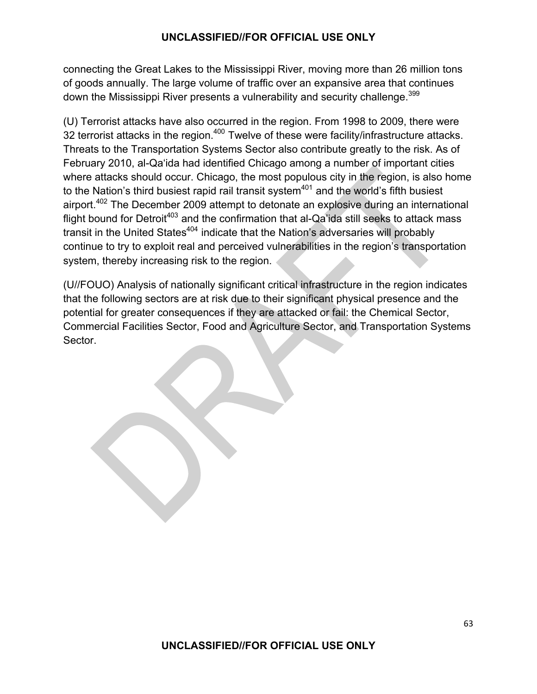connecting the Great Lakes to the Mississippi River, moving more than 26 million tons of goods annually. The large volume of traffic over an expansive area that continues down the Mississippi River presents a vulnerability and security challenge.<sup>399</sup>

(U) Terrorist attacks have also occurred in the region. From 1998 to 2009, there were 32 terrorist attacks in the region.<sup>400</sup> Twelve of these were facility/infrastructure attacks. Threats to the Transportation Systems Sector also contribute greatly to the risk. As of February 2010, al-Qa'ida had identified Chicago among a number of important cities where attacks should occur. Chicago, the most populous city in the region, is also home to the Nation's third busiest rapid rail transit system $401$  and the world's fifth busiest airport.<sup>402</sup> The December 2009 attempt to detonate an explosive during an international flight bound for Detroit<sup>403</sup> and the confirmation that al-Qa'ida still seeks to attack mass transit in the United States<sup>404</sup> indicate that the Nation's adversaries will probably continue to try to exploit real and perceived vulnerabilities in the region's transportation system, thereby increasing risk to the region.

(U//FOUO) Analysis of nationally significant critical infrastructure in the region indicates that the following sectors are at risk due to their significant physical presence and the potential for greater consequences if they are attacked or fail: the Chemical Sector, Commercial Facilities Sector, Food and Agriculture Sector, and Transportation Systems Sector.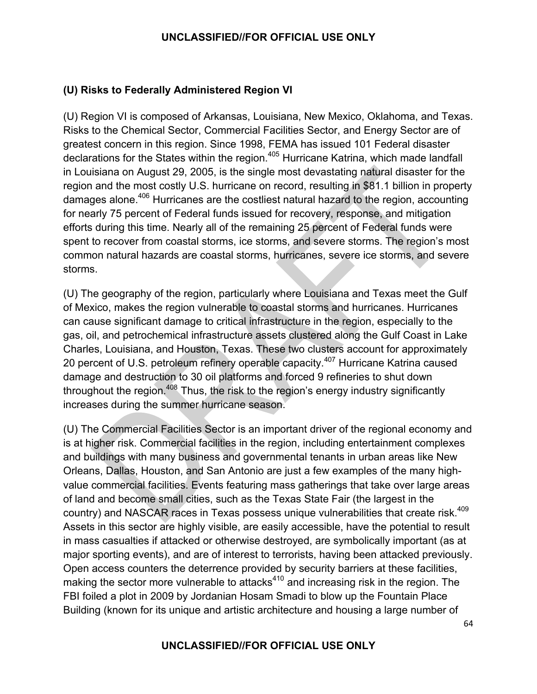# **(U) Risks to Federally Administered Region VI**

(U) Region VI is composed of Arkansas, Louisiana, New Mexico, Oklahoma, and Texas. Risks to the Chemical Sector, Commercial Facilities Sector, and Energy Sector are of greatest concern in this region. Since 1998, FEMA has issued 101 Federal disaster declarations for the States within the region.<sup>405</sup> Hurricane Katrina, which made landfall in Louisiana on August 29, 2005, is the single most devastating natural disaster for the region and the most costly U.S. hurricane on record, resulting in \$81.1 billion in property damages alone.406 Hurricanes are the costliest natural hazard to the region, accounting for nearly 75 percent of Federal funds issued for recovery, response, and mitigation efforts during this time. Nearly all of the remaining 25 percent of Federal funds were spent to recover from coastal storms, ice storms, and severe storms. The region's most common natural hazards are coastal storms, hurricanes, severe ice storms, and severe storms.

(U) The geography of the region, particularly where Louisiana and Texas meet the Gulf of Mexico, makes the region vulnerable to coastal storms and hurricanes. Hurricanes can cause significant damage to critical infrastructure in the region, especially to the gas, oil, and petrochemical infrastructure assets clustered along the Gulf Coast in Lake Charles, Louisiana, and Houston, Texas. These two clusters account for approximately 20 percent of U.S. petroleum refinery operable capacity.<sup>407</sup> Hurricane Katrina caused damage and destruction to 30 oil platforms and forced 9 refineries to shut down throughout the region.<sup>408</sup> Thus, the risk to the region's energy industry significantly increases during the summer hurricane season.

(U) The Commercial Facilities Sector is an important driver of the regional economy and is at higher risk. Commercial facilities in the region, including entertainment complexes and buildings with many business and governmental tenants in urban areas like New Orleans, Dallas, Houston, and San Antonio are just a few examples of the many highvalue commercial facilities. Events featuring mass gatherings that take over large areas of land and become small cities, such as the Texas State Fair (the largest in the country) and NASCAR races in Texas possess unique vulnerabilities that create risk.<sup>409</sup> Assets in this sector are highly visible, are easily accessible, have the potential to result in mass casualties if attacked or otherwise destroyed, are symbolically important (as at major sporting events), and are of interest to terrorists, having been attacked previously. Open access counters the deterrence provided by security barriers at these facilities, making the sector more vulnerable to attacks $410$  and increasing risk in the region. The FBI foiled a plot in 2009 by Jordanian Hosam Smadi to blow up the Fountain Place Building (known for its unique and artistic architecture and housing a large number of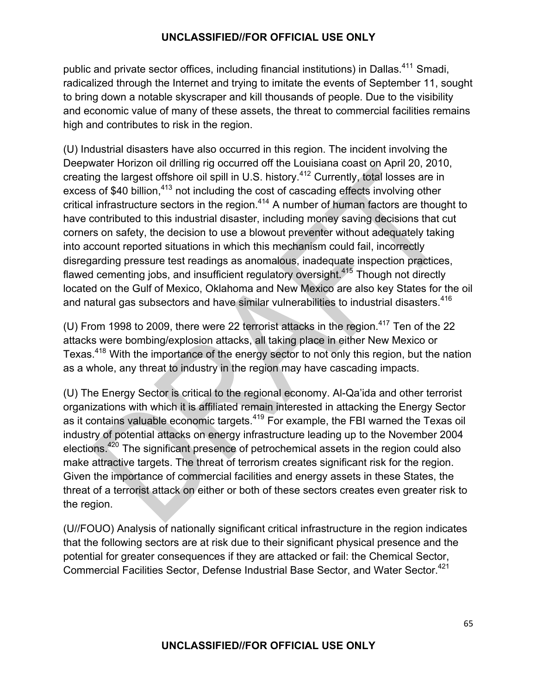public and private sector offices, including financial institutions) in Dallas.<sup>411</sup> Smadi, radicalized through the Internet and trying to imitate the events of September 11, sought to bring down a notable skyscraper and kill thousands of people. Due to the visibility and economic value of many of these assets, the threat to commercial facilities remains high and contributes to risk in the region.

(U) Industrial disasters have also occurred in this region. The incident involving the Deepwater Horizon oil drilling rig occurred off the Louisiana coast on April 20, 2010, creating the largest offshore oil spill in U.S. history.<sup>412</sup> Currently, total losses are in excess of \$40 billion,<sup>413</sup> not including the cost of cascading effects involving other critical infrastructure sectors in the region.<sup>414</sup> A number of human factors are thought to have contributed to this industrial disaster, including money saving decisions that cut corners on safety, the decision to use a blowout preventer without adequately taking into account reported situations in which this mechanism could fail, incorrectly disregarding pressure test readings as anomalous, inadequate inspection practices, flawed cementing jobs, and insufficient regulatory oversight.<sup>415</sup> Though not directly located on the Gulf of Mexico, Oklahoma and New Mexico are also key States for the oil and natural gas subsectors and have similar vulnerabilities to industrial disasters.<sup>416</sup>

(U) From 1998 to 2009, there were 22 terrorist attacks in the region.<sup>417</sup> Ten of the 22 attacks were bombing/explosion attacks, all taking place in either New Mexico or Texas.418 With the importance of the energy sector to not only this region, but the nation as a whole, any threat to industry in the region may have cascading impacts.

(U) The Energy Sector is critical to the regional economy. Al-Qa'ida and other terrorist organizations with which it is affiliated remain interested in attacking the Energy Sector as it contains valuable economic targets.<sup>419</sup> For example, the FBI warned the Texas oil industry of potential attacks on energy infrastructure leading up to the November 2004 elections.420 The significant presence of petrochemical assets in the region could also make attractive targets. The threat of terrorism creates significant risk for the region. Given the importance of commercial facilities and energy assets in these States, the threat of a terrorist attack on either or both of these sectors creates even greater risk to the region.

(U//FOUO) Analysis of nationally significant critical infrastructure in the region indicates that the following sectors are at risk due to their significant physical presence and the potential for greater consequences if they are attacked or fail: the Chemical Sector, Commercial Facilities Sector, Defense Industrial Base Sector, and Water Sector.<sup>421</sup>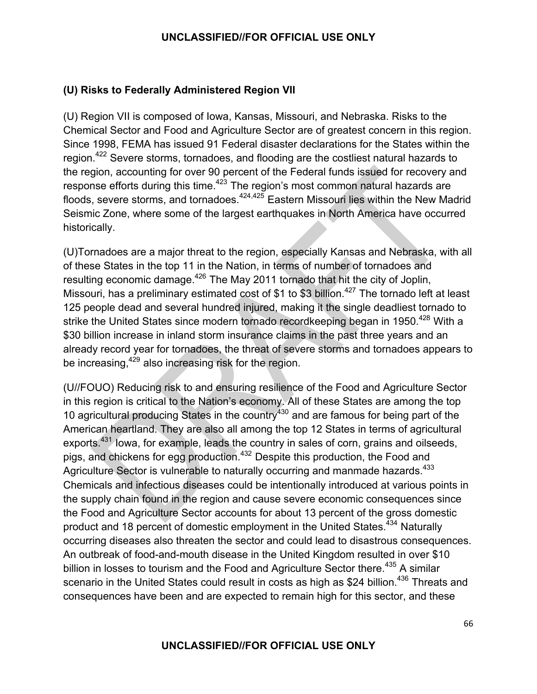# **(U) Risks to Federally Administered Region VII**

(U) Region VII is composed of Iowa, Kansas, Missouri, and Nebraska. Risks to the Chemical Sector and Food and Agriculture Sector are of greatest concern in this region. Since 1998, FEMA has issued 91 Federal disaster declarations for the States within the region.422 Severe storms, tornadoes, and flooding are the costliest natural hazards to the region, accounting for over 90 percent of the Federal funds issued for recovery and response efforts during this time.<sup>423</sup> The region's most common natural hazards are floods, severe storms, and tornadoes.<sup>424,425</sup> Eastern Missouri lies within the New Madrid Seismic Zone, where some of the largest earthquakes in North America have occurred historically.

(U)Tornadoes are a major threat to the region, especially Kansas and Nebraska, with all of these States in the top 11 in the Nation, in terms of number of tornadoes and resulting economic damage.<sup>426</sup> The May 2011 tornado that hit the city of Joplin, Missouri, has a preliminary estimated cost of \$1 to \$3 billion.<sup>427</sup> The tornado left at least 125 people dead and several hundred injured, making it the single deadliest tornado to strike the United States since modern tornado recordkeeping began in 1950.<sup>428</sup> With a \$30 billion increase in inland storm insurance claims in the past three years and an already record year for tornadoes, the threat of severe storms and tornadoes appears to be increasing, <sup>429</sup> also increasing risk for the region.

(U//FOUO) Reducing risk to and ensuring resilience of the Food and Agriculture Sector in this region is critical to the Nation's economy. All of these States are among the top 10 agricultural producing States in the country<sup>430</sup> and are famous for being part of the American heartland. They are also all among the top 12 States in terms of agricultural exports.<sup>431</sup> Iowa, for example, leads the country in sales of corn, grains and oilseeds, pigs, and chickens for egg production.<sup>432</sup> Despite this production, the Food and Agriculture Sector is vulnerable to naturally occurring and manmade hazards.<sup>433</sup> Chemicals and infectious diseases could be intentionally introduced at various points in the supply chain found in the region and cause severe economic consequences since the Food and Agriculture Sector accounts for about 13 percent of the gross domestic product and 18 percent of domestic employment in the United States.<sup>434</sup> Naturally occurring diseases also threaten the sector and could lead to disastrous consequences. An outbreak of food-and-mouth disease in the United Kingdom resulted in over \$10 billion in losses to tourism and the Food and Agriculture Sector there.<sup>435</sup> A similar scenario in the United States could result in costs as high as \$24 billion.<sup>436</sup> Threats and consequences have been and are expected to remain high for this sector, and these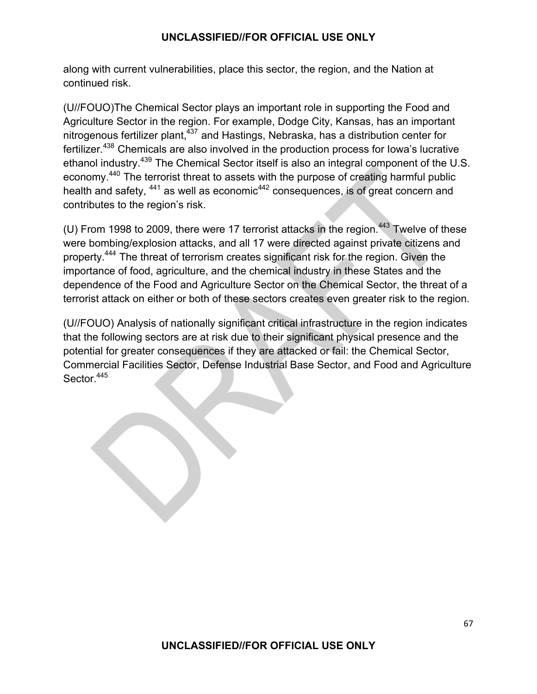along with current vulnerabilities, place this sector, the region, and the Nation at continued risk.

(U//FOUO)The Chemical Sector plays an important role in supporting the Food and Agriculture Sector in the region. For example, Dodge City, Kansas, has an important nitrogenous fertilizer plant,<sup>437</sup> and Hastings, Nebraska, has a distribution center for fertilizer.438 Chemicals are also involved in the production process for Iowa's lucrative ethanol industry.439 The Chemical Sector itself is also an integral component of the U.S. economy.440 The terrorist threat to assets with the purpose of creating harmful public health and safety, <sup>441</sup> as well as economic<sup>442</sup> consequences, is of great concern and contributes to the region's risk.

(U) From 1998 to 2009, there were 17 terrorist attacks in the region.<sup>443</sup> Twelve of these were bombing/explosion attacks, and all 17 were directed against private citizens and property.444 The threat of terrorism creates significant risk for the region. Given the importance of food, agriculture, and the chemical industry in these States and the dependence of the Food and Agriculture Sector on the Chemical Sector, the threat of a terrorist attack on either or both of these sectors creates even greater risk to the region.

(U//FOUO) Analysis of nationally significant critical infrastructure in the region indicates that the following sectors are at risk due to their significant physical presence and the potential for greater consequences if they are attacked or fail: the Chemical Sector, Commercial Facilities Sector, Defense Industrial Base Sector, and Food and Agriculture Sector.<sup>445</sup>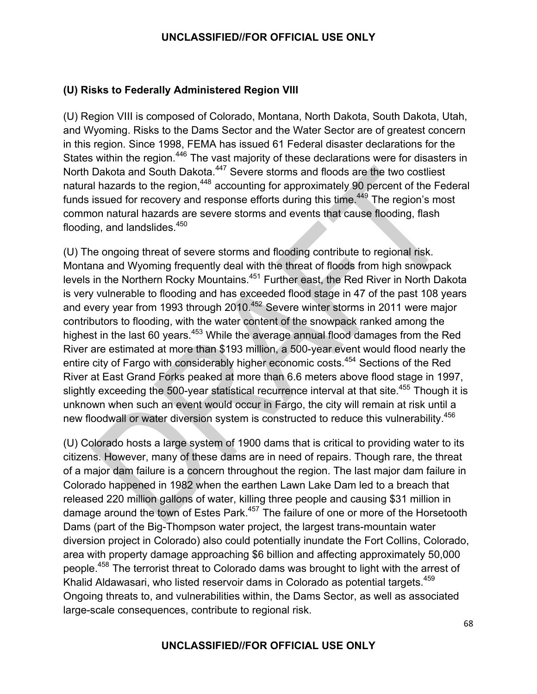# **(U) Risks to Federally Administered Region VIII**

(U) Region VIII is composed of Colorado, Montana, North Dakota, South Dakota, Utah, and Wyoming. Risks to the Dams Sector and the Water Sector are of greatest concern in this region. Since 1998, FEMA has issued 61 Federal disaster declarations for the States within the region.<sup>446</sup> The vast majority of these declarations were for disasters in North Dakota and South Dakota.<sup>447</sup> Severe storms and floods are the two costliest natural hazards to the region,<sup>448</sup> accounting for approximately 90 percent of the Federal funds issued for recovery and response efforts during this time.<sup>449</sup> The region's most common natural hazards are severe storms and events that cause flooding, flash flooding, and landslides.<sup>450</sup>

(U) The ongoing threat of severe storms and flooding contribute to regional risk. Montana and Wyoming frequently deal with the threat of floods from high snowpack levels in the Northern Rocky Mountains.<sup>451</sup> Further east, the Red River in North Dakota is very vulnerable to flooding and has exceeded flood stage in 47 of the past 108 years and every year from 1993 through 2010.<sup>452</sup> Severe winter storms in 2011 were major contributors to flooding, with the water content of the snowpack ranked among the highest in the last 60 years.<sup>453</sup> While the average annual flood damages from the Red River are estimated at more than \$193 million, a 500-year event would flood nearly the entire city of Fargo with considerably higher economic costs.<sup>454</sup> Sections of the Red River at East Grand Forks peaked at more than 6.6 meters above flood stage in 1997, slightly exceeding the 500-year statistical recurrence interval at that site.<sup>455</sup> Though it is unknown when such an event would occur in Fargo, the city will remain at risk until a new floodwall or water diversion system is constructed to reduce this vulnerability.<sup>456</sup>

(U) Colorado hosts a large system of 1900 dams that is critical to providing water to its citizens. However, many of these dams are in need of repairs. Though rare, the threat of a major dam failure is a concern throughout the region. The last major dam failure in Colorado happened in 1982 when the earthen Lawn Lake Dam led to a breach that released 220 million gallons of water, killing three people and causing \$31 million in damage around the town of Estes Park.<sup>457</sup> The failure of one or more of the Horsetooth Dams (part of the Big-Thompson water project, the largest trans-mountain water diversion project in Colorado) also could potentially inundate the Fort Collins, Colorado, area with property damage approaching \$6 billion and affecting approximately 50,000 people.<sup>458</sup> The terrorist threat to Colorado dams was brought to light with the arrest of Khalid Aldawasari, who listed reservoir dams in Colorado as potential targets.<sup>459</sup> Ongoing threats to, and vulnerabilities within, the Dams Sector, as well as associated large-scale consequences, contribute to regional risk.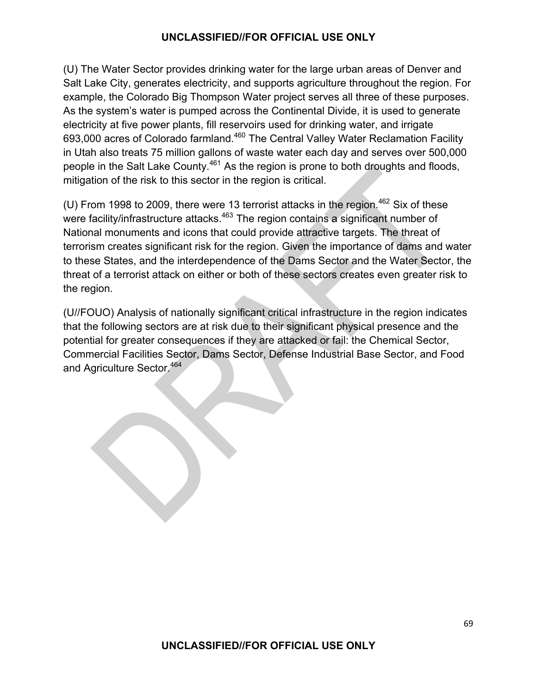(U) The Water Sector provides drinking water for the large urban areas of Denver and Salt Lake City, generates electricity, and supports agriculture throughout the region. For example, the Colorado Big Thompson Water project serves all three of these purposes. As the system's water is pumped across the Continental Divide, it is used to generate electricity at five power plants, fill reservoirs used for drinking water, and irrigate 693,000 acres of Colorado farmland.<sup>460</sup> The Central Valley Water Reclamation Facility in Utah also treats 75 million gallons of waste water each day and serves over 500,000 people in the Salt Lake County.<sup>461</sup> As the region is prone to both droughts and floods, mitigation of the risk to this sector in the region is critical.

(U) From 1998 to 2009, there were 13 terrorist attacks in the region.<sup>462</sup> Six of these were facility/infrastructure attacks.<sup>463</sup> The region contains a significant number of National monuments and icons that could provide attractive targets. The threat of terrorism creates significant risk for the region. Given the importance of dams and water to these States, and the interdependence of the Dams Sector and the Water Sector, the threat of a terrorist attack on either or both of these sectors creates even greater risk to the region.

(U//FOUO) Analysis of nationally significant critical infrastructure in the region indicates that the following sectors are at risk due to their significant physical presence and the potential for greater consequences if they are attacked or fail: the Chemical Sector, Commercial Facilities Sector, Dams Sector, Defense Industrial Base Sector, and Food and Agriculture Sector.<sup>464</sup>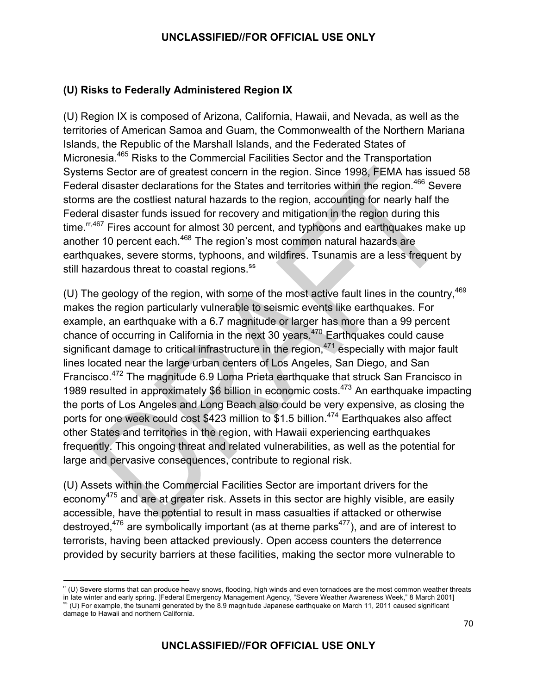# **(U) Risks to Federally Administered Region IX**

(U) Region IX is composed of Arizona, California, Hawaii, and Nevada, as well as the territories of American Samoa and Guam, the Commonwealth of the Northern Mariana Islands, the Republic of the Marshall Islands, and the Federated States of Micronesia.465 Risks to the Commercial Facilities Sector and the Transportation Systems Sector are of greatest concern in the region. Since 1998, FEMA has issued 58 Federal disaster declarations for the States and territories within the region.<sup>466</sup> Severe storms are the costliest natural hazards to the region, accounting for nearly half the Federal disaster funds issued for recovery and mitigation in the region during this time. $\frac{r}{467}$  Fires account for almost 30 percent, and typhoons and earthquakes make up another 10 percent each.<sup>468</sup> The region's most common natural hazards are earthquakes, severe storms, typhoons, and wildfires. Tsunamis are a less frequent by still hazardous threat to coastal regions.<sup>ss</sup>

(U) The geology of the region, with some of the most active fault lines in the country,  $469$ makes the region particularly vulnerable to seismic events like earthquakes. For example, an earthquake with a 6.7 magnitude or larger has more than a 99 percent chance of occurring in California in the next 30 years.<sup>470</sup> Earthquakes could cause significant damage to critical infrastructure in the region,  $471$  especially with major fault lines located near the large urban centers of Los Angeles, San Diego, and San Francisco.472 The magnitude 6.9 Loma Prieta earthquake that struck San Francisco in 1989 resulted in approximately \$6 billion in economic costs.<sup>473</sup> An earthquake impacting the ports of Los Angeles and Long Beach also could be very expensive, as closing the ports for one week could cost \$423 million to \$1.5 billion.<sup>474</sup> Earthquakes also affect other States and territories in the region, with Hawaii experiencing earthquakes frequently. This ongoing threat and related vulnerabilities, as well as the potential for large and pervasive consequences, contribute to regional risk.

(U) Assets within the Commercial Facilities Sector are important drivers for the economy<sup>475</sup> and are at greater risk. Assets in this sector are highly visible, are easily accessible, have the potential to result in mass casualties if attacked or otherwise destroyed,<sup>476</sup> are symbolically important (as at theme parks<sup>477</sup>), and are of interest to terrorists, having been attacked previously. Open access counters the deterrence provided by security barriers at these facilities, making the sector more vulnerable to

<u> 1989 - Johann Stein, fransk politik (d. 1989)</u>

 $\lceil r \cdot (U) \rceil$  Severe storms that can produce heavy snows, flooding, high winds and even tornadoes are the most common weather threats in late winter and early spring. [Federal Emergency Management Agency, "Severe Weather Awareness Week," 8 March 2001] ss (U) For example, the tsunami generated by the 8.9 magnitude Japanese earthquake on March 11, 2011 caused significant damage to Hawaii and northern California.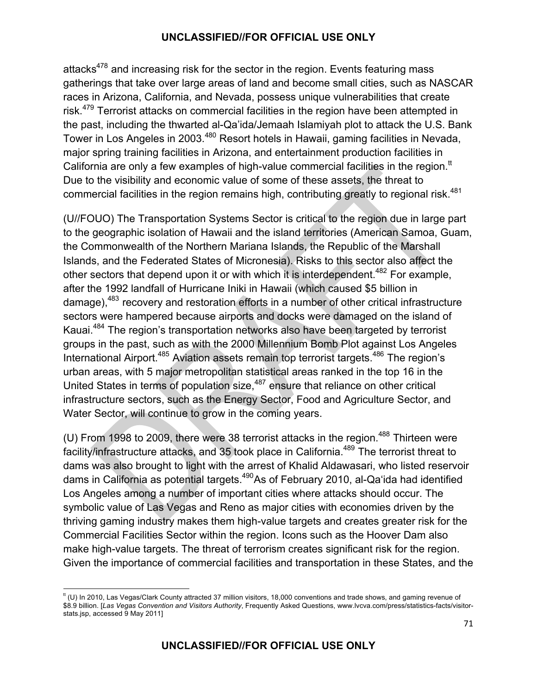attacks $478$  and increasing risk for the sector in the region. Events featuring mass gatherings that take over large areas of land and become small cities, such as NASCAR races in Arizona, California, and Nevada, possess unique vulnerabilities that create risk.<sup>479</sup> Terrorist attacks on commercial facilities in the region have been attempted in the past, including the thwarted al-Qa'ida/Jemaah Islamiyah plot to attack the U.S. Bank Tower in Los Angeles in 2003.<sup>480</sup> Resort hotels in Hawaii, gaming facilities in Nevada, major spring training facilities in Arizona, and entertainment production facilities in California are only a few examples of high-value commercial facilities in the region.<sup>tt</sup> Due to the visibility and economic value of some of these assets, the threat to commercial facilities in the region remains high, contributing greatly to regional risk.<sup>481</sup>

(U//FOUO) The Transportation Systems Sector is critical to the region due in large part to the geographic isolation of Hawaii and the island territories (American Samoa, Guam, the Commonwealth of the Northern Mariana Islands, the Republic of the Marshall Islands, and the Federated States of Micronesia). Risks to this sector also affect the other sectors that depend upon it or with which it is interdependent.<sup>482</sup> For example, after the 1992 landfall of Hurricane Iniki in Hawaii (which caused \$5 billion in damage),<sup>483</sup> recovery and restoration efforts in a number of other critical infrastructure sectors were hampered because airports and docks were damaged on the island of Kauai.484 The region's transportation networks also have been targeted by terrorist groups in the past, such as with the 2000 Millennium Bomb Plot against Los Angeles International Airport.<sup>485</sup> Aviation assets remain top terrorist targets.<sup>486</sup> The region's urban areas, with 5 major metropolitan statistical areas ranked in the top 16 in the United States in terms of population size, $487$  ensure that reliance on other critical infrastructure sectors, such as the Energy Sector, Food and Agriculture Sector, and Water Sector, will continue to grow in the coming years.

(U) From 1998 to 2009, there were 38 terrorist attacks in the region.<sup>488</sup> Thirteen were facility/infrastructure attacks, and 35 took place in California.<sup>489</sup> The terrorist threat to dams was also brought to light with the arrest of Khalid Aldawasari, who listed reservoir dams in California as potential targets.<sup>490</sup>As of February 2010, al-Qa'ida had identified Los Angeles among a number of important cities where attacks should occur. The symbolic value of Las Vegas and Reno as major cities with economies driven by the thriving gaming industry makes them high-value targets and creates greater risk for the Commercial Facilities Sector within the region. Icons such as the Hoover Dam also make high-value targets. The threat of terrorism creates significant risk for the region. Given the importance of commercial facilities and transportation in these States, and the

<u> 1989 - Johann Stein, fransk politik (d. 1989)</u>

 $t$  (U) In 2010, Las Vegas/Clark County attracted 37 million visitors, 18,000 conventions and trade shows, and gaming revenue of \$8.9 billion. [*Las Vegas Convention and Visitors Authority*, Frequently Asked Questions, www.lvcva.com/press/statistics-facts/visitorstats.jsp, accessed 9 May 2011]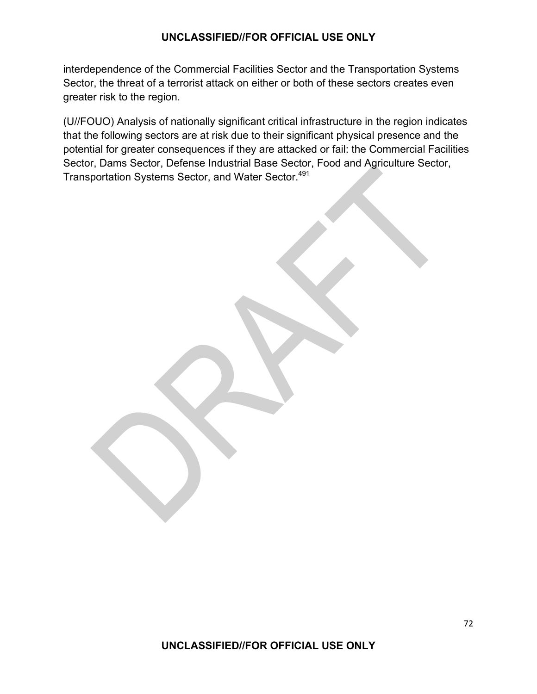interdependence of the Commercial Facilities Sector and the Transportation Systems Sector, the threat of a terrorist attack on either or both of these sectors creates even greater risk to the region.

(U//FOUO) Analysis of nationally significant critical infrastructure in the region indicates that the following sectors are at risk due to their significant physical presence and the potential for greater consequences if they are attacked or fail: the Commercial Facilities Sector, Dams Sector, Defense Industrial Base Sector, Food and Agriculture Sector, Transportation Systems Sector, and Water Sector.<sup>491</sup>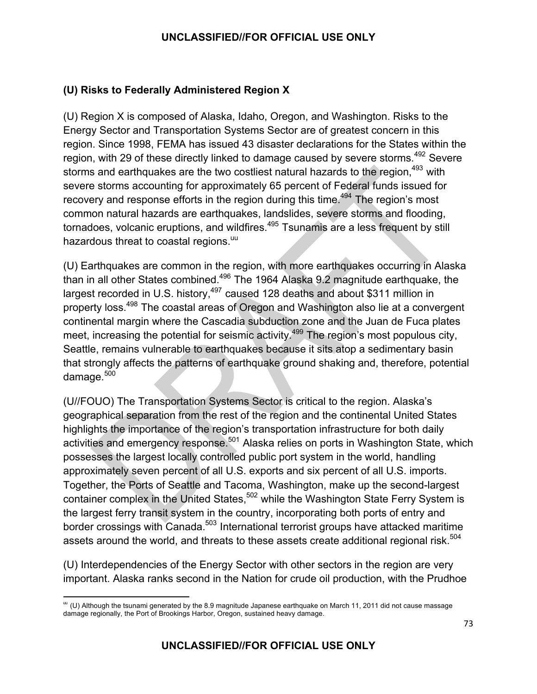## **(U) Risks to Federally Administered Region X**

(U) Region X is composed of Alaska, Idaho, Oregon, and Washington. Risks to the Energy Sector and Transportation Systems Sector are of greatest concern in this region. Since 1998, FEMA has issued 43 disaster declarations for the States within the region, with 29 of these directly linked to damage caused by severe storms.<sup>492</sup> Severe storms and earthquakes are the two costliest natural hazards to the region, <sup>493</sup> with severe storms accounting for approximately 65 percent of Federal funds issued for recovery and response efforts in the region during this time.<sup>494</sup> The region's most common natural hazards are earthquakes, landslides, severe storms and flooding, tornadoes, volcanic eruptions, and wildfires.<sup>495</sup> Tsunamis are a less frequent by still hazardous threat to coastal regions.<sup>uu</sup>

(U) Earthquakes are common in the region, with more earthquakes occurring in Alaska than in all other States combined.496 The 1964 Alaska 9.2 magnitude earthquake, the largest recorded in U.S. history,<sup>497</sup> caused 128 deaths and about \$311 million in property loss.<sup>498</sup> The coastal areas of Oregon and Washington also lie at a convergent continental margin where the Cascadia subduction zone and the Juan de Fuca plates meet, increasing the potential for seismic activity.<sup>499</sup> The region's most populous city, Seattle, remains vulnerable to earthquakes because it sits atop a sedimentary basin that strongly affects the patterns of earthquake ground shaking and, therefore, potential damage. $500$ 

(U//FOUO) The Transportation Systems Sector is critical to the region. Alaska's geographical separation from the rest of the region and the continental United States highlights the importance of the region's transportation infrastructure for both daily activities and emergency response.<sup>501</sup> Alaska relies on ports in Washington State, which possesses the largest locally controlled public port system in the world, handling approximately seven percent of all U.S. exports and six percent of all U.S. imports. Together, the Ports of Seattle and Tacoma, Washington, make up the second-largest container complex in the United States,<sup>502</sup> while the Washington State Ferry System is the largest ferry transit system in the country, incorporating both ports of entry and border crossings with Canada.<sup>503</sup> International terrorist groups have attacked maritime assets around the world, and threats to these assets create additional regional risk.<sup>504</sup>

(U) Interdependencies of the Energy Sector with other sectors in the region are very important. Alaska ranks second in the Nation for crude oil production, with the Prudhoe

<sup>&</sup>lt;u> 1989 - Johann Stein, fransk politik (d. 1989)</u>  $^{\text{uu}}$  (U) Although the tsunami generated by the 8.9 magnitude Japanese earthquake on March 11, 2011 did not cause massage damage regionally, the Port of Brookings Harbor, Oregon, sustained heavy damage.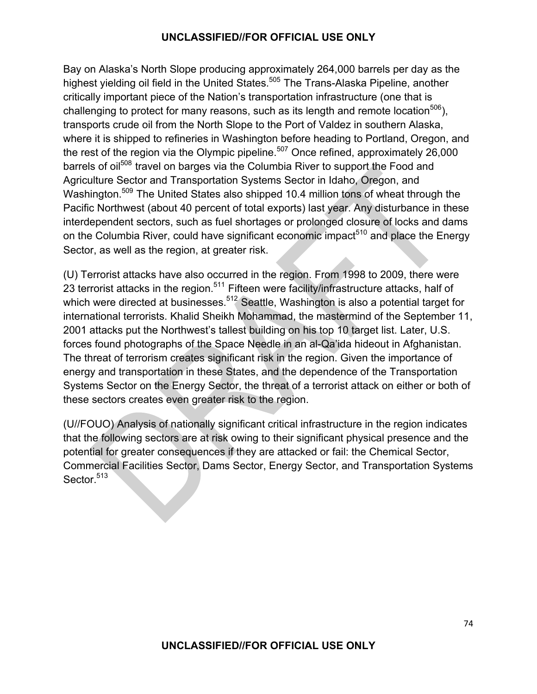Bay on Alaska's North Slope producing approximately 264,000 barrels per day as the highest yielding oil field in the United States.<sup>505</sup> The Trans-Alaska Pipeline, another critically important piece of the Nation's transportation infrastructure (one that is challenging to protect for many reasons, such as its length and remote location<sup>506</sup>), transports crude oil from the North Slope to the Port of Valdez in southern Alaska, where it is shipped to refineries in Washington before heading to Portland, Oregon, and the rest of the region via the Olympic pipeline.<sup>507</sup> Once refined, approximately 26,000 barrels of oil<sup>508</sup> travel on barges via the Columbia River to support the Food and Agriculture Sector and Transportation Systems Sector in Idaho, Oregon, and Washington.<sup>509</sup> The United States also shipped 10.4 million tons of wheat through the Pacific Northwest (about 40 percent of total exports) last year. Any disturbance in these interdependent sectors, such as fuel shortages or prolonged closure of locks and dams on the Columbia River, could have significant economic impact<sup>510</sup> and place the Energy Sector, as well as the region, at greater risk.

(U) Terrorist attacks have also occurred in the region. From 1998 to 2009, there were 23 terrorist attacks in the region.<sup>511</sup> Fifteen were facility/infrastructure attacks, half of which were directed at businesses.<sup>512</sup> Seattle, Washington is also a potential target for international terrorists. Khalid Sheikh Mohammad, the mastermind of the September 11, 2001 attacks put the Northwest's tallest building on his top 10 target list. Later, U.S. forces found photographs of the Space Needle in an al-Qa'ida hideout in Afghanistan. The threat of terrorism creates significant risk in the region. Given the importance of energy and transportation in these States, and the dependence of the Transportation Systems Sector on the Energy Sector, the threat of a terrorist attack on either or both of these sectors creates even greater risk to the region.

(U//FOUO) Analysis of nationally significant critical infrastructure in the region indicates that the following sectors are at risk owing to their significant physical presence and the potential for greater consequences if they are attacked or fail: the Chemical Sector, Commercial Facilities Sector, Dams Sector, Energy Sector, and Transportation Systems Sector.<sup>513</sup>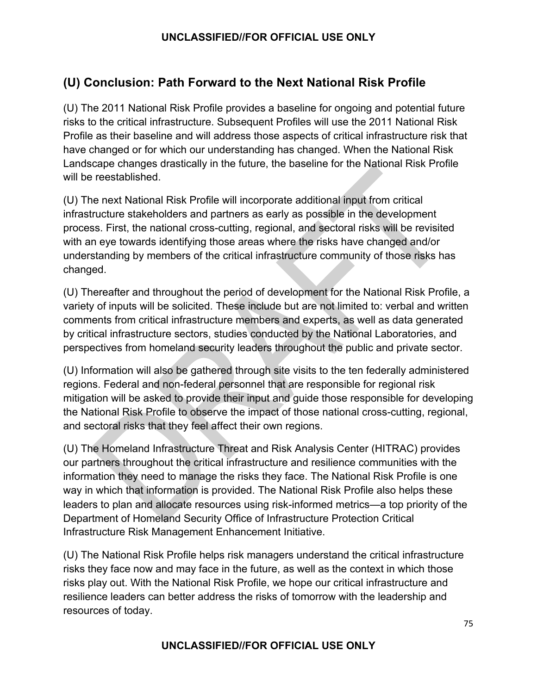## **(U) Conclusion: Path Forward to the Next National Risk Profile**

(U) The 2011 National Risk Profile provides a baseline for ongoing and potential future risks to the critical infrastructure. Subsequent Profiles will use the 2011 National Risk Profile as their baseline and will address those aspects of critical infrastructure risk that have changed or for which our understanding has changed. When the National Risk Landscape changes drastically in the future, the baseline for the National Risk Profile will be reestablished.

(U) The next National Risk Profile will incorporate additional input from critical infrastructure stakeholders and partners as early as possible in the development process. First, the national cross-cutting, regional, and sectoral risks will be revisited with an eye towards identifying those areas where the risks have changed and/or understanding by members of the critical infrastructure community of those risks has changed.

(U) Thereafter and throughout the period of development for the National Risk Profile, a variety of inputs will be solicited. These include but are not limited to: verbal and written comments from critical infrastructure members and experts, as well as data generated by critical infrastructure sectors, studies conducted by the National Laboratories, and perspectives from homeland security leaders throughout the public and private sector.

(U) Information will also be gathered through site visits to the ten federally administered regions. Federal and non-federal personnel that are responsible for regional risk mitigation will be asked to provide their input and guide those responsible for developing the National Risk Profile to observe the impact of those national cross-cutting, regional, and sectoral risks that they feel affect their own regions.

(U) The Homeland Infrastructure Threat and Risk Analysis Center (HITRAC) provides our partners throughout the critical infrastructure and resilience communities with the information they need to manage the risks they face. The National Risk Profile is one way in which that information is provided. The National Risk Profile also helps these leaders to plan and allocate resources using risk-informed metrics—a top priority of the Department of Homeland Security Office of Infrastructure Protection Critical Infrastructure Risk Management Enhancement Initiative.

(U) The National Risk Profile helps risk managers understand the critical infrastructure risks they face now and may face in the future, as well as the context in which those risks play out. With the National Risk Profile, we hope our critical infrastructure and resilience leaders can better address the risks of tomorrow with the leadership and resources of today.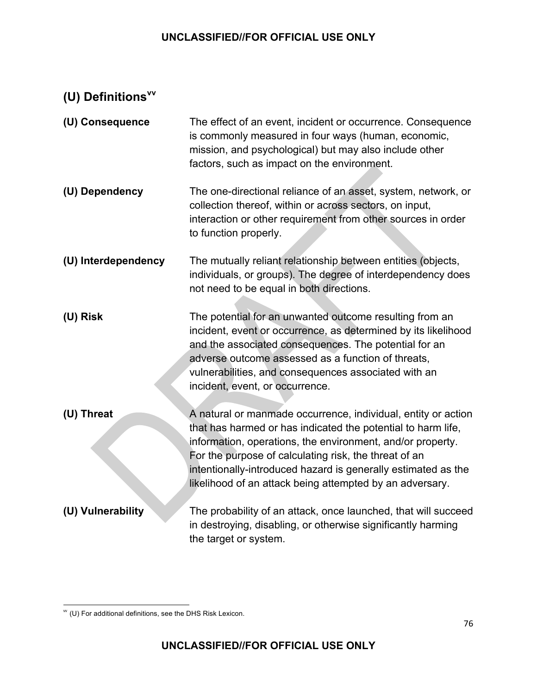# **(U) Definitionsvv**

| (U) Consequence     | The effect of an event, incident or occurrence. Consequence<br>is commonly measured in four ways (human, economic,<br>mission, and psychological) but may also include other<br>factors, such as impact on the environment.                                                                                                                                                       |
|---------------------|-----------------------------------------------------------------------------------------------------------------------------------------------------------------------------------------------------------------------------------------------------------------------------------------------------------------------------------------------------------------------------------|
| (U) Dependency      | The one-directional reliance of an asset, system, network, or<br>collection thereof, within or across sectors, on input,<br>interaction or other requirement from other sources in order<br>to function properly.                                                                                                                                                                 |
| (U) Interdependency | The mutually reliant relationship between entities (objects,<br>individuals, or groups). The degree of interdependency does<br>not need to be equal in both directions.                                                                                                                                                                                                           |
| (U) Risk            | The potential for an unwanted outcome resulting from an<br>incident, event or occurrence, as determined by its likelihood<br>and the associated consequences. The potential for an<br>adverse outcome assessed as a function of threats,<br>vulnerabilities, and consequences associated with an<br>incident, event, or occurrence.                                               |
| (U) Threat          | A natural or manmade occurrence, individual, entity or action<br>that has harmed or has indicated the potential to harm life,<br>information, operations, the environment, and/or property.<br>For the purpose of calculating risk, the threat of an<br>intentionally-introduced hazard is generally estimated as the<br>likelihood of an attack being attempted by an adversary. |
| (U) Vulnerability   | The probability of an attack, once launched, that will succeed<br>in destroying, disabling, or otherwise significantly harming<br>the target or system.                                                                                                                                                                                                                           |

<sup>&</sup>lt;u> 1989 - Johann Stein, fransk politik (d. 1989)</u>  $W$  (U) For additional definitions, see the DHS Risk Lexicon.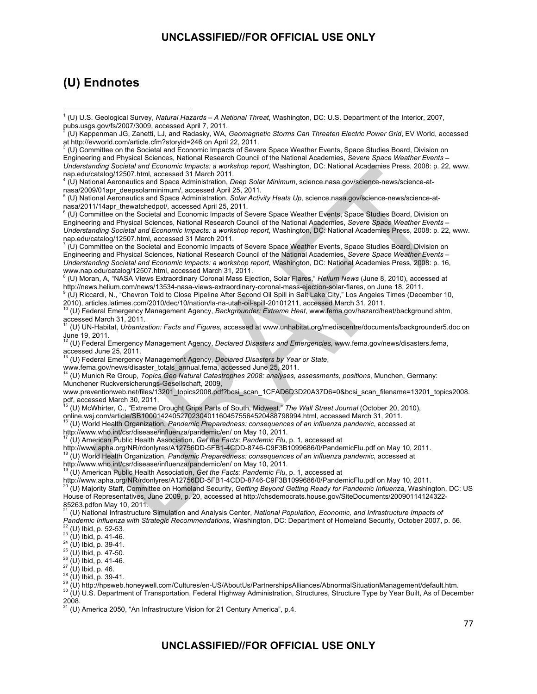## **(U) Endnotes**

 (U) Committee on the Societal and Economic Impacts of Severe Space Weather Events, Space Studies Board, Division on Engineering and Physical Sciences, National Research Council of the National Academies, *Severe Space Weather Events – Understanding Societal and Economic Impacts: a workshop report*, Washington, DC: National Academies Press, 2008: p. 22, www. nap.edu/catalog/12507.html, accessed 31 March 2011.

 (U) Committee on the Societal and Economic Impacts of Severe Space Weather Events, Space Studies Board, Division on Engineering and Physical Sciences, National Research Council of the National Academies, *Severe Space Weather Events – Understanding Societal and Economic Impacts: a workshop report*, Washington, DC: National Academies Press, 2008: p. 16, www.nap.edu/catalog/12507.html, accessed March 31, 2011.

8 (U) Moran, A, "NASA Views Extraordinary Coronal Mass Ejection, Solar Flares," *Helium News* (June 8, 2010), accessed at http://news.helium.com/news/13534-nasa-views-extraordinary-coronal-mass-ejection-solar-flares, on June 18, 2011.

9 (U) Riccardi, N., "Chevron Told to Close Pipeline After Second Oil Spill in Salt Lake City," Los Angeles Times (December 10,

2010), articles.latimes.com/2010/dec/10/nation/la-na-utah-oil-spill-20101211, accessed March 31, 2011. 10 (U) Federal Emergency Management Agency, *Backgrounder: Extreme Heat*, www.fema.gov/hazard/heat/background.shtm, accessed March 31, 2011.

11 (U) UN-Habitat, *Urbanization: Facts and Figures*, accessed at www.unhabitat.org/mediacentre/documents/backgrounder5.doc on June 19, 2011.

12 (U) Federal Emergency Management Agency, *Declared Disasters and Emergencies,* www.fema.gov/news/disasters.fema, accessed June 25, 2011.

13 (U) Federal Emergency Management Agency, *Declared Disasters by Year or State*,

www.fema.gov/news/disaster\_totals\_annual.fema, accessed June 25, 2011. 14 (U) Munich Re Group, *Topics Geo Natural Catastrophes 2008: analyses, assessments, positions*, Munchen, Germany: Munchener Ruckversicherungs-Gesellschaft, 2009,

www.preventionweb.net/files/13201\_topics2008.pdf?bcsi\_scan\_1CFAD6D3D20A37D6=0&bcsi\_scan\_filename=13201\_topics2008. pdf, accessed March 30, 2011.

15 (U) McWhirter, C., "Extreme Drought Grips Parts of South, Midwest," *The Wall Street Journal* (October 20, 2010),

online.wsj.com/article/SB10001424052702304011604575564520488798994.html, accessed March 31, 2011. 16 (U) World Health Organization, *Pandemic Preparedness: consequences of an influenza pandemic*, accessed at http://www.who.int/csr/disease/influenza/pandemic/en/ on May 10, 2011.

<sup>17</sup> (U) American Public Health Association, *Get the Facts: Pandemic Flu*, p. 1, accessed at<br>http://www.apha.org/NR/rdonlyres/A12756DD-5FB1-4CDD-8746-C9F3B1099686/0/PandemicFlu.pdf on May 10, 2011.

<sup>18</sup> (U) World Health Organization, *Pandemic Preparedness: consequences of an influenza pandemic, accessed at*<br>http://www.who.int/csr/disease/influenza/pandemic/en/ on May 10, 2011.

<sup>19</sup> (U) American Public Health Association, *Get the Facts: Pandemic Flu*, p. 1, accessed at<br>http://www.apha.org/NR/rdonlyres/A12756DD-5FB1-4CDD-8746-C9F3B1099686/0/PandemicFlu.pdf on May 10, 2011. <sup>20</sup> (U) Majority Staff, Committee on Homeland Security, Getting Beyond Getting Ready for Pandemic Influenza, Washington, DC: US House of Representatives, June 2009, p. 20, accessed at http://chsdemocrats.house.gov/SiteDocuments/20090114124322- 85263.pdfon May 10, 2011.

<sup>21</sup> (U) National Infrastructure Simulation and Analysis Center, *National Population, Economic, and Infrastructure Impacts of*<br>Pandemic Influenza with Strategic Recommendations, Washington, DC: Department of Homeland Secu

<sup>22</sup> (U) Ibid, p. 52-53.<br><sup>23</sup> (U) Ibid, p. 41-46.<br><sup>25</sup> (U) Ibid, p. 39-41.<br><sup>26</sup> (U) Ibid, p. 47-50.<br><sup>26</sup> (U) Ibid, p. 41-46.<br><sup>27</sup> (U) Ibid, p. 39-41.<br><sup>29</sup> (U) Ibid, p. 39-41.<br><sup>29</sup> (U) Ittp://hpsweb.honeywell.com/Cultures/  $\frac{2008}{31}$ .

(U) America 2050, "An Infrastructure Vision for 21 Century America", p.4.

<sup>1</sup> (U) U.S. Geological Survey, *Natural Hazards – A National Threat*, Washington, DC: U.S. Department of the Interior, 2007, pubs.usgs.gov/fs/2007/3009, accessed April 7, 2011. 2

 <sup>(</sup>U) Kappenman JG, Zanetti, LJ, and Radasky, WA, *Geomagnetic Storms Can Threaten Electric Power Grid*, EV World, accessed at http://evworld.com/article.cfm?storyid=246 on April 22, 2011. 3

 <sup>(</sup>U) National Aeronautics and Space Administration, *Deep Solar Minimum*, science.nasa.gov/science-news/science-at-

nasa/2009/01apr\_deepsolarminimum/, accessed April 25, 2011.<br><sup>5</sup> (U) National Aeronautics and Space Administration, *Solar Activity Heats Up,* science.nasa.gov/science-news/science-atnasa/2011/14apr\_thewatchedpot/*,* accessed April 25, 2011. 6

<sup>&</sup>lt;sup>6</sup> (U) Committee on the Societal and Economic Impacts of Severe Space Weather Events, Space Studies Board, Division on Engineering and Physical Sciences, National Research Council of the National Academies, *Severe Space Weather Events – Understanding Societal and Economic Impacts: a workshop report*, Washington, DC: National Academies Press, 2008: p. 22, www. nap.edu/catalog/12507.html, accessed 31 March 2011.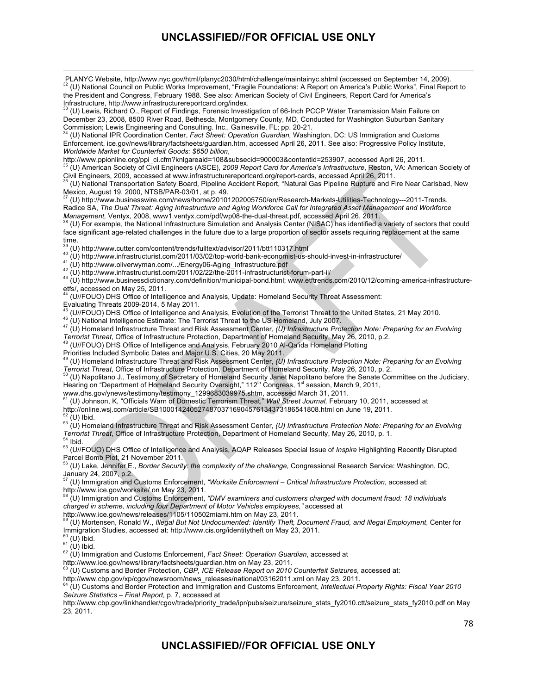<u> 1989 - Andrea Santa Andrea Andrea Andrea Andrea Andrea Andrea Andrea Andrea Andrea Andrea Andrea Andrea Andr</u>

 PLANYC Website, http://www.nyc.gov/html/planyc2030/html/challenge/maintainyc.shtml (accessed on September 14, 2009). <sup>32</sup> (U) National Council on Public Works Improvement, "Fragile Foundations: A Report on America's Public Works", Final Report to the President and Congress, February 1988. See also: American Society of Civil Engineers, Report Card for America's Infrastructure, http://www.infrastructurereportcard.org/index.

33 (U) Lewis, Richard O., Report of Findings, Forensic Investigation of 66-Inch PCCP Water Transmission Main Failure on December 23, 2008, 8500 River Road, Bethesda, Montgomery County, MD, Conducted for Washington Suburban Sanitary<br>Commission; Lewis Engineering and Consulting. Inc., Gainesville, FL; pp. 20-21.

(U) National IPR Coordination Center, Fact Sheet: Operation Guardian, Washington, DC: US Immigration and Customs Enforcement, ice.gov/news/library/factsheets/guardian.htm, accessed April 26, 2011. See also: Progressive Policy Institute, *Worldwide Market for Counterfeit Goods: \$650 billion*,

http://www.ppionline.org/ppi\_ci.cfm?knlgareaid=108&subsecid=900003&contentid=253907, accessed April 26, 2011.

35 (U) American Society of Civil Engineers (ASCE), *2009 Report Card for America's Infrastructure*, Reston, VA: American Society of

Civil Engineers, 2009, accessed at www.infrastructurereportcard.org/report-cards, accessed April 26, 2011.<br><sup>36</sup> (U) National Transportation Safety Board, Pipeline Accident Report, "Natural Gas Pipeline Rupture and Fire Nea Mexico, August 19, 2000, NTSB/PAR-03/01, at p. 49.

37 (U) http://www.businesswire.com/news/home/20101202005750/en/Research-Markets-Utilities-Technology---2011-Trends. Radice SA, *The Dual Threat: Aging Infrastructure and Aging Workforce Call for Integrated Asset Management and Workforce*<br>Management, Ventyx, 2008, www1.ventyx.com/pdf/wp08-the-dual-threat.pdf, accessed April 26, 2011.

(U) For example, the National Infrastructure Simulation and Analysis Center (NISAC) has identified a variety of sectors that could face significant age-related challenges in the future due to a large proportion of sector assets requiring replacement at the same

time.<br><sup>39</sup> (U) http://www.cutter.com/content/trends/fulltext/advisor/2011/btt110317.html

<sup>40</sup> (U) http://www.unfrastructurist.com/2011/03/02/top-world-bank-economist-us-should-invest-in-infrastructure/<br><sup>41</sup> (U) http://www.unfrastructurist.com/2011/03/02/top-world-bank-economist-us-should-invest-in-infrastruct etfs/, accessed on May 25, 2011.

(U//FOUO) DHS Office of Intelligence and Analysis, Update: Homeland Security Threat Assessment:

Evaluating Threats 2009-2014, 5 May 2011.<br><sup>45</sup> (U//FOUO) DHS Office of Intelligence and Analysis, Evolution of the Terrorist Threat to the United States, 21 May 2010.

<sup>46</sup> (U) National Intelligence Estimate: The Terrorist Threat to the US Homeland, July 2007.<br><sup>47</sup> (U) Homeland Infrastructure Threat and Risk Assessment Center, (U) Infrastructure Protection Note: Preparing for an Evolving *Terrorist Threat*, Office of Infrastructure Protection, Department of Homeland Security, May 26, 2010, p.2. 48 (U//FOUO) DHS Office of Intelligence and Analysis, February 2010 Al-Qa'ida Homeland Plotting

Priorities Included Symbolic Dates and Major U.S. Cities, 20 May 2011.

<sup>49</sup> (U) Homeland Infrastructure Threat and Risk Assessment Center, *(U) Infrastructure Protection Note: Preparing for an Evolving*<br>Terrorist Threat, Office of Infrastructure Protection, Department of Homeland Security, Ma

(U) Napolitano J., Testimony of Secretary of Homeland Security Janet Napolitano before the Senate Committee on the Judiciary, Hearing on "Department of Homeland Security Oversight," 112<sup>th</sup> Congress, 1<sup>st</sup> session, March 9, 2011,

www.dhs.gov/ynews-testimony/testimony\_1299683039975.shtm, accessed March 31, 2011.

51 (U) Johnson, K, "Officials Warn of Domestic Terrorism Threat," *Wall Street Journal,* February 10, 2011, accessed at

http://online.wsj.com/article/SB10001424052748703716904576134373186541808.html on June 19, 2011.

<sup>52</sup> (U) Ibid.<br><sup>53</sup> (U) Homeland Infrastructure Threat and Risk Assessment Center, *(U) Infrastructure Protection Note: Preparing for an Evolving*<br>*Terrorist Threat*, Office of Infrastructure Protection, Department of Home

<sup>54</sup> Ibid.<br><sup>55</sup> (U//FOUO) DHS Office of Intelligence and Analysis, AQAP Releases Special Issue of *Inspire* Highlighting Recently Disrupted Parcel Bomb Plot, 21 November 2011.

56 (U) Lake, Jennifer E., *Border Security: the complexity of the challenge,* Congressional Research Service: Washington, DC, January 24, 2007, p.2.

57 (U) Immigration and Customs Enforcement, *"Worksite Enforcement – Critical Infrastructure Protection*, accessed at: http://www.ice.gov/worksite/ on May 23, 2011.

58 (U) Immigration and Customs Enforcement, *"DMV examiners and customers charged with document fraud: 18 individuals charged in scheme, including four Department of Motor Vehicles employees,"* accessed at http://www.ice.gov/news/releases/1105/110502miami.htm on May 23, 2011.

59 (U) Mortensen, Ronald W., *Illegal But Not Undocumented: Identify Theft, Document Fraud, and Illegal Employment*, Center for Immigration Studies, accessed at: http://www.cis.org/identitytheft on May 23, 2011.<br><sup>60</sup> (U) Ibid.

60 (U) Ibid. 61 (U) Ibid. 62 (U) Immigration and Customs Enforcement, *Fact Sheet: Operation Guardian*, accessed at

http://www.ice.gov/news/library/factsheets/guardian.htm on May 23, 2011.

<sup>63</sup> (U) Customs and Border Protection, *CBP, ICE Release Report on 2010 Counterfeit Seizures*, accessed at:<br>http://www.cbp.gov/xp/cgov/newsroom/news releases/national/03162011.xml on May 23, 2011.

(U) Customs and Border Protection and Immigration and Customs Enforcement, Intellectual Property Rights: Fiscal Year 2010 *Seizure Statistics – Final Report,* p. 7, accessed at

http://www.cbp.gov/linkhandler/cgov/trade/priority\_trade/ipr/pubs/seizure/seizure\_stats\_fy2010.ctt/seizure\_stats\_fy2010.pdf on May 23, 2011.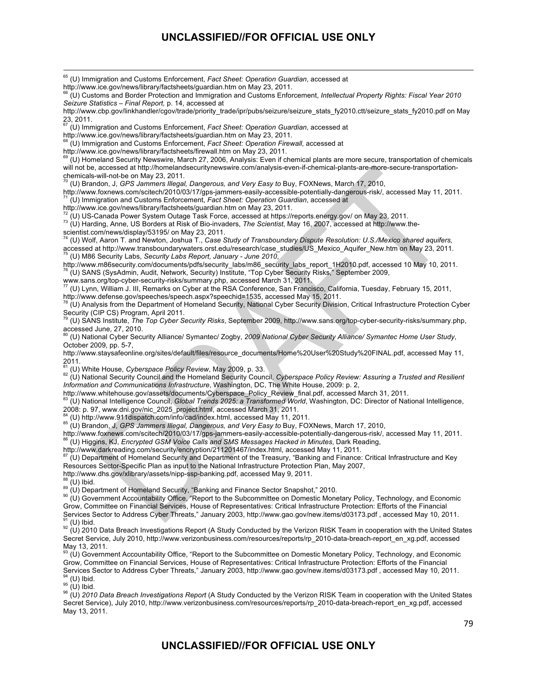<u> 1989 - Andrea Santa Andrea Andrea Andrea Andrea Andrea Andrea Andrea Andrea Andrea Andrea Andrea Andrea Andr</u> 65 (U) Immigration and Customs Enforcement, *Fact Sheet: Operation Guardian*, accessed at http://www.ice.gov/news/library/factsheets/guardian.htm on May 23, 2011. 66 (U) Customs and Border Protection and Immigration and Customs Enforcement, *Intellectual Property Rights: Fiscal Year 2010 Seizure Statistics – Final Report,* p. 14, accessed at http://www.cbp.gov/linkhandler/cgov/trade/priority\_trade/ipr/pubs/seizure/seizure\_stats\_fy2010.ctt/seizure\_stats\_fy2010.pdf on May  $23, 2011.$ 67 (U) Immigration and Customs Enforcement, *Fact Sheet: Operation Guardian*, accessed at http://www.ice.gov/news/library/factsheets/guardian.htm on May 23, 2011. 68 (U) Immigration and Customs Enforcement, *Fact Sheet: Operation Firewall*, accessed at http://www.ice.gov/news/library/factsheets/firewall.htm on May 23, 2011. 69 (U) Homeland Security Newswire, March 27, 2006, Analysis: Even if chemical plants are more secure, transportation of chemicals will not be, accessed at http://homelandsecuritynewswire.com/analysis-even-if-chemical-plants-are-more-secure-transportationchemicals-will-not-be on May 23, 2011.<br><sup>70</sup> (U) Brandon, J, *GPS Jammers Illegal, Dangerous, and Very Easy to* Buy, FOXNews, March 17, 2010, http://www.foxnews.com/scitech/2010/03/17/gps-jammers-easily-accessible-potentially-dangerous-risk/, accessed May 11, 2011. 71 (U) Immigration and Customs Enforcement, *Fact Sheet: Operation Guardian*, accessed at http://www.ice.gov/news/library/factsheets/guardian.htm on May 23, 2011.<br><sup>72</sup> (U) US-Canada Power System Outage Task Force, accessed at https://reports.energy.gov/ on May 23, 2011. 73 (U) Harding, Anne, US Borders at Risk of Bio-invaders, The Scientist, May 16, 2007, accessed at http://www.thescientist.com/news/display/53195/ on May 23, 2011. 74 (U) Wolf, Aaron T. and Newton, Joshua T., *Case Study of Transboundary Dispute Resolution: U.S./Mexico shared aquifers,*  accessed at http://www.transboundarywaters.orst.edu/research/case\_studies/US\_Mexico\_Aquifer\_New.htm on May 23, 2011. 75 (U) M86 Security Labs, *Security Labs Report, January - June 2010*, http://www.m86security.com/documents/pdfs/security\_labs/m86\_security\_labs\_report\_1H2010.pdf, accessed 10 May 10, 2011. 76 (U) SANS (SysAdmin, Audit, Network, Security) Institute, "Top Cyber Security Risks," September 2009, www.sans.org/top-cyber-security-risks/summary.php, accessed March 31, 2011. 77 (U) Lynn, William J. III, Remarks on Cyber at the RSA Conference, San Francisco, California, Tuesday, February 15, 2011, http://www.defense.gov/speeches/speech.aspx?speechid=1535, accessed May 15, 2011. 78 (U) Analysis from the Department of Homeland Security, National Cyber Security Division, Critical Infrastructure Protection Cyber Security (CIP CS) Program, April 2011. 79 (U) SANS Institute, *The Top Cyber Security Risks*, September 2009, http://www.sans.org/top-cyber-security-risks/summary.php,  $\frac{1}{2}$ ,  $\frac{1}{2}$ ,  $\frac{1}{2}$ ,  $\frac{1}{2}$ ,  $\frac{1}{2}$ ,  $\frac{1}{2}$ ,  $\frac{1}{2}$ ,  $\frac{1}{2}$ ,  $\frac{1}{2}$ ,  $\frac{1}{2}$ ,  $\frac{1}{2}$ ,  $\frac{1}{2}$ ,  $\frac{1}{2}$ ,  $\frac{1}{2}$ ,  $\frac{1}{2}$ ,  $\frac{1}{2}$ ,  $\frac{1}{2}$ ,  $\frac{1}{2}$ ,  $\frac{1}{2}$ ,  $\frac{1}{2}$ , 80 (U) National Cyber Security Alliance/ Symantec/ Zogby, *2009 National Cyber Security Alliance/ Symantec Home User Study*, October 2009, pp. 5-7, http://www.staysafeonline.org/sites/default/files/resource\_documents/Home%20User%20Study%20FINAL.pdf, accessed May 11,<br>2011. <sup>81</sup> (U) White House, *Cyberspace Policy Review*, May 2009, p. 33. 82 (U) National Besting a Trusted and Resilient **Accord Accord Accord Accord Accord Accord** Becurity Council and the Homeland Security Council, *Cyberspace Information and Communications Infrastructure*, Washington, DC, The White House, 2009: p. 2, http://www.whitehouse.gov/assets/documents/Cyberspace\_Policy\_Review\_final.pdf, accessed March 31, 2011. 83 (U) National Intelligence Council, *Global Trends 2025: a Transformed World*, Washington, DC: Director of National Intelligence, 2008: p. 97, www.dni.gov/nic\_2025\_project.html, accessed March 31, 2011.<br><sup>84</sup> (U) http://www.911dispatch.com/info/cad/index.html, accessed May 11, 2011. 85 (U) http://www.911dispatch.com/info/cad/index.html, accessive May 2010, and Very Easy to Buy, FOXNews, March 17, 2010, http://www.foxnews.com/scitech/2010/03/17/gps-jammers-easily-accessible-potentially-dangerous-risk/, accessed May 11, 2011. 86 (U) Higgins, KJ, *Encrypted GSM Voice Calls and SMS Messages Hacked in Minutes*, Dark Reading, http://www.darkreading.com/security/encryption/211201467/index.html, accessed May 11, 2011.<br><sup>87</sup> (II) Department of Using Com/security/encryption/211201467/index.html, accessed May 11, 2011. (U) Department of Homeland Security and Department of the Treasury, "Banking and Finance: Critical Infrastructure and Key Resources Sector-Specific Plan as input to the National Infrastructure Protection Plan, May 2007, http://www.dhs.gov/xlibrary/assets/nipp-ssp-banking.pdf, accessed May 9, 2011.<br><sup>88</sup> (U) Ibid.<br><sup>89</sup> (U) Department of Homeland Security, "Banking and Finance Sector Snapshot," 2010.<br><sup>90</sup> (U) Government Accountability Office Grow, Committee on Financial Services, House of Representatives: Critical Infrastructure Protection: Efforts of the Financial Services Sector to Address Cyber Threats," January 2003, http://www.gao.gov/new.items/d03173.pdf , accessed May 10, 2011. <sup>91</sup> (U) Ibid.<br><sup>92</sup> (U) 2010 Data Breach Investigations Report (A Study Conducted by the Verizon RISK Team in cooperation with the United States Secret Service, July 2010, http://www.verizonbusiness.com/resources/reports/rp\_2010-data-breach-report\_en\_xg.pdf, accessed May 13, 2011. <sup>93</sup> (U) Government Accountability Office, "Report to the Subcommittee on Domestic Monetary Policy, Technology, and Economic<br>Grow. Committee on Financial Services. House of Representatives: Critical Infrastructure Protecti Grow, Committee on Financial Services, House of Representatives: Critical Infrastructure Protection: Efforts of the Financial Services Sector to Address Cyber Threats," January 2003, http://www.gao.gov/new.items/d03173.pdf , accessed May 10, 2011. <sup>94</sup> (U) Ibid.<br><sup>95</sup> (U) Ibid.<br><sup>96</sup> (U) 20*10 Data Breach Investigations Report* (A Study Conducted by the Verizon RISK Team in cooperation with the United States Secret Service), July 2010, http://www.verizonbusiness.com/resources/reports/rp\_2010-data-breach-report\_en\_xg.pdf, accessed May 13, 2011.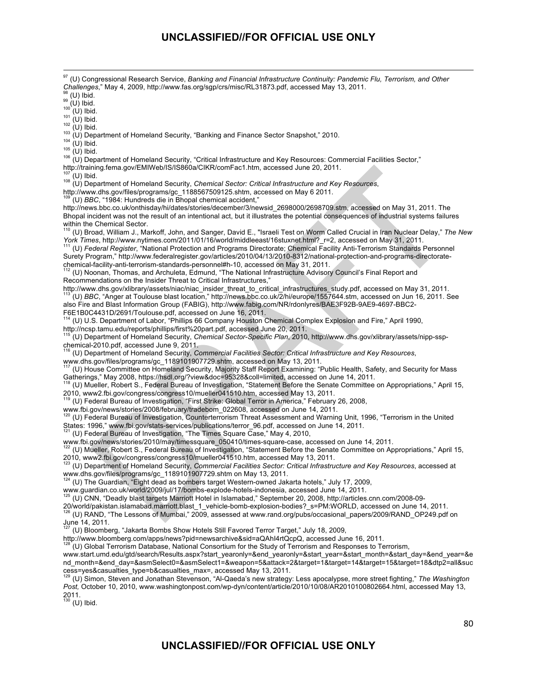<u> 1989 - Andrea Santa Andrea Andrea Andrea Andrea Andrea Andrea Andrea Andrea Andrea Andrea Andrea Andrea Andr</u> <sup>97</sup> (U) Congressional Research Service, *Banking and Financial Infrastructure Continuity: Pandemic Flu, Terrorism, and Other Challenges," May 4, 2009, http://www.fas.org/sgp/crs/misc/RL31873.pdf, accessed May 13, 2011.* <sup>98</sup> (U) Ibid.<br><sup>99</sup> (U) Ibid.<br><sup>109</sup> (U) Ibid.<br><sup>101</sup> (U) Ibid.<br><sup>102</sup> (U) Ibid.<br><sup>102</sup> (U) Ibid.<br><sup>103</sup> (U) Ibid.<br><sup>103</sup> (U) Ibid.<br><sup>103</sup> (U) Ibid.<br><sup>104</sup> (U) Ibid.<br><sup>104</sup> (U) Ibid.<br><sup>104</sup> (U) Ibid.<br><sup>104</sup> (U) Ibid.<br><sup>106</sup> (U) Ibid.

http://training.fema.gov/EMIWeb/IS/IS860a/CIKR/comFac1.htm, accessed June 20, 2011.

<sup>107</sup> (U) Ibid.<br><sup>108</sup> (U) Department of Homeland Security, *Chemical Sector: Critical Infrastructure and Key Resources*,

http://www.dhs.gov/files/programs/gc\_1188567509125.shtm, accessed on May 6 2011.

109 (U) *BBC*, "1984: Hundreds die in Bhopal chemical accident,"

http://news.bbc.co.uk/onthisday/hi/dates/stories/december/3/newsid\_2698000/2698709.stm, accessed on May 31, 2011. The Bhopal incident was not the result of an intentional act, but it illustrates the potential consequences of industrial systems failures within the Chemical Sector.

110 (U) Broad, William J., Markoff, John, and Sanger, David E., "Israeli Test on Worm Called Crucial in Iran Nuclear Delay," *The New*  York Times, http://www.nytimes.com/2011/01/16/world/middleeast/16stuxnet.html?\_r=2, accessed on May 31, 2011.<br><sup>111</sup> (U) Federal Register, "National Protection and Programs Directorate; Chemical Facility Anti-Terrorism Stan

Surety Program," http://www.federalregister.gov/articles/2010/04/13/2010-8312/national-protection-and-programs-directoratechemical-facility-anti-terrorism-standards-personnel#h-10, accessed on May 31, 2011.<br><sup>112</sup> (U) Noonan, Thomas, and Archuleta, Edmund, "The National Infrastructure Advisory Council's Final Report and

Recommendations on the Insider Threat to Critical Infrastructures,"

http://www.dhs.gov/xlibrary/assets/niac/niac\_insider\_threat\_to\_critical\_infrastructures\_study.pdf, accessed on May 31, 2011. 113 (U) *BBC*, "Anger at Toulouse blast location," http://news.bbc.co.uk/2/hi/europe/1557644.stm, accessed on Jun 16, 2011. See also Fire and Blast Information Group (FABIG), http://www.fabig.com/NR/rdonlyres/BAE3F92B-9AE9-4697-BBC2- F6E1B0C4431D/2691/Toulouse.pdf, accessed on June 16, 2011.<br><sup>114</sup> (UNITE: Department of the first state of the first state of the first state of the first state of the first state of the first state of the first state of th

114 (U) U.S. Department of Labor, "Phillips 66 Company Houston Chemical Complex Explosion and Fire," April 1990, http://ncsp.tamu.edu/reports/phillips/first%20part.pdf, accessed June 20, 2011.

115 (U) Department of Homeland Security, *Chemical Sector-Specific Plan*, 2010, http://www.dhs.gov/xlibrary/assets/nipp-sspchemical-2010.pdf, accessed June 9, 2011.

116 (U) Department of Homeland Security, *Commercial Facilities Sector: Critical Infrastructure and Key Resources*, www.dhs.gov/files/programs/gc\_1189101907729.shtm, accessed on May 13, 2011.

117 (U) House Committee on Homeland Security, Majority Staff Report Examining: "Public Health, Safety, and Security for Mass Gatherings," May 2008, https://hsdl.org/?view&doc=95328&coll=limited, accessed on June 14, 2011.

118 (U) Mueller, Robert S., Federal Bureau of Investigation, "Statement Before the Senate Committee on Appropriations," April 15, 2010, www2.fbi.gov/congress/congress10/mueller041510.htm, accessed May 13, 2011.

119 (U) Federal Bureau of Investigation, "First Strike: Global Terror in America," February 26, 2008,

www.fbi.gov/news/stories/2008/february/tradebom\_022608, accessed on June 14, 2011.

120 (U) Federal Bureau of Investigation, Counterterrorism Threat Assessment and Warning Unit, 1996, "Terrorism in the United

States: 1996," www.fbi.gov/stats-services/publications/terror\_96.pdf, accessed on June 14, 2011.<br><sup>121</sup> (U) Federal Bureau of Investigation, "The Times Square Case," May 4, 2010,

www.fbi.gov/news/stories/2010/may/timessquare\_050410/times-square-case, accessed on June 14, 2011.<br><sup>122</sup> (U) Mueller, Robert S., Federal Bureau of Investigation, "Statement Before the Senate Committee on Appropriations," A

2010, www2.fbi.gov/congress/congress10/mueller041510.htm, accessed May 13, 2011. 123 (U) Department of Homeland Security, *Commercial Facilities Sector: Critical Infrastructure and Key Resources*, accessed at www.dhs.gov/files/programs/gc\_1189101907729.shtm on May 13, 2011.

 $24$  (U) The Guardian, "Eight dead as bombers target Western-owned Jakarta hotels," July 17, 2009,

www.guardian.co.uk/world/2009/jul/17/bombs-explode-hotels-indonesia, accessed June 14, 2011.

125 (U) CNN, "Deadly blast targets Marriott Hotel in Islamabad," September 20, 2008, http://articles.cnn.com/2008-09-

20/world/pakistan.islamabad.marriott.blast\_1\_vehicle-bomb-explosion-bodies?\_s=PM:WORLD, accessed on June 14, 2011.

<sup>126</sup> (U) RAND, "The Lessons of Mumbai," 2009, assessed at www.rand.org/pubs/occasional\_papers/2009/RAND\_OP249.pdf on June 14,  $2011$ .

127 (U) Bloomberg, "Jakarta Bombs Show Hotels Still Favored Terror Target," July 18, 2009,

http://www.bloomberg.com/apps/news?pid=newsarchive&sid=aQAhI4rtQcpQ, accessed June 16, 2011.

.<br>(U) Global Terrorism Database, National Consortium for the Study of Terrorism and Responses to Terrorism,

www.start.umd.edu/gtd/search/Results.aspx?start\_yearonly=&end\_yearonly=&start\_year=&start\_month=&start\_day=&end\_year=&e nd\_month=&end\_day=&asmSelect0=&asmSelect1=&weapon=5&attack=2&target=1&target=14&target=15&target=18&dtp2=all&suc cess=yes&casualties\_type=b&casualties\_max=, accessed May 13, 2011. 129 (U) Simon, Steven and Jonathan Stevenson, "Al-Qaeda's new strategy: Less apocalypse, more street fighting," *The Washington* 

*Post,* October 10, 2010, www.washingtonpost.com/wp-dyn/content/article/2010/10/08/AR2010100802664.html, accessed May 13, 2011.

 $130$  (U) Ibid.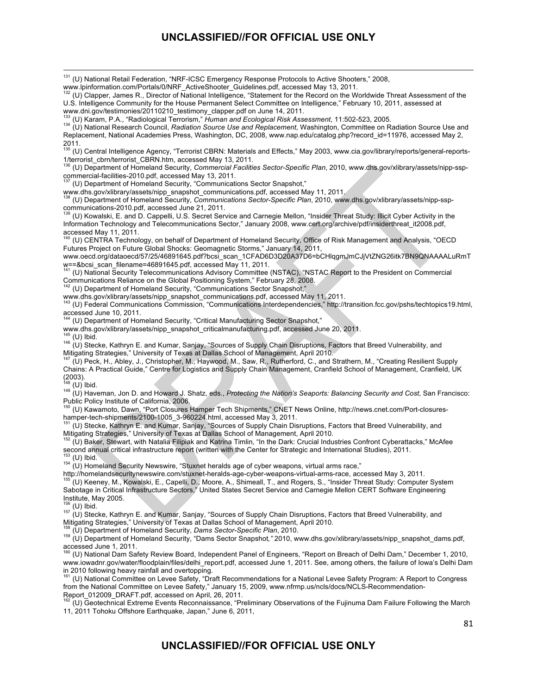<u> 1989 - Andrea Santa Andrea Andrea Andrea Andrea Andrea Andrea Andrea Andrea Andrea Andrea Andrea Andrea Andr</u>

<sup>131</sup> (U) National Retail Federation, "NRF-ICSC Emergency Response Protocols to Active Shooters," 2008,

www.lpinformation.com/Portals/0/NRF\_ActiveShooter\_Guidelines.pdf, accessed May 13, 2011.

132 (U) Clapper, James R., Director of National Intelligence, "Statement for the Record on the Worldwide Threat Assessment of the U.S. Intelligence Community for the House Permanent Select Committee on Intelligence," February 10, 2011, assessed at www.dni.gov/testimonies/20110210\_testimony\_clapper.pdf on June 14, 2011.<br>www.dni.gov/testimonies/20110210\_testimony\_clapper.pdf on June 14, 2011.<br><sup>133</sup> (U) Karam, P.A., "Radiological Terrorism," Human and Ecological Risk A

134 (U) National Research Council, Radiation Source Use and Replacement, Washington, Committee on Radiation Source Use and Replacement, National Academies Press, Washington, DC, 2008, www.nap.edu/catalog.php?record\_id=11976, accessed May 2, 2011.<br><sup>135</sup> (U) Central Intelligence Agency, "Terrorist CBRN: Materials and Effects," May 2003, www.cia.gov/library/reports/general-reports-

1/terrorist\_cbrn/terrorist\_CBRN.htm, accessed May 13, 2011.

136 (U) Department of Homeland Security, *Commercial Facilities Sector-Specific Plan*, 2010, www.dhs.gov/xlibrary/assets/nipp-sspcommercial-facilities-2010.pdf, accessed May 13, 2011.<br><sup>137</sup> (U) Department of Homeland Security, "Communications Sector Snapshot,"

www.dhs.gov/xlibrary/assets/nipp\_snapshot\_communications.pdf, accessed May 11, 2011. 138 (U) Department of Homeland Security, *Communications Sector-Specific Plan*, 2010, www.dhs.gov/xlibrary/assets/nipp-ssp-

communications-2010.pdf, accessed June 21, 2011.<br><sup>139</sup> (U) Kowalski, E. and D. Cappelli, U.S. Secret Service and Carnegie Mellon, "Insider Threat Study: Illicit Cyber Activity in the Information Technology and Telecommunications Sector," January 2008, www.cert.org/archive/pdf/insiderthreat\_it2008.pdf, accessed May 11, 2011.<br><sup>140</sup> (U) CENTRA Technology, on behalf of Department of Homeland Security, Office of Risk Management and Analysis, "OECD

Futures Project on Future Global Shocks: Geomagnetic Storms," January 14, 2011,

www.oecd.org/dataoecd/57/25/46891645.pdf?bcsi\_scan\_1CFAD6D3D20A37D6=bCHlqgmJmCJjVtZNG26itk7BN9QNAAAALuRmT

w==&bcsi\_scan\_filename=46891645.pdf, accessed May 11, 2011.<br><sup>141</sup> (U) National Security Telecommunications Advisory Committee (NSTAC), "NSTAC Report to the President on Commercial Communications Reliance on the Global Positioning System," February 28, 2008.

(U) Department of Homeland Security, "Communications Sector Snapshot,"

www.dhs.gov/xlibrary/assets/nipp\_snapshot\_communications.pdf, accessed May 11, 2011.<br><sup>143</sup> (U) Federal Communications Commission, "Communications Interdependencies," http://transition.fcc.gov/pshs/techtopics19.html, accessed June 10, 2011.

144 (U) Department of Homeland Security, "Critical Manufacturing Sector Snapshot,"

www.dhs.gov/xlibrary/assets/nipp\_snapshot\_criticalmanufacturing.pdf, accessed June 20, 2011.

145 (U) Ibid.<br><sup>146</sup> (U) Stecke, Kathryn E. and Kumar, Sanjay, "Sources of Supply Chain Disruptions, Factors that Breed Vulnerability, and Mitigating Strategies," University of Texas at Dallas School of Management, April 2010.

147 (U) Peck, H., Abley, J., Christopher, M., Haywood, M., Saw, R., Rutherford, C., and Strathern, M., "Creating Resilient Supply Chains: A Practical Guide," Centre for Logistics and Supply Chain Management, Cranfield School of Management, Cranfield, UK  $(2003)$ .<br><sup>148</sup> (U) Ibid.

148 (U) Ibid. 149 (U) Haveman, Jon D. and Howard J. Shatz, eds., *Protecting the Nation's Seaports: Balancing Security and Cost*, San Francisco: Public Policy Institute of California, 2006.

<sup>150</sup> (U) Kawamoto, Dawn, "Port Closures Hamper Tech Shipments," CNET News Online, http://news.cnet.com/Port-closures-<br>hamper-tech-shipments/2100-1005\_3-960224.html, accessed May 3, 2011.

(U) Stecke, Kathryn E. and Kumar, Sanjay, "Sources of Supply Chain Disruptions, Factors that Breed Vulnerability, and Mitigating Strategies," University of Texas at Dallas School of Management, April 2010.

152 (U) Baker, Stewart, with Natalia Filipiak and Katrina Timlin, "In the Dark: Crucial Industries Confront Cyberattacks," McAfee second annual critical infrastructure report (written with the Center for Strategic and International Studies), 2011.<br><sup>153</sup> (U) Ibid.

153 (U) Ibid. 154 (U) Homeland Security Newswire, "Stuxnet heralds age of cyber weapons, virtual arms race,"

http://homelandsecuritynewswire.com/stuxnet-heralds-age-cyber-weapons-virtual-arms-race, accessed May 3, 2011.<br><sup>155</sup> (U) Keeney, M., Kowalski, E., Capelli, D., Moore, A., Shimeall, T., and Rogers, S., "Insider Threat Study Sabotage in Critical Infrastructure Sectors," United States Secret Service and Carnegie Mellon CERT Software Engineering Institute, May 2005.

156 (U) Ibid.<br><sup>157</sup> (U) Stecke, Kathryn E. and Kumar, Sanjay, "Sources of Supply Chain Disruptions, Factors that Breed Vulnerability, and Mitigating Strategies," University of Texas at Dallas School of Management, April 2010.<br><sup>158</sup> (U) Department of Homeland Security, Dams Sector-Specific Plan, 2010.

158 (U) Department of Homeland Security, *Dams Sector-Specific Plan*, 2010. 159 (U) Department of Homeland Security, "Dams Sector Snapshot*,"* 2010, www.dhs.gov/xlibrary/assets/nipp\_snapshot\_dams.pdf, accessed June 1, 2011.<br><sup>160</sup> (U) National Dam Safety Review Board, Independent Panel of Engineers, "Report on Breach of Delhi Dam," December 1, 2010,

www.iowadnr.gov/water/floodplain/files/delhi\_report.pdf, accessed June 1, 2011. See, among others, the failure of Iowa's Delhi Dam in 2010 following heavy rainfall and overtopping.<br><sup>161</sup> (L) Notional Carrollis

161 (U) National Committee on Levee Safety, "Draft Recommendations for a National Levee Safety Program: A Report to Congress from the National Committee on Levee Safety," January 15, 2009, www.nfrmp.us/ncls/docs/NCLS-Recommendation-Report\_012009\_DRAFT.pdf, accessed on April, 26, 2011.

162 (U) Geotechnical Extreme Events Reconnaissance, "Preliminary Observations of the Fujinuma Dam Failure Following the March 11, 2011 Tohoku Offshore Earthquake, Japan," June 6, 2011,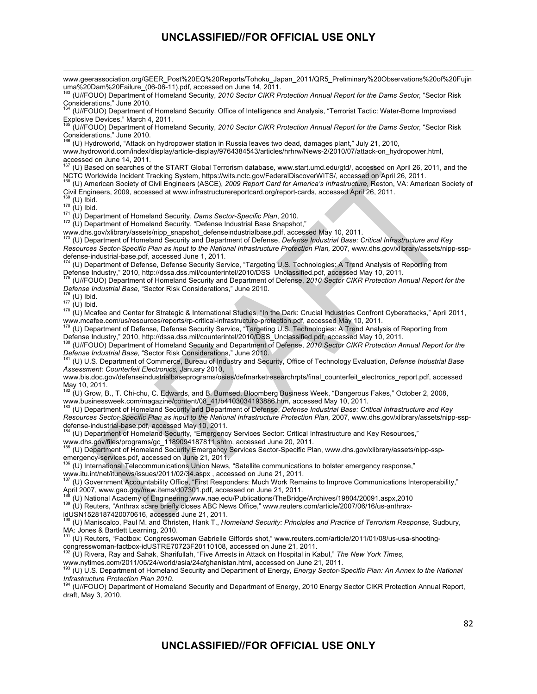<u> 1989 - Andrea Santa Andrea Andrea Andrea Andrea Andrea Andrea Andrea Andrea Andrea Andrea Andrea Andrea Andr</u> www.geerassociation.org/GEER\_Post%20EQ%20Reports/Tohoku\_Japan\_2011/QR5\_Preliminary%20Observations%20of%20Fujin uma%20Dam%20Failure\_(06-06-11).pdf, accessed on June 14, 2011.<br><sup>163</sup> (U//FOUO) Department of Homeland Security, *2010 Sector CIKR Protection Annual Report for the Dams Sector, "Sector Risk* 

Considerations," June 2010.

164 (U//FOUO) Department of Homeland Security, Office of Intelligence and Analysis, "Terrorist Tactic: Water-Borne Improvised Explosive Devices," March 4, 2011.

165 (U//FOUO) Department of Homeland Security, *2010 Sector CIKR Protection Annual Report for the Dams Sector,* "Sector Risk Considerations," June 2010.

166 (U) Hydroworld, "Attack on hydropower station in Russia leaves two dead, damages plant," July 21, 2010,

www.hydroworld.com/index/display/article-display/9764384543/articles/hrhrw/News-2/2010/07/attack-on\_hydropower.html, accessed on June 14, 2011.

167 (U) Based on searches of the START Global Terrorism database, www.start.umd.edu/gtd/, accessed on April 26, 2011, and the NCTC Worldwide Incident Tracking System, https://wits.nctc.gov/FederalDiscoverWITS/, accessed on April 26, 2011.

168 (U) American Society of Civil Engineers (ASCE), *2009 Report Card for America's Infrastructure*, Reston, VA: American Society of Civil Engineers, 2009, accessed at www.infrastructurereportcard.org/report-cards, accessed April 26, 2011.

1<sup>69</sup> (U) Ibid.<br><sup>170</sup> (U) Ibid.<br><sup>171</sup> (U) Department of Homeland Security, *Dams Sector-Specific Plan*, 2010.<br><sup>172</sup> (U) Department of Homeland Security, "Defense Industrial Base Snapshot,"

www.dhs.gov/xlibrary/assets/nipp\_snapshot\_defenseindustrialbase.pdf, accessed May 10, 2011.<br><sup>173</sup> (U) Department of Homeland Security and Department of Defense, *Defense Industrial Base: Critical Infrastructure and Key Resources Sector-Specific Plan as input to the National Infrastructure Protection Plan,* 2007, www.dhs.gov/xlibrary/assets/nipp-sspdefense-industrial-base.pdf, accessed June 1, 2011.

174 (U) Department of Defense, Defense Security Service, "Targeting U.S. Technologies: A Trend Analysis of Reporting from Defense Industry," 2010, http://dssa.dss.mil/counterintel/2010/DSS\_Unclassified.pdf, accessed May 10, 2011.

175 (U//FOUO) Department of Homeland Security and Department of Defense, 2010 Sector CIKR Protection Annual Report for the<br>Defense Industrial Base, "Sector Risk Considerations," June 2010.

176 (U) Ibid.<br>177 (U) Ibid.<br><sup>178</sup> (U) Mcafee and Center for Strategic & International Studies, "In the Dark: Crucial Industries Confront Cyberattacks," April 2011,

www.mcafee.com/us/resources/reports/rp-critical-infrastructure-protection.pdf, accessed May 10, 2011.<br><sup>179</sup> (U) Department of Defense, Defense Security Service, "Targeting U.S. Technologies: A Trend Analysis of Reporting f Defense Industry," 2010, http://dssa.dss.mil/counterintel/2010/DSS\_Unclassified.pdf, accessed May 10, 2011.

<sup>180</sup> (U//FOUO) Department of Homeland Security and Department of Defense, 2010 Sector CIKR Protection Annual Report for the<br>Defense Industrial Base, "Sector Risk Considerations," June 2010.

*Defense Industrial Base,* "Sector Risk Considerations," June 2010. 181 (U) U.S. Department of Commerce, Bureau of Industry and Security, Office of Technology Evaluation, *Defense Industrial Base Assessment: Counterfeit Electronics,* January 2010,

www.bis.doc.gov/defenseindustrialbaseprograms/osies/defmarketresearchrpts/final\_counterfeit\_electronics\_report.pdf, accessed May 10, 2011.

182 (U) Grow, B., T. Chi-chu, C. Edwards, and B. Burnsed, Bloomberg Business Week, "Dangerous Fakes," October 2, 2008, www.businessweek.com/magazine/content/08\_41/b4103034193886.htm, accessed May 10, 2011.

183 (U) Department of Homeland Security and Department of Defense, *Defense Industrial Base: Critical Infrastructure and Key Resources Sector-Specific Plan as input to the National Infrastructure Protection Plan,* 2007, www.dhs.gov/xlibrary/assets/nipp-sspdefense-industrial-base.pdf, accessed May 10, 2011.

184 (U) Department of Homeland Security, "Emergency Services Sector: Critical Infrastructure and Key Resources,"

www.dhs.gov/files/programs/gc\_1189094187811.shtm, accessed June 20, 2011.<br><sup>185</sup> (U) Department of Homeland Security Emergency Services Sector-Specific Plan, www.dhs.gov/xlibrary/assets/nipp-sspemergency-services.pdf, accessed on June 21, 2011.

<sup>186</sup> (U) International Telecommunications Union News, "Satellite communications to bolster emergency response,"

www.itu.int/net/itunews/issues/2011/02/34.aspx , accessed on June 21, 2011.<br><sup>187</sup> (U) Government Accountability Office, "First Responders: Much Work Remains to Improve Communications Interoperability," April 2007, www.gao.gov/new.items/d07301.pdf, accessed on June 21, 2011.<br><sup>188</sup> (U) National Academy of Engineering,www.nae.edu/Publications/TheBridge/Archives/19804/20091.aspx,2010

189 (U) Reuters, "Anthrax scare briefly closes ABC News Office," www.reuters.com/article/2007/06/16/us-anthrax-

idUSN1528187420070616, accessed June 21, 2011.<br><sup>190</sup> (U) Maniscalco, Paul M. and Christen, Hank T., *Homeland Security: Principles and Practice of Terrorism Response*, Sudbury, MA: Jones & Bartlett Learning, 2010.

191 (U) Reuters, "Factbox: Congresswoman Gabrielle Giffords shot," www.reuters.com/article/2011/01/08/us-usa-shooting-

congresswoman-factbox-idUSTRE70723F20110108, accessed on June 21, 2011. 192 (U) Rivera, Ray and Sahak, Sharifullah, "Five Arrests in Attack on Hospital in Kabul," *The New York Times*,

www.nytimes.com/2011/05/24/world/asia/24afghanistan.html, accessed on June 21, 2011.<br><sup>193</sup> (U) U.S. Department of Homeland Security and Department of Energy*, Energy Sector-Specific Plan: An Annex to the National Infrastructure Protection Plan 2010.*

194 (U//FOUO) Department of Homeland Security and Department of Energy, 2010 Energy Sector CIKR Protection Annual Report, draft, May 3, 2010.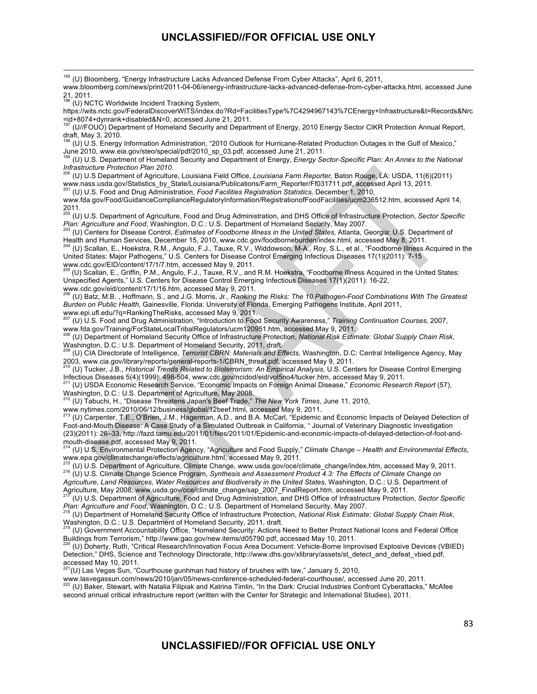(U) NCTC Worldwide Incident Tracking System,

https://wits.nctc.gov/FederalDiscoverWITS/index.do?Rd=FacilitiesType%7C4294967143%7CEnergy+Infrastructure&t=Records&Nrc =id+8074+dynrank+disabled&N=0, accessed June 21, 2011.

197 (U//FOUO) Department of Homeland Security and Department of Energy, 2010 Energy Sector CIKR Protection Annual Report,

draft, May 3, 2010.<br><sup>198</sup> (U) U.S. Energy Information Administration, "2010 Outlook for Hurricane-Related Production Outages in the Gulf of Mexico," June 2010, www.eia.gov/steo/special/pdf/2010\_sp\_03.pdf, accessed June 21, 2011.

199 (U) U.S. Department of Homeland Security and Department of Energy, *Energy Sector-Specific Plan: An Annex to the National Infrastructure Protection Plan 2010.*

200 (U) U.S Department of Agriculture, Louisiana Field Office, *Louisiana Farm Reporter,* Baton Rouge, LA: USDA, 11(6)(2011) www.nass.usda.gov/Statistics\_by\_State/Louisiana/Publications/Farm\_Reporter/Ff031711.pdf, accessed April 13, 2011.

201 (U) U.S. Food and Drug Administration, *Food Facilities Registration Statistics,* December 1, 2010,

www.fda.gov/Food/GuidanceComplianceRegulatoryInformation/RegistrationofFoodFacilities/ucm236512.htm, accessed April 14,

2011. 202 (U) U.S. Department of Agriculture, Food and Drug Administration, and DHS Office of Infrastructure Protection, *Sector Specific*  Plan: Agriculture and Food, Washington, D.C.: U.S. Department of Homeland Security, May 2007.<br><sup>203</sup> (U) Centers for Disease Control, Estimates of Foodborne Illness in the United States, Atlanta, Georgia: U.S. Department of

Health and Human Services, December 15, 2010, www.cdc.gov/foodborneburden/index.html, accessed May 8, 2011.

204 (U) Scallan, E., Hoekstra, R.M., Angulo, F.J., Tauxe, R.V., Widdowson, M-A., Roy, S.L., et al., "Foodborne Illness Acquired in the United States: Major Pathogens," U.S. Centers for Disease Control Emerging Infectious Diseases 17(1)(2011): 7-15

www.cdc.gov/EID/content/17/1/7.htm, accessed May 9, 2011.<br><sup>205</sup> (U) Scallan, E., Griffin, P.M., Angulo, F.J., Tauxe, R.V., and R.M. Hoekstra, "Foodborne Illness Acquired in the United States: Unspecified Agents," U.S. Centers for Disease Control Emerging Infectious Diseases 17(1)(2011): 16-22,

www.cdc.gov/eid/content/17/1/16.htm, accessed May 9, 2011. 206 (U) Batz, M.B. , Hoffmann, S., and J.G. Morris, Jr., *Ranking the Risks: The 10 Pathogen-Food Combinations With The Greatest Burden on Public Health,* Gainesville, Florida: University of Florida, Emerging Pathogens Institute, April 2011, www.epi.ufl.edu/?q=RankingTheRisks, accessed May 9, 2011.

207 (U) U.S. Food and Drug Administration, "Introduction to Food Security Awareness," *Training Continuation Courses*, 2007, www.fda.gov/Training/ForStateLocalTribalRegulators/ucm120951.htm, accessed May 9, 2011.

208 (U) Department of Homeland Security Office of Infrastructure Protection, *National Risk Estimate: Global Supply Chain Risk*, Washington, D.C.: U.S. Department of Homeland Security, 2011, draft.

209 (U) CIA Directorate of Intelligence, *Terrorist CBRN: Materials and Effects,* Washington, D.C: Central Intelligence Agency, May

2003, www.cia.gov/library/reports/general-reports-1/CBRN\_threat.pdf, accessed May 9, 2011.<br><sup>210</sup> (U) Tucker, J.B., *Historical Trends Related to Bioterrorism: An Empirical Analysis*, U.S. Centers for Disease Control Emergi Infectious Diseases 5(4)(1999): 498-504, www.cdc.gov/ncidod/eid/vol5no4/tucker.htm, accessed May 9, 2011.

211 (U) USDA Economic Research Service, "Economic Impacts on Foreign Animal Disease," *Economic Research Report* (57), Washington, D.C.: U.S. Department of Agriculture, May 2008.

212 (U) Tabuchi, H., "Disease Threatens Japan's Beef Trade," *The New York Times*, June 11, 2010,

www.nytimes.com/2010/06/12/business/global/12beef.html, accessed May 9, 2011.<br><sup>213</sup> (U) Carpenter, T.E., O'Brien, J.M., Hagerman, A.D., and B.A. McCarl, "Epidemic and Economic Impacts of Delayed Detection of Foot-and-Mouth Disease: A Case Study of a Simulated Outbreak in California, " Journal of Veterinary Diagnostic Investigation (23)(2011): 26–33, http://fazd.tamu.edu/2011/01/files/2011/01/Epidemic-and-economic-impacts-of-delayed-detection-of-foot-and-

mouth-disease.pdf, accessed May 9, 2011.<br><sup>214</sup> (U) U.S. Environmental Protection Agency, "Agriculture and Food Supply," *Climate Change – Health and Environmental Effects*, www.epa.gov/climatechange/effects/agriculture.html, accessed May 9, 2011.

<sup>216</sup> (U) U.S. Department of Agriculture, Climate Change, www.usda.gov/oce/climate\_change/index.htm, accessed May 9, 2011.<br><sup>216</sup> (U) U.S. Climate Change Science Program, Synthesis and Assessment Product 4.3: The Effects of *Agriculture, Land Resources, Water Resources and Biodiversity in the United States*, Washington, D.C.: U.S. Department of Agriculture, May 2008, www.usda.gov/oce/climate\_change/sap\_2007\_FinalReport.htm, accessed May 9, 2011.

217 (U) U.S. Department of Agriculture, Food and Drug Administration, and DHS Office of Infrastructure Protection, *Sector Specific*  Plan: Agriculture and Food, Washington, D.C.: U.S. Department of Homeland Security, May 2007.<br><sup>218</sup> (U) Department of Homeland Security Office of Infrastructure Protection, National Risk Estimate: Global Supply Chain Risk,

Washington, D.C.: U.S. Department of Homeland Security, 2011, draft.

219 (U) Government Accountability Office, "Homeland Security: Actions Need to Better Protect National Icons and Federal Office Buildings from Terrorism," http://www.gao.gov/new.items/d05790.pdf, accessed May 10, 2011.

<sup>0</sup> (U) Doherty, Ruth, "Critical Research/Innovation Focus Area Document: Vehicle-Borne Improvised Explosive Devices (VBIED) Detection," DHS, Science and Technology Directorate, http://www.dhs.gov/xlibrary/assets/st\_detect\_and\_defeat\_vbied.pdf,

accessed May 10, 2011.<br><sup>221</sup>(U) Las Vegas Sun, "Courthouse gunhman had history of brushes with law," January 5, 2010,

www.lasvegassun.com/news/2010/jan/05/news-conference-scheduled-federal-courthouse/, accessed June 20, 2011.<br><sup>222</sup> (U) Baker, Stewart, with Natalia Filipiak and Katrina Timlin, "In the Dark: Crucial Industries Confront Cybe second annual critical infrastructure report (written with the Center for Strategic and International Studies), 2011.

<sup>&</sup>lt;sup>195</sup> (U) Bloomberg, "Energy Infrastructure Lacks Advanced Defense From Cyber Attacks", April 6, 2011,

www.bloomberg.com/news/print/2011-04-06/energy-infrastructure-lacks-advanced-defense-from-cyber-attacks.html, accessed June 21, 2011.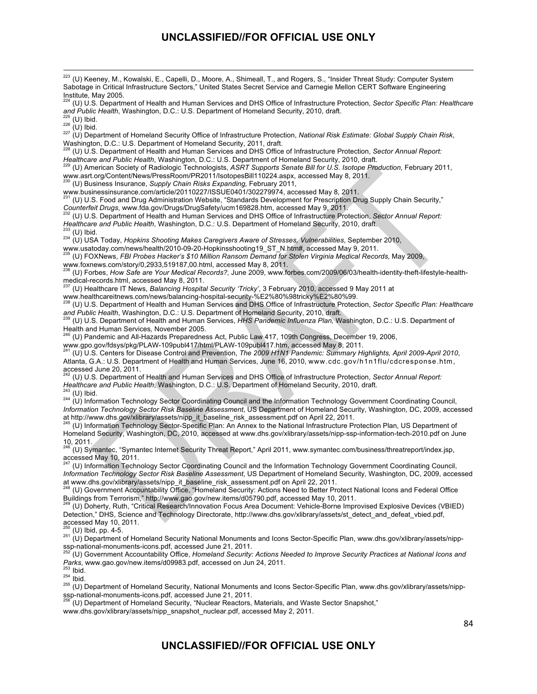223 (U) Keeney, M., Kowalski, E., Capelli, D., Moore, A., Shimeall, T., and Rogers, S., "Insider Threat Study: Computer System Sabotage in Critical Infrastructure Sectors," United States Secret Service and Carnegie Mellon CERT Software Engineering Institute, May 2005.

<sup>224</sup> (U) U.S. Department of Health and Human Services and DHS Office of Infrastructure Protection, *Sector Specific Plan: Healthcare* and Public Health, Washington, D.C.: U.S. Department of Homeland Security, 2010, draft.

<sup>226</sup> (U) Ibid.<br><sup>226</sup> (U) Ibid.<br><sup>227</sup> (U) Department of Homeland Security Office of Infrastructure Protection, National Risk Estimate: Global Supply Chain Risk, Washington, D.C.: U.S. Department of Homeland Security, 2011, draft.

<sup>228</sup> (U) U.S. Department of Health and Human Services and DHS Office of Infrastructure Protection, *Sector Annual Report:* <br>*Healthcare and Public Health*, Washington, D.C.: U.S. Department of Homeland Security, 2010, dra

(U) American Society of Radiologic Technologists, ASRT Supports Senate Bill for U.S. Isotope Production, February 2011, www.asrt.org/Content/News/PressRoom/PR2011/IsotopesBill110224.aspx, accessed May 8, 2011. 230 (U) Business Insurance, *Supply Chain Risks Expanding,* February 2011,

www.businessinsurance.com/article/20110227/ISSUE0401/302279974, accessed May 8, 2011.<br><sup>231</sup> (U) U.S. Food and Drug Administration Website, "Standards Development for Prescription Drug Supply Chain Security,"

*Counterfeit Drugs*, www.fda.gov/Drugs/DrugSafety/ucm169828.htm, accessed May 9, 2011.<br><sup>232</sup> (U) U.S. Department of Health and Human Services and DHS Office of Infrastructure Protection, *Sector Annual Report:*<br> *Healthcar* 

<sup>233</sup> (U) Ibid.<br><sup>234</sup> (U) USA Today, *Hopkins Shooting Makes Caregivers Aware of Stresses, Vulnerabilities*, September 2010,

www.usatoday.com/news/health/2010-09-20-Hopkinsshooting19\_ST\_N.htm#, accessed May 9, 2011. 235 (U) FOXNews, *FBI Probes Hacker's \$10 Million Ransom Demand for Stolen Virginia Medical Records,* May 2009,

www.foxnews.com/story/0,2933,519187,00.html, accessed May 8, 2011. 236 (U) Forbes, *How Safe are Your Medical Records?,* June 2009, www.forbes.com/2009/06/03/health-identity-theft-lifestyle-healthmedical-records.html, accessed May 8, 2011.

237 (U) Healthcare IT News, *Balancing Hospital Security 'Tricky'*, 3 February 2010, accessed 9 May 2011 at

www.healthcareitnews.com/news/balancing-hospital-security-%E2%80%98tricky%E2%80%99. 238 (U) U.S. Department of Health and Human Services and DHS Office of Infrastructure Protection, *Sector Specific Plan: Healthcare*  and Public Health, Washington, D.C.: U.S. Department of Homeland Security, 2010, draft.<br><sup>239</sup> (U) U.S. Department of Health and Human Services, *HHS Pandemic Influenza Plan*, Washington, D.C.: U.S. Department of

Health and Human Services, November 2005.<br><sup>240</sup> (U) Pandemic and All-Hazards Preparedness Act, Public Law 417, 109th Congress, December 19, 2006,

www.gpo.gov/fdsys/pkg/PLAW-109publ417/html/PLAW-109publ417.htm, accessed May 8, 2011.

241 (U) U.S. Centers for Disease Control and Prevention, *The 2009 H1N1 Pandemic: Summary Highlights, April 2009-April 2010*, Atlanta, G.A.: U.S. Department of Health and Human Services, June 16, 2010, www.cdc.gov/h1n1flu/cdcresponse.htm, accessed June 20,  $2011$ .

242 (U) U.S. Department of Health and Human Services and DHS Office of Infrastructure Protection, *Sector Annual Report:*  Healthcare and Public Health, Washington, D.C.: U.S. Department of Homeland Security, 2010, draft.<br><sup>243</sup> (U) Ibid.<br><sup>243</sup> (U) Information Technology Sector Coordinating Council and the Information Technology Government Coor

*Information Technology Sector Risk Baseline Assessment*, US Department of Homeland Security, Washington, DC, 2009, accessed

at http://www.dhs.gov/xlibrary/assets/nipp\_it\_baseline\_risk\_assessment.pdf on April 22, 2011.<br><sup>245</sup> (U) Information Technology Sector-Specific Plan: An Annex to the National Infrastructure Protection Plan, US Department of Homeland Security, Washington, DC, 2010, accessed at www.dhs.gov/xlibrary/assets/nipp-ssp-information-tech-2010.pdf on June  $10, 2011.$ 

246 (U) Symantec, "Symantec Internet Security Threat Report," April 2011, www.symantec.com/business/threatreport/index.jsp, accessed May 10,  $2011$ .

247 (U) Information Technology Sector Coordinating Council and the Information Technology Government Coordinating Council, *Information Technology Sector Risk Baseline Assessment*, US Department of Homeland Security, Washington, DC, 2009, accessed at www.dhs.gov/xlibrary/assets/nipp\_it\_baseline\_risk\_assessment.pdf on April 22, 2011.

248 (U) Government Accountability Office, "Homeland Security: Actions Need to Better Protect National Icons and Federal Office Buildings from Terrorism," http://www.gao.gov/new.items/d05790.pdf, accessed May 10, 2011.

249 (U) Doherty, Ruth, "Critical Research/Innovation Focus Area Document: Vehicle-Borne Improvised Explosive Devices (VBIED) Detection," DHS, Science and Technology Directorate, http://www.dhs.gov/xlibrary/assets/st\_detect\_and\_defeat\_vbied.pdf, accessed May 10, 2011.

<sup>250</sup> (U) Ibid, pp. 4-5.<br><sup>251</sup> (U) Department of Homeland Security National Monuments and Icons Sector-Specific Plan, www.dhs.gov/xlibrary/assets/nipp-<br>sp-national-monuments-icons.jpdf, accessed June 21, 2011.

<sup>252'</sup>(U) Government Accountability Office, Homeland Security: Actions Needed to Improve Security Practices at National Icons and<br>Parks, www.gao.gov/new.items/d09983.pdf, accessed on Jun 24, 2011.

*Parks*, www.gao.gov.new.items/doen-parks.<br>254 Ibid.<br>256 (U) Department of Homeland Security, National Monuments and Icons Sector-Specific Plan, www.dhs.gov/xlibrary/assets/nipp-<br>255 (U) Department of Homeland Security, "N

(U) Department of Homeland Security, "Nuclear Reactors, Materials, and Waste Sector Snapshot,"

www.dhs.gov/xlibrary/assets/nipp\_snapshot\_nuclear.pdf, accessed May 2, 2011.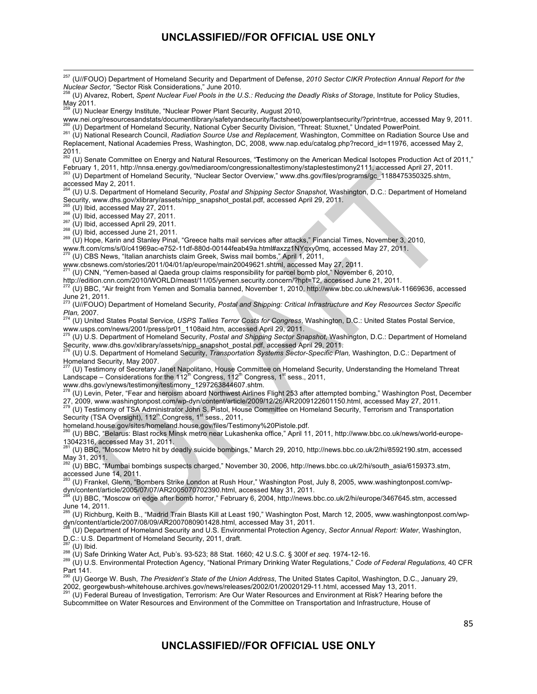263 (U) Department of Homeland Security, "Nuclear Sector Overview," www.dhs.gov/files/programs/gc\_1188475350325.shtm, accessed May 2, 2011.

264 (U) U.S. Department of Homeland Security, *Postal and Shipping Sector Snapshot*, Washington, D.C.: Department of Homeland Security, www.dhs.gov/xlibrary/assets/nipp\_snapshot\_postal.pdf, accessed April 29, 2011.

<sup>266</sup> (U) Ibid, accessed May 27, 2011.<br><sup>266</sup> (U) Ibid, accessed May 27, 2011.<br><sup>267</sup> (U) Ibid, accessed April 29, 2011.<br><sup>268</sup> (U) Ibid, accessed June 21, 2011.<br><sup>268</sup> (U) Hope, Karin and Stanley Pinal, "Greece halts mail ser www.ft.com/cms/s/0/c41969ac-e752-11df-880d-00144feab49a.html#axzz1NYqxy0mq, accessed May 27, 2011.<br><sup>270</sup> (U) CBS News, "Italian anarchists claim Greek, Swiss mail bombs," April 1, 2011,

www.cbsnews.com/stories/2011/04/01/ap/europe/main20049621.shtml, accessed May 27, 2011.<br><sup>271</sup> (U) CNN, "Yemen-based al Qaeda group claims responsibility for parcel bomb plot," November 6, 2010,

http://edition.cnn.com/2010/WORLD/meast/11/05/yemen.security.concern/?hpt=T2, accessed June 21, 2011.

272 (U) BBC, "Air freight from Yemen and Somalia banned, November 1, 2010, http://www.bbc.co.uk/news/uk-11669636, accessed June 21, 2011.<br><sup>273</sup> (U//FOUO) Department of Homeland Security, *Postal and Shipping: Critical Infrastructure and Key Resources Sector Specific* 

*Plan,* 2007. 274 (U) United States Postal Service, *USPS Tallies Terror Costs for Congress*, Washington, D.C.: United States Postal Service,

**www.usps.com/news/2001/press/pr01\_1108aid.htm, accessed April 29, 2011.**<br><sup>275</sup> (11) 11 S. Donortment of their time is a street of the street of the street of the street of the street of the street of the street of the str

275 (U) U.S. Department of Homeland Security, *Postal and Shipping Sector Snapshot*, Washington, D.C.: Department of Homeland Security, www.dhs.gov/xlibrary/assets/nipp\_snapshot\_postal.pdf, accessed April 29, 2011.

276 (U) U.S. Department of Homeland Security, *Transportation Systems Sector-Specific Plan,* Washington, D.C.: Department of Homeland Security, May 2007.

277 (U) Testimony of Secretary Janet Napolitano, House Committee on Homeland Security, Understanding the Homeland Threat Landscape – Considerations for the 112<sup>th</sup> Congress, 112<sup>th</sup> Congress, 1<sup>st</sup> sess., 2011,

www.dhs.gov/ynews/testimony/testimony\_1297263844607.shtm.<br><sup>278</sup> (U) Levin, Peter, "Fear and heroism aboard Northwest Airlines Flight 253 after attempted bombing," Washington Post, December 27, 2009, www.washingtonpost.com/wp-dyn/content/article/2009/12/26/AR2009122601150.html, accessed May 27, 2011.

279 (U) Testimony of TSA Administrator John S. Pistol, House Committee on Homeland Security, Terrorism and Transportation Security (TSA Oversight), 112<sup>th</sup> Congress, 1<sup>st</sup> sess., 2011,

homeland.house.gov/sites/homeland.house.gov/files/Testimony%20Pistole.pdf.<br><sup>280</sup> (U) BBC, "Belarus: Blast rocks Minsk metro near Lukashenka office," April 11, 2011, http://www.bbc.co.uk/news/world-europe-

13042316, accessed May 31, 2011.<br><sup>281</sup> (U) BBC, "Moscow Metro hit by deadly suicide bombings," March 29, 2010, http://news.bbc.co.uk/2/hi/8592190.stm, accessed May 31, 2011.

282 (U) BBC, "Mumbai bombings suspects charged," November 30, 2006, http://news.bbc.co.uk/2/hi/south\_asia/6159373.stm, accessed June 14, 2011.

283 (U) Frankel, Glenn, "Bombers Strike London at Rush Hour," Washington Post, July 8, 2005, www.washingtonpost.com/wpdyn/content/article/2005/07/07/AR2005070702390.html, accessed May 31, 2011.

284 (U) BBC, "Moscow on edge after bomb horror," February 6, 2004, http://news.bbc.co.uk/2/hi/europe/3467645.stm, accessed

June 14, 2011.<br><sup>285</sup> (U) Richburg, Keith B., "Madrid Train Blasts Kill at Least 190," Washington Post, March 12, 2005, www.washingtonpost.com/wpdyn/content/article/2007/08/09/AR2007080901428.html, accessed May 31, 2011.

286 (U) Department of Homeland Security and U.S. Environmental Protection Agency, *Sector Annual Report: Water*, Washington, D.C.: U.S. Department of Homeland Security, 2011, draft.<br><sup>287</sup> (U) Ibid.

288 (U) Safe Drinking Water Act, Pub's. 93-523; 88 Stat. 1660; 42 U.S.C. § 300f et seq. 1974-12-16.<br><sup>288</sup> (U) Safe Drinking Water Act, Pub's. 93-523; 88 Stat. 1660; 42 U.S.C. § 300f et seq. 1974-12-16.<br><sup>289</sup> (U) U.S. Envir

Part 141. 290 (U) George W. Bush, *The President's State of the Union Address*, The United States Capitol, Washington, D.C., January 29, 2002, georgewbush-whitehouse.archives.gov/news/releases/2002/01/20020129-11.html, accessed May 13, 2011.<br><sup>291</sup> (U) Federal Bureau of Investigation, Terrorism: Are Our Water Resources and Environment at Risk? Hearing before

Subcommittee on Water Resources and Environment of the Committee on Transportation and Infrastructure, House of

<sup>257 (</sup>U//FOUO) Department of Homeland Security and Department of Defense, *2010 Sector CIKR Protection Annual Report for the Nuclear Sector,* "Sector Risk Considerations," June 2010. 258 (U) Alvarez, Robert, *Spent Nuclear Fuel Pools in the U.S.: Reducing the Deadly Risks of Storage*, Institute for Policy Studies, May 2011. 259 (U) Nuclear Energy Institute, "Nuclear Power Plant Security, August 2010, www.nei.org/resourcesandstats/documentlibrary/safetyandsecurity/factsheet/powerplantsecurity/?print=true, accessed May 9, 2011.<br><sup>260</sup> (U) Department of Homeland Security, National Cyber Security Division, "Threat: Stuxnet, 261 (U) National Research Council, Radiation Source Use and Replacement, Washington, Committee on Radiation Source Use and Replacement, National Academies Press, Washington, DC, 2008, www.nap.edu/catalog.php?record\_id=11976, accessed May 2, 2011. 262 (U) Senate Committee on Energy and Natural Resources, "**T**estimony on the American Medical Isotopes Production Act of 2011," February 1, 2011, http://nnsa.energy.gov/mediaroom/congressionaltestimony/staplestestimony2111, accessed April 27, 2011.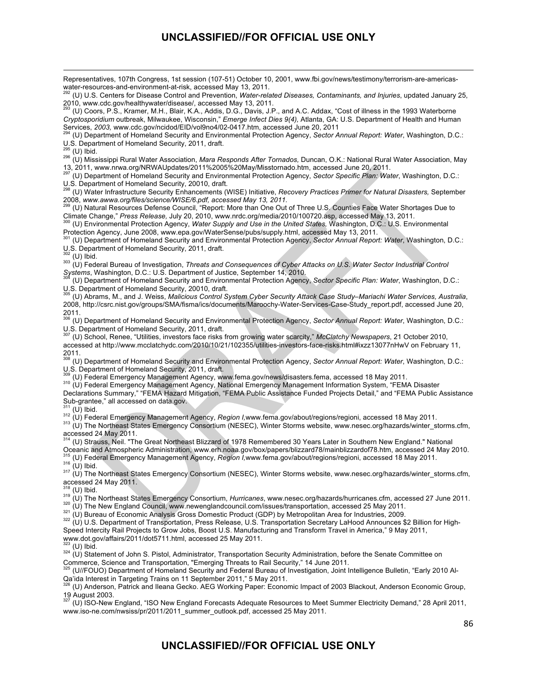<u> 1989 - Andrea Santa Andrea Andrea Andrea Andrea Andrea Andrea Andrea Andrea Andrea Andrea Andrea Andrea Andr</u>

Representatives, 107th Congress, 1st session (107-51) October 10, 2001, www.fbi.gov/news/testimony/terrorism-are-americas-<br>water-resources-and-environment-at-risk, accessed May 13, 2011.

(U) U.S. Centers for Disease Control and Prevention, Water-related Diseases, Contaminants, and Injuries, updated January 25, 2010, www.cdc.gov/healthywater/disease/, accessed May 13, 2011.

293 (U) Coors, P.S., Kramer, M.H., Blair, K.A., Addis, D.G., Davis, J.P., and A.C. Addax, "Cost of illness in the 1993 Waterborne *Cryptosporidium* outbreak, Milwaukee, Wisconsin," *Emerge Infect Dies 9(4),* Atlanta, GA: U.S. Department of Health and Human<br>Services, 2003, www.cdc.gov/ncidod/EID/vol9no4/02-0417.htm, accessed June 20, 2011<br><sup>294</sup> (U) De

(U) Department of Homeland Security and Environmental Protection Agency, Sector Annual Report: Water, Washington, D.C.: U.S. Department of Homeland Security, 2011, draft.<br><sup>295</sup> (U) Ibid.

295 (U) Ibid. 296 (U) Mississippi Rural Water Association, *Mara Responds After Tornados,* Duncan, O.K.: National Rural Water Association, May 13, 2011, www.nrwa.org/NRWAUpdates/2011%2005%20May/Misstornado.htm, accessed June 20, 2011.

297 (U) Department of Homeland Security and Environmental Protection Agency, *Sector Specific Plan: Water*, Washington, D.C.: U.S. Department of Homeland Security, 20010, draft.

298 (U) Water Infrastructure Security Enhancements (WISE) Initiative, *Recovery Practices Primer for Natural Disasters,* September 2008, *www.awwa.org/files/science/WISE/6.pdf, accessed May 13, 2011.* 299 (U) Natural Resources Defense Council, "Report: More than One Out of Three U.S. Counties Face Water Shortages Due to

Climate Change," Press Release, July 20, 2010, www.nrdc.org/media/2010/100720.asp, accessed May 13, 2011.<br><sup>300</sup> (U) Environmental Protection Agency, Water Supply and Use in the United States, Washington, D.C.: U.S. Environ

Protection Agency, June 2008, www.epa.gov/WaterSense/pubs/supply.html, accessed May 13, 2011.

<sup>301</sup> (U) Department of Homeland Security and Environmental Protection Agency, *Sector Annual Report: Water*, Washington, D.C.: U.S. Department of Homeland Security, 2011, draft.

<sup>302</sup> (U) Ibid.<br><sup>303</sup> (U) Federal Bureau of Investigation, *Threats and Consequences of Cyber Attacks on U.S. Water Sector Industrial Control*<br>*Systems*, Washington, D.C.: U.S. Department of Justice, September 14, 2010.

*Systems*, Washington, D.C.: U.S. Department of Justice, September 14, 2010. 304 (U) Department of Homeland Security and Environmental Protection Agency, *Sector Specific Plan: Water*, Washington, D.C.: U.S. Department of Homeland Security, 20010, draft.

<sup>55</sup> (U) Abrams, M., and J. Weiss, *Malicious Control System Cyber Security Attack Case Study–Mariachi Water Services, Australia,* 2008, http://csrc.nist.gov/groups/SMA/fisma/ics/documents/Maroochy-Water-Services-Case-Study\_report.pdf, accessed June 20, 2011.

306 (U) Department of Homeland Security and Environmental Protection Agency, *Sector Annual Report: Water*, Washington, D.C.: U.S. Department of Homeland Security, 2011, draft.

307 (U) School, Renee, "Utilities, investors face risks from growing water scarcity," *McClatchy Newspapers*, 21 October 2010, accessed at http://www.mcclatchydc.com/2010/10/21/102355/utilities-investors-face-risks.html#ixzz13077nHwV on February 11,

2011. 308 (U) Department of Homeland Security and Environmental Protection Agency, *Sector Annual Report: Water*, Washington, D.C.: U.S. Department of Homeland Security, 2011, draft.<br>
<sup>309</sup> (U) Federal Emergency Management Agency, www.fema.gov/news/disasters.fema, accessed 18 May 2011.<br>
<sup>310</sup> (U) Federal Emergency Management Agency, National Emergency

Declarations Summary," "FEMA Hazard Mitigation, "FEMA Public Assistance Funded Projects Detail," and "FEMA Public Assistance Sub-grantee," all accessed on data.gov.

<sup>311</sup> (U) Ibid.<br><sup>312</sup> (U) Federal Emergency Management Agency, *Region I,*www.fema.gov/about/regions/regioni, accessed 18 May 2011.<br><sup>313</sup> (U) The Northeast States Emergency Consortium (NESEC), Winter Storms website, www.ne

accessed 24 May 2011.<br><sup>314</sup> (U) Strauss, Neil. "The Great Northeast Blizzard of 1978 Remembered 30 Years Later in Southern New England." National Oceanic and Atmospheric Administration, www.erh.noaa.gov/box/papers/blizzard78/mainblizzardof78.htm, accessed 24 May 2010.<br><sup>315</sup> (U) Federal Emergency Management Agency, Region I,www.fema.gov/about/regions/regioni, accesse

or (U) Federal Entergency Management Agency, Negron , www.come.gov.com/secure.gov.<br><sup>316</sup> (U) Ibid.<br><sup>317</sup> (U) The Northeast States Emergency Consortium (NESEC), Winter Storms website, www.nesec.org/hazards/winter\_storms.cf accessed 24 May 2011.

<sup>319</sup> (U) The Northeast States Emergency Consortium, *Hurricanes*, www.nesec.org/hazards/hurricanes.cfm, accessed 27 June 2011.<br><sup>320</sup> (U) The New England Council, www.newenglandcouncil.com/issues/transportation, accessed 2

Speed Intercity Rail Projects to Grow Jobs, Boost U.S. Manufacturing and Transform Travel in America," 9 May 2011, www.dot.gov/affairs/2011/dot5711.html, accessed 25 May 2011.<br><sup>323</sup> (U) Ibid.

324 (U) Statement of John S. Pistol, Administrator, Transportation Security Administration, before the Senate Committee on Commerce, Science and Transportation, "Emerging Threats to Rail Security," 14 June 2011.

325 (U//FOUO) Department of Homeland Security and Federal Bureau of Investigation, Joint Intelligence Bulletin, "Early 2010 Al-Qa'ida Interest in Targeting Trains on 11 September 2011," 5 May 2011.<br><sup>326</sup> (L) Anderson, Potick and Ileans Casks, AFC Modifies Peace: F. 3271.

326 (U) Anderson, Patrick and Ileana Gecko. AEG Working Paper: Economic Impact of 2003 Blackout, Anderson Economic Group, 19 August 2003.

<sup>327</sup> (U) ISO-New England, "ISO New England Forecasts Adequate Resources to Meet Summer Electricity Demand," 28 April 2011, www.iso-ne.com/nwsiss/pr/2011/2011\_summer\_outlook.pdf, accessed 25 May 2011.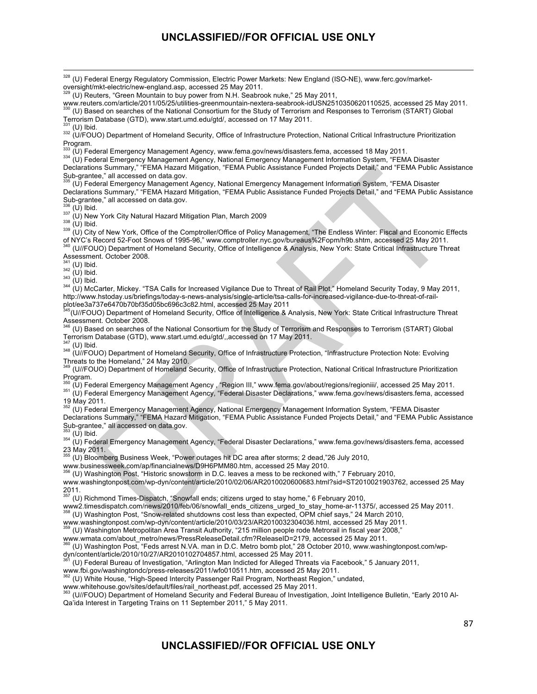www.reuters.com/article/2011/05/25/utilities-greenmountain-nextera-seabrook-idUSN2510350620110525, accessed 25 May 2011. 330 (U) Based on searches of the National Consortium for the Study of Terrorism and Responses to Terrorism (START) Global

Terrorism Database (GTD), www.start.umd.edu/gtd/, accessed on 17 May 2011.

<sup>331</sup> (U) Ibid.<br><sup>332</sup> (U/FOUO) Department of Homeland Security, Office of Infrastructure Protection, National Critical Infrastructure Prioritization Program.<br><sup>333</sup> (U) Federal Emergency Management Agency, www.fema.gov/news/disasters.fema, accessed 18 May 2011.

334 (U) Federal Emergency Management Agency, National Emergency Management Information System, "FEMA Disaster Declarations Summary," "FEMA Hazard Mitigation, "FEMA Public Assistance Funded Projects Detail," and "FEMA Public Assistance Sub-grantee," all accessed on data.gov.

335 (U) Federal Emergency Management Agency, National Emergency Management Information System, "FEMA Disaster Declarations Summary," "FEMA Hazard Mitigation, "FEMA Public Assistance Funded Projects Detail," and "FEMA Public Assistance Sub-grantee," all accessed on data.gov.

<sup>336</sup> (U) Ibid.<br><sup>337</sup> (U) New York City Natural Hazard Mitigation Plan, March 2009<br><sup>338</sup> (U) Ibid.<br><sup>339</sup> (U) City of New York, Office of the Comptroller/Office of Policy Management, "The Endless Winter: Fiscal and Economic of NYC's Record 52-Foot Snows of 1995-96," www.comptroller.nyc.gov/bureaus%2Fopm/h9b.shtm, accessed 25 May 2011. 340 (U//FOUO) Department of Homeland Security, Office of Intelligence & Analysis, New York: State Critical Infrastructure Threat

Assessment. October 2008.<br><sup>341</sup> (U) Ibid.

342 (U) Ibid.<br><sup>343</sup> (U) Ibid.<br><sup>344</sup> (U) McCarter, Mickey. "TSA Calls for Increased Vigilance Due to Threat of Rail Plot," Homeland Security Today, 9 May 2011, http://www.hstoday.us/briefings/today-s-news-analysis/single-article/tsa-calls-for-increased-vigilance-due-to-threat-of-railplot/ee3a737e6470b70bf35d05bc696c3c82.html, accessed 25 May 2011

<sup>5</sup>(U//FOUO) Department of Homeland Security, Office of Intelligence & Analysis, New York: State Critical Infrastructure Threat

Assessment. October 2008.<br><sup>346</sup> (U) Based on searches of the National Consortium for the Study of Terrorism and Responses to Terrorism (START) Global Terrorism Database (GTD), www.start.umd.edu/gtd/,,accessed on 17 May 2011.

<sup>347</sup> (U) Ibid.<br><sup>348</sup> (U//FOUO) Department of Homeland Security, Office of Infrastructure Protection, "Infrastructure Protection Note: Evolving Threats to the Homeland," 24 May 2010.

349 (U//FOUO) Department of Homeland Security, Office of Infrastructure Protection, National Critical Infrastructure Prioritization Program.

<sup>350</sup> (U) Federal Emergency Management Agency , "Region III," www.fema.gov/about/regions/regioniii/, accessed 25 May 2011.<br><sup>351</sup> (U) Federal Emergency Management Agency, "Federal Disaster Declarations," www.fema.gov/news/d

19 May 2011.

352 (U) Federal Emergency Management Agency, National Emergency Management Information System, "FEMA Disaster Declarations Summary," "FEMA Hazard Mitigation, "FEMA Public Assistance Funded Projects Detail," and "FEMA Public Assistance Sub-grantee," all accessed on data.gov.<br><sup>353</sup> (U) Ibid.

354 (U) Federal Emergency Management Agency, "Federal Disaster Declarations," www.fema.gov/news/disasters.fema, accessed

23 May 2011.<br><sup>355</sup> (U) Bloomberg Business Week, "Power outages hit DC area after storms; 2 dead,"26 July 2010,

www.businessweek.com/ap/financialnews/D9H6PMM80.htm, accessed 25 May 2010.

356 (U) Washington Post, "Historic snowstorm in D.C. leaves a mess to be reckoned with," 7 February 2010,

www.washingtonpost.com/wp-dyn/content/article/2010/02/06/AR2010020600683.html?sid=ST2010021903762, accessed 25 May  $2011.$ <sub>357</sub>

357 (U) Richmond Times-Dispatch, "Snowfall ends; citizens urged to stay home," 6 February 2010,

www2.timesdispatch.com/news/2010/feb/06/snowfall\_ends\_citizens\_urged\_to\_stay\_home-ar-11375/, accessed 25 May 2011.<br><sup>358</sup> (U) Washington Post, "Snow-related shutdowns cost less than expected, OPM chief says," 24 March 2010,

www.washingtonpost.com/wp-dyn/content/article/2010/03/23/AR2010032304036.html, accessed 25 May 2011.

359 (U) Washington Metropolitan Area Transit Authority, "215 million people rode Metrorail in fiscal year 2008,"

www.wmata.com/about\_metro/news/PressReleaseDetail.cfm?ReleaseID=2179, accessed 25 May 2011.

 $^{50}$  (U) Washington Post, "Feds arrest N.VA. man in D.C. Metro bomb plot," 28 October 2010, www.washingtonpost.com/wp-

dyn/content/article/2010/10/27/AR2010102704857.html, accessed 25 May 2011.

361 (U) Federal Bureau of Investigation, "Arlington Man Indicted for Alleged Threats via Facebook," 5 January 2011,

www.fbi.gov/washingtondc/press-releases/2011/washingtondc/pressed 25 May 2011.<br><sup>362</sup> (LI) White House, "High Speed Intersity Deseases: Of 1.html, accessed 25 May 2011.

362 (U) White House, "High-Speed Intercity Passenger Rail Program, Northeast Region," undated,

www.whitehouse.gov/sites/default/files/rail\_northeast.pdf, accessed 25 May 2011.

363 (U//FOUO) Department of Homeland Security and Federal Bureau of Investigation, Joint Intelligence Bulletin, "Early 2010 Al-Qa'ida Interest in Targeting Trains on 11 September 2011," 5 May 2011.

<sup>&</sup>lt;sup>328</sup> (U) Federal Energy Regulatory Commission, Electric Power Markets: New England (ISO-NE), www.ferc.gov/marketoversight/mkt-electric/new-england.asp, accessed 25 May 2011.

<sup>(</sup>U) Reuters, "Green Mountain to buy power from N.H. Seabrook nuke," 25 May 2011,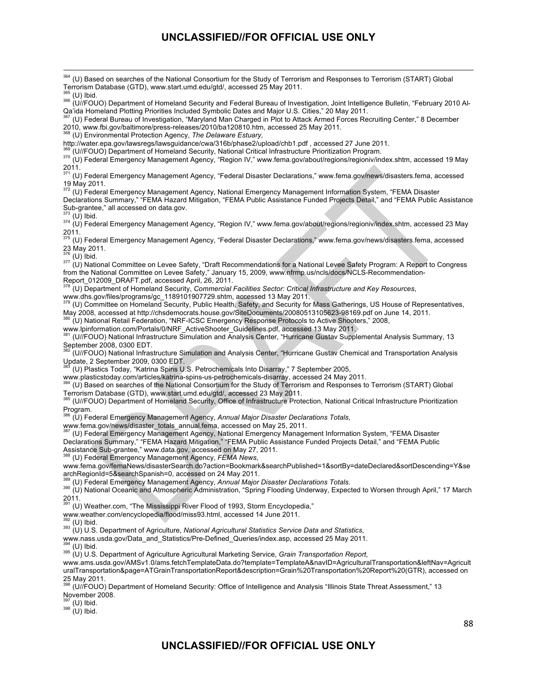<sup>364</sup> (U) Based on searches of the National Consortium for the Study of Terrorism and Responses to Terrorism (START) Global Terrorism Database (GTD), www.start.umd.edu/gtd/, accessed 25 May 2011.

365 (U) Ibid. 366 (U//FOUO) Department of Homeland Security and Federal Bureau of Investigation, Joint Intelligence Bulletin, "February 2010 Al-Qa'ida Homeland Plotting Priorities Included Symbolic Dates and Major U.S. Cities," 20 May 2011.<br>Qa'ida Homeland Plotting Priorities Included Symbolic Dates and Major U.S. Cities," 20 May 2011.

367 (U) Federal Bureau of Investigation, "Maryland Man Charged in Plot to Attack Armed Forces Recruiting Center," 8 December 2010, www.fbi.gov/baltimore/press-releases/2010/ba120810.htm, accessed 25 May 2011.

368 (U) Environmental Protection Agency, *The Delaware Estuary,*

http://water.epa.gov/lawsregs/lawsguidance/cwa/316b/phase2/upload/chb1.pdf, accessed 27 June 2011.<br><sup>369</sup> (U//FOUO) Department of Homeland Security, National Critical Infrastructure Prioritization Program.

370 (U) Federal Emergency Management Agency, "Region IV," www.fema.gov/about/regions/regioniv/index.shtm, accessed 19 May

2011. 371 (U) Federal Emergency Management Agency, "Federal Disaster Declarations," www.fema.gov/news/disasters.fema, accessed 19 May 2011.

372 (U) Federal Emergency Management Agency, National Emergency Management Information System, "FEMA Disaster Declarations Summary," "FEMA Hazard Mitigation, "FEMA Public Assistance Funded Projects Detail," and "FEMA Public Assistance Sub-grantee," all accessed on data.gov.

<sup>373</sup> (U) Ibid.<br><sup>374</sup> (U) Federal Emergency Management Agency, "Region IV," www.fema.gov/about/regions/regioniv/index.shtm, accessed 23 May

2011.<br><sup>375</sup> (U) Federal Emergency Management Agency, "Federal Disaster Declarations," www.fema.gov/news/disasters.fema, accessed 23 May 2011. 23 May 2011.<br><sup>376</sup> (U) Ibid.<br><sup>377</sup> (U) National Committee on Levee Safety, "Draft Recommendations for a National Levee Safety Program: A Report to Congress

from the National Committee on Levee Safety," January 15, 2009, www.nfrmp.us/ncls/docs/NCLS-Recommendation-Report\_012009\_DRAFT.pdf, accessed April, 26, 2011.

378 (U) Department of Homeland Security, *Commercial Facilities Sector: Critical Infrastructure and Key Resources*,

www.dhs.gov/files/programs/gc\_1189101907729.shtm, accessed 13 May 2011.<br><sup>379</sup> (U) Committee on Homeland Security, Public Health, Safety, and Security for Mass Gatherings, US House of Representatives,

May 2008, accessed at http://chsdemocrats.house.gov/SiteDocuments/20080513105623-98169.pdf on June 14, 2011.<br><sup>380</sup> (U) National Retail Federation, "NRF-ICSC Emergency Response Protocols to Active Shooters," 2008,

www.lpinformation.com/Portals/0/NRF\_ActiveShooter\_Guidelines.pdf, accessed 13 May 2011.

381 (U//FOUO) National Infrastructure Simulation and Analysis Center, "Hurricane Gustav Supplemental Analysis Summary, 13 September 2008, 0300 EDT.

382 (U//FOUO) National Infrastructure Simulation and Analysis Center, "Hurricane Gustav Chemical and Transportation Analysis Update, 2 September 2009, 0300 EDT.

<sup>383</sup> (U) Plastics Today, "Katrina Spins U.S. Petrochemicals Into Disarray," 7 September 2005,<br>www.plasticstoday.com/articles/katrina-spins-us-petrochemicals-disarray, accessed 24 May 2011.

(U) Based on searches of the National Consortium for the Study of Terrorism and Responses to Terrorism (START) Global Terrorism Database (GTD), www.start.umd.edu/gtd/, accessed 23 May 2011.

385 (U//FOUO) Department of Homeland Security, Office of Infrastructure Protection, National Critical Infrastructure Prioritization Program.

386 (U) Federal Emergency Management Agency, *Annual Major Disaster Declarations Totals*,

www.fema.gov/news/disaster\_totals\_annual.fema, accessed on May 25, 2011.<br><sup>387</sup> (U) Federal Emergency Management Agency, National Emergency Management Information System, "FEMA Disaster Declarations Summary," "FEMA Hazard Mitigation," "FEMA Public Assistance Funded Projects Detail," and "FEMA Public Assistance Sub-grantee," www.data.gov, accessed on May 27, 2011.<br>
Assistance Sub-grantee," www.data.gov, accessed on May 27, 2011.

388 (U) Federal Emergency Management Agency, *FEMA News*,

www.fema.gov/femaNews/disasterSearch.do?action=Bookmark&searchPublished=1&sortBy=dateDeclared&sortDescending=Y&se archRegionId=5&searchSpanish=0, accessed on 24 May 2011.<br>
<sup>389</sup> (U) Federal Emergency Management Agency, Annual Major Disaster Declarations Totals.

389 (U) Federal Emergency Management Agency, *Annual Major Disaster Declarations Totals*. 390 (U) National Oceanic and Atmospheric Administration, "Spring Flooding Underway, Expected to Worsen through April," 17 March  $2011.$ 

(U) Weather.com, "The Mississippi River Flood of 1993, Storm Encyclopedia,"

www.weather.com/encyclopedia/flood/miss93.html, accessed 14 June 2011.

<sup>392</sup> (U) Ibid.<br><sup>393</sup> (U) U.S. Department of Agriculture, *National Agricultural Statistics Service Data and Statistics*,

www.nass.usda.gov/Data\_and\_Statistics/Pre-Defined\_Queries/index.asp, accessed 25 May 2011.<br><sup>394</sup> (U) Ibid.

394 (U) Ibid. 395 (U) U.S. Department of Agriculture Agricultural Marketing Service, *Grain Transportation Report*,

www.ams.usda.gov/AMSv1.0/ams.fetchTemplateData.do?template=TemplateA&navID=AgriculturalTransportation&leftNav=Agricult uralTransportation&page=ATGrainTransportationReport&description=Grain%20Transportation%20Report%20(GTR), accessed on  $25$  May  $2011$ .

396 (U//FOUO) Department of Homeland Security: Office of Intelligence and Analysis "Illinois State Threat Assessment," 13 November 2008.<br> $397$  (U) Ibid.

 $398$  (U) Ibid.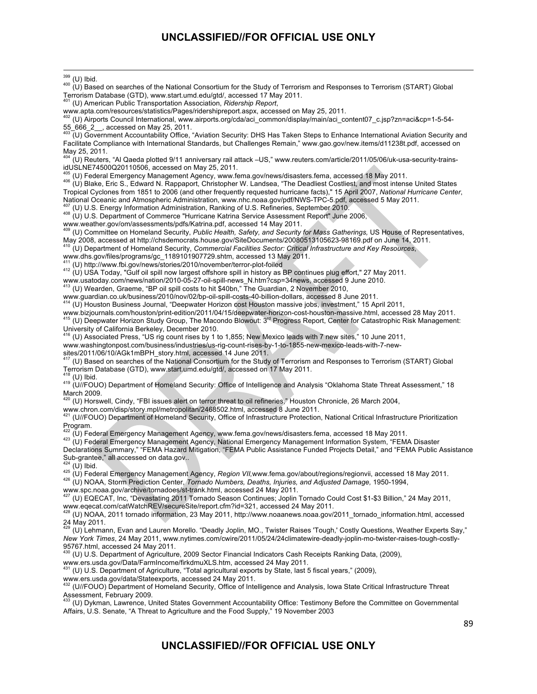<sup>&</sup>lt;u> 1989 - Andrea Santa Andrea Andrea Andrea Andrea Andrea Andrea Andrea Andrea Andrea Andrea Andrea Andrea Andr</u>  $^{399}$  (U) Ibid.<br><sup>400</sup> (U) Based on searches of the National Consortium for the Study of Terrorism and Responses to Terrorism (START) Global Terrorism Database (GTD), www.start.umd.edu/gtd/, accessed 17 May 2011. 401 (U) American Public Transportation Association, *Ridership Report*, www.apta.com/resources/statistics/Pages/ridershipreport.aspx, accessed on May 25, 2011.<br><sup>402</sup> (U) Airports Council International, www.airports.org/cda/aci\_common/display/main/aci\_content07\_c.jsp?zn=aci&cp=1-5-54-55\_666\_2\_\_, accessed on May 25, 2011. 403 (U) Government Accountability Office, "Aviation Security: DHS Has Taken Steps to Enhance International Aviation Security and Facilitate Compliance with International Standards, but Challenges Remain," www.gao.gov/new.items/d11238t.pdf, accessed on May 25, 2011.<br><sup>404</sup> (U) Reuters, "Al Qaeda plotted 9/11 anniversary rail attack –US," www.reuters.com/article/2011/05/06/uk-usa-security-trainsidUSLNE74500Q20110506, accessed on May 25, 2011.<br><sup>405</sup> (U) Federal Emergency Management Agency, www.fema.gov/news/disasters.fema, accessed 18 May 2011. <sup>406</sup> (U) Blake, Eric S., Edward N. Rappaport, Christopher W. Landsea, "The Deadliest Costliest, and most intense United States Tropical Cyclones from 1851 to 2006 (and other frequently requested hurricane facts)," 15 April 2007, *National Hurricane Center*, National Oceanic and Atmospheric Administration, www.nhc.noaa.gov/pdf/NWS-TPC-5.pdf, accessed 5 May 2011. <sup>407</sup> (U) U.S. Energy Information Administration, Ranking of U.S. Refineries, September 2010.<br><sup>408</sup> (U) U.S. Department of Commerce "Hurricane Katrina Service Assessment Report" June 2006, www.weather.gov/om/assessments/pdfs/Katrina.pdf, accessed 14 May 2011. 409 (U) Committee on Homeland Security, *Public Health, Safety, and Security for Mass Gatherings,* US House of Representatives, May 2008, accessed at http://chsdemocrats.house.gov/SiteDocuments/20080513105623-98169.pdf on June 14, 2011. 410 (U) Department of Homeland Security, *Commercial Facilities Sector: Critical Infrastructure and Key Resources*, www.dhs.gov/files/programs/gc\_1189101907729.shtm, accessed 13 May 2011.<br><sup>411</sup> (U) http://www.fbi.gov/news/stories/2010/november/terror-plot-foiled 412 (U) USA Today, "Gulf oil spill now largest offshore spill in history as BP continues plug effort," 27 May 2011. www.usatoday.com/news/nation/2010-05-27-oil-spill-news\_N.htm?csp=34news, accessed 9 June 2010.<br>413 (U) Wearden, Graeme, "BP oil spill costs to hit \$40bn," The Guardian, 2 November 2010, www.guardian.co.uk/business/2010/nov/02/bp-oil-spill-costs-40-billion-dollars, accessed 8 June 2011.<br><sup>414</sup> (U) Houston Business Journal, "Deepwater Horizon cost Houston massive jobs, investment," 15 April 2011, www.bizjournals.com/houston/print-edition/2011/04/15/deepwater-horizon-cost-houston-massive.html, accessed 28 May 2011.<br><sup>415</sup> (U) Deepwater Horizon Study Group, The Macondo Blowout: 3<sup>rd</sup> Progress Report, Center for Catast University of California Berkeley, December 2010. 416 (U) Associated Press, "US rig count rises by 1 to 1,855; New Mexico leads with 7 new sites," 10 June 2011, www.washingtonpost.com/business/industries/us-rig-count-rises-by-1-to-1855-new-mexico-leads-with-7-newsites/2011/06/10/AGk1mBPH\_story.html, accessed 14 June 2011.<br><sup>417</sup> (U) Based on searches of the National Consortium for the Study of Terrorism and Responses to Terrorism (START) Global Terrorism Database (GTD), www.start.umd.edu/gtd/, accessed on 17 May 2011. 418 (U) Ibid.<br><sup>419</sup> (U//FOUO) Department of Homeland Security: Office of Intelligence and Analysis "Oklahoma State Threat Assessment," 18 March 2009. <sup>420</sup> (U) Horswell, Cindy, "FBI issues alert on terror threat to oil refineries," Houston Chronicle, 26 March 2004, www.chron.com/disp/story.mpl/metropolitan/2468502.html, accessed 8 June 2011. 421 (U//FOUO) Department of Homeland Security, Office of Infrastructure Protection, National Critical Infrastructure Prioritization Program.<br><sup>422</sup> (U) Federal Emergency Management Agency, www.fema.gov/news/disasters.fema, accessed 18 May 2011. 423 (U) Federal Emergency Management Agency, National Emergency Management Information System, "FEMA Disaster Declarations Summary," "FEMA Hazard Mitigation, "FEMA Public Assistance Funded Projects Detail," and "FEMA Public Assistance Sub-grantee," all accessed on data.gov...<br> $^{424}$  (U) Ibid.<br> $^{425}$  (II) Eederel France <sup>425</sup> (U) Federal Emergency Management Agency, *Region VII,www.*fema.gov/about/regions/regionvii, accessed 18 May 2011.<br><sup>426</sup> (U) NOAA, Storm Prediction Center, *Tornado Numbers, Deaths, Injuries, and Adjusted Damage,* 195 www.spc.noaa.gov/archive/tornadoes/st-trank.html, accessed 24 May 2011. 427 (U) EQECAT, Inc, "Devastating 2011 Tornado Season Continues; Joplin Tornado Could Cost \$1-\$3 Billion," 24 May 2011, www.eqecat.com/catWatchREV/secureSite/report.cfm?id=321, accessed 24 May 2011.<br><sup>428</sup> (U) NOAA, 2011 tornado information, 23 May 2011, http://www.noaanews.noaa.gov/2011\_tornado\_information.html, accessed  $24$  May 2011. 429 (U) Lehmann, Evan and Lauren Morello. "Deadly Joplin, MO., Twister Raises 'Tough,' Costly Questions, Weather Experts Say," *New York Times*, 24 May 2011, www.nytimes.com/cwire/2011/05/24/24climatewire-deadly-joplin-mo-twister-raises-tough-costly-95767.html, accessed 24 May 2011. 430 (U) U.S. Department of Agriculture, 2009 Sector Financial Indicators Cash Receipts Ranking Data, (2009), www.ers.usda.gov/Data/FarmIncome/firkdmuXLS.htm, accessed 24 May 2011.<br><sup>431</sup> (U) U.S. Department of Agriculture, "Total agricultural exports by State, last 5 fiscal years," (2009), www.ers.usda.gov/data/Stateexports, accessed 24 May 2011.<br><sup>432</sup> (U//FOUO) Department of Homeland Security, Office of Intelligence and Analysis, Iowa State Critical Infrastructure Threat Assessment, February 2009.<br><sup>433</sup> (U) Dykman, Lawrence, United States Government Accountability Office: Testimony Before the Committee on Governmental Affairs, U.S. Senate, "A Threat to Agriculture and the Food Supply," 19 November 2003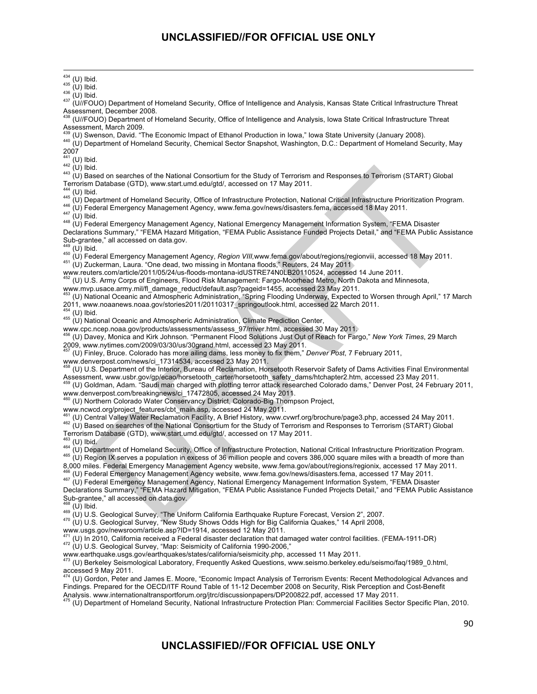<sup>434</sup> (U) Ibid.<br><sup>435</sup> (U) Ibid.<br><sup>436</sup> (U) Ibid.<br><sup>437</sup> (U//FOUO) Department of Homeland Security, Office of Intelligence and Analysis, Kansas State Critical Infrastructure Threat

Assessment, December 2008.<br><sup>438</sup> (U//FOUO) Department of Homeland Security, Office of Intelligence and Analysis, Iowa State Critical Infrastructure Threat Assessment, March 2009.<br><sup>439</sup> (U) Swenson, David. "The Economic Impact of Ethanol Production in Iowa," Iowa State University (January 2008).

440 (U) Department of Homeland Security, Chemical Sector Snapshot, Washington, D.C.: Department of Homeland Security, May  $2007$ <br><sup>441</sup> (U) Ibid.

442 (U) Ibid.<br>443 (U) Ibid.<br>443 (U) Based on searches of the National Consortium for the Study of Terrorism and Responses to Terrorism (START) Global Terrorism Database (GTD), www.start.umd.edu/gtd/, accessed on 17 May 2011.

<sup>444</sup> (U) Ibid.<br><sup>445</sup> (U) Department of Homeland Security, Office of Infrastructure Protection, National Critical Infrastructure Prioritization Program.<br><sup>446</sup> (U) Federal Emergency Management Agency, www.fema.gov/news/disa

Declarations Summary," "FEMA Hazard Mitigation, "FEMA Public Assistance Funded Projects Detail," and "FEMA Public Assistance Sub-grantee," all accessed on data.gov.<br> $^{449}$  (U) Ibid.<br> $^{450}$  (11) Eodoral Fire

<sup>450</sup> (U) Federal Emergency Management Agency, *Region VIII,*www.fema.gov/about/regions/regionviii, accessed 18 May 2011.<br><sup>451</sup> (U) Zuckerman, Laura. "One dead, two missing in Montana floods," Reuters, 24 May 2011

www.reuters.com/article/2011/05/24/us-floods-montana-idUSTRE74N0LB20110524, accessed 14 June 2011.

452 (U) U.S. Army Corps of Engineers, Flood Risk Management: Fargo-Moorhead Metro, North Dakota and Minnesota,

www.mvp.usace.army.mil/fl\_damage\_reduct/default.asp?pageid=1455, accessed 23 May 2011.<br><sup>453</sup> (U) National Oceanic and Atmospheric Administration, "Spring Flooding Underway, Expected to Worsen through April," 17 March 2011, www.noaanews.noaa.gov/stories2011/20110317\_springoutlook.html, accessed 22 March 2011.

455 (U) National Oceanic and Atmospheric Administration, Climate Prediction Center,

www.cpc.ncep.noaa.gov/products/assessments/assess\_97/rriver.html, accessed 30 May 2011.

456 (U) Davey, Monica and Kirk Johnson. "Permanent Flood Solutions Just Out of Reach for Fargo," *New York Times*, 29 March 2009, www.nytimes.com/2009/03/30/us/30grand.html, accessed 23 May 2011.

457 (U) Finley, Bruce. Colorado has more ailing dams, less money to fix them," *Denver Post*, 7 February 2011,

www.denverpost.com/news/ci\_17314534, accessed 23 May 2011.

458 (U) U.S. Department of the Interior, Bureau of Reclamation, Horsetooth Reservoir Safety of Dams Activities Final Environmental Assessment, www.usbr.gov/gp/ecao/horsetooth\_carter/horsetooth\_safety\_dams/htchapter2.htm, accessed 23 May 2011.

459 (U) Goldman, Adam. "Saudi man charged with plotting terror attack researched Colorado dams," Denver Post, 24 February 2011, www.denverpost.com/breakingnews/ci\_17472805, accessed 24 May 2011.

(U) Northern Colorado Water Conservancy District, Colorado-Big Thompson Project,

www.ncwcd.org/project\_features/cbt\_main.asp, accessed 24 May 2011.<br><sup>461</sup> (U) Central Valley Water Reclamation Facility, A Brief History, www.cvwrf.org/brochure/page3.php, accessed 24 May 2011. 462 (U) Based on searches of the National Consortium for the Study of Terrorism and Responses to Terrorism (START) Global Terrorism Database (GTD), www.start.umd.edu/gtd/, accessed on 17 May 2011.

<sup>464</sup> (U) Department of Homeland Security, Office of Infrastructure Protection, National Critical Infrastructure Prioritization Program.<br><sup>465</sup> (U) Region IX serves a population in excess of 36 million people and covers 386

8,000 miles. Federal Emergency Management Agency website, www.fema.gov/about/regions/regionix, accessed 17 May 2011.

<sup>466</sup> (U) Federal Emergency Management Agency website, www.fema.gov/news/disasters.fema, accessed 17 May 2011.<br><sup>467</sup> (U) Federal Emergency Management Agency, National Emergency Management Information System, "FEMA Disaster

Declarations Summary," "FEMA Hazard Mitigation, "FEMA Public Assistance Funded Projects Detail," and "FEMA Public Assistance Sub-grantee," all accessed on data.gov.

<sup>468</sup> (U) Ibid.<br><sup>469</sup> (U) U.S. Geological Survey, "The Uniform California Earthquake Rupture Forecast, Version 2", 2007.<br><sup>470</sup> (U) U.S. Geological Survey, "New Study Shows Odds High for Big California Quakes," 14 April 200

www.usgs.gov/newsroom/article.asp?ID=1914, accessed 12 May 2011.

<sup>471</sup> (U) In 2010, California received a Federal disaster declaration that damaged water control facilities. (FEMA-1911-DR)  $172$  (U) U.S. Geological Survey, "Map: Seismicity of California 1990-2006,"

www.earthquake.usgs.gov/earthquakes/states/california/seismicity.php, accessed 11 May 2011.

<sup>473</sup> (U) Berkeley Seismological Laboratory, Frequently Asked Questions, www.seismo.berkeley.edu/seismo/faq/1989\_0.html,

accessed 9 May 2011.<br><sup>474</sup> (U) Gordon, Peter and James E. Moore, "Economic Impact Analysis of Terrorism Events: Recent Methodological Advances and Findings. Prepared for the OECD/ITF Round Table of 11-12 December 2008 on Security, Risk Perception and Cost-Benefit

Analysis. www.internationaltransportforum.org/jtrc/discussionpapers/DP200822.pdf, accessed 17 May 2011.<br><sup>475</sup> (U) Department of Homeland Security, National Infrastructure Protection Plan: Commercial Facilities Sector Speci